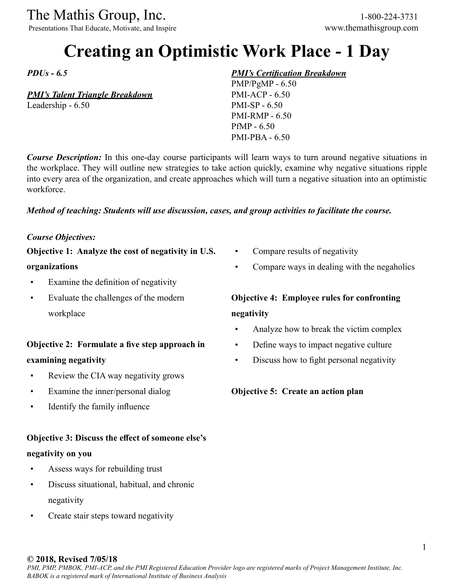Presentations That Educate, Motivate, and Inspire www.themathisgroup.com

# **Creating an Optimistic Work Place - 1 Day**

*PDUs - 6.5*

## *PMI's Talent Triangle Breakdown*

Leadership - 6.50

# *PMI's Certification Breakdown*

PMP/PgMP - 6.50 PMI-ACP - 6.50 PMI-SP - 6.50 PMI-RMP - 6.50 PfMP - 6.50 PMI-PBA - 6.50

*Course Description:* In this one-day course participants will learn ways to turn around negative situations in the workplace. They will outline new strategies to take action quickly, examine why negative situations ripple into every area of the organization, and create approaches which will turn a negative situation into an optimistic workforce.

## *Method of teaching: Students will use discussion, cases, and group activities to facilitate the course.*

## *Course Objectives:*

**Objective 1: Analyze the cost of negativity in U.S.** 

#### **organizations**

- Examine the definition of negativity
- Evaluate the challenges of the modern workplace

# **Objective 2: Formulate a five step approach in examining negativity**

- Review the CIA way negativity grows
- Examine the inner/personal dialog
- Identify the family influence

## **Objective 3: Discuss the effect of someone else's**

## **negativity on you**

- Assess ways for rebuilding trust
- Discuss situational, habitual, and chronic negativity
- Create stair steps toward negativity
- Compare results of negativity
- Compare ways in dealing with the negaholics

# **Objective 4: Employee rules for confronting negativity**

- Analyze how to break the victim complex
- Define ways to impact negative culture
- Discuss how to fight personal negativity

## **Objective 5: Create an action plan**

#### **© 2018, Revised 7/05/18**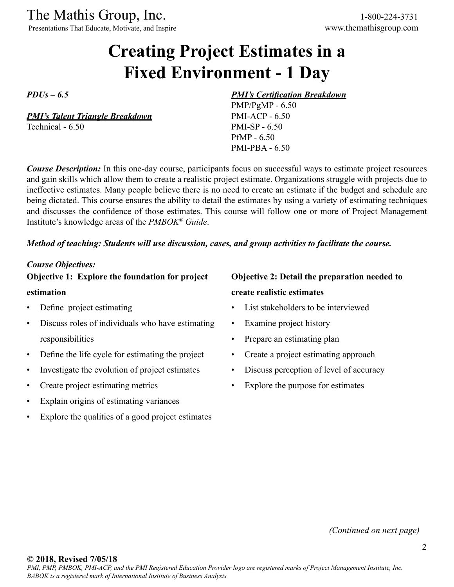Presentations That Educate, Motivate, and Inspire www.themathisgroup.com

# **Creating Project Estimates in a Fixed Environment - 1 Day**

*PDUs – 6.5*

*PMI's Talent Triangle Breakdown* Technical - 6.50

# *PMI's Certification Breakdown*

PMP/PgMP - 6.50 PMI-ACP - 6.50 PMI-SP - 6.50 PfMP - 6.50 PMI-PBA - 6.50

*Course Description:* In this one-day course, participants focus on successful ways to estimate project resources and gain skills which allow them to create a realistic project estimate. Organizations struggle with projects due to ineffective estimates. Many people believe there is no need to create an estimate if the budget and schedule are being dictated. This course ensures the ability to detail the estimates by using a variety of estimating techniques and discusses the confidence of those estimates. This course will follow one or more of Project Management Institute's knowledge areas of the *PMBOK® Guide*.

#### *Method of teaching: Students will use discussion, cases, and group activities to facilitate the course.*

#### *Course Objectives:*

**Objective 1: Explore the foundation for project estimation**

- Define project estimating
- Discuss roles of individuals who have estimating responsibilities
- Define the life cycle for estimating the project
- Investigate the evolution of project estimates
- Create project estimating metrics
- Explain origins of estimating variances
- Explore the qualities of a good project estimates

# **Objective 2: Detail the preparation needed to create realistic estimates**

- List stakeholders to be interviewed
- Examine project history
- Prepare an estimating plan
- Create a project estimating approach
- Discuss perception of level of accuracy
- Explore the purpose for estimates

*(Continued on next page)*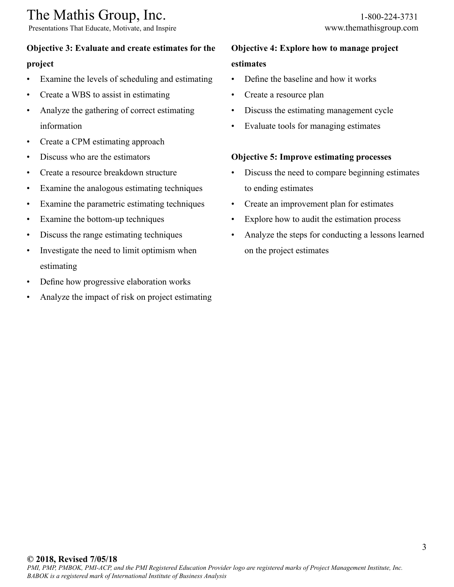Presentations That Educate, Motivate, and Inspire www.themathisgroup.com

# **Objective 3: Evaluate and create estimates for the**

## **project**

- Examine the levels of scheduling and estimating
- Create a WBS to assist in estimating
- Analyze the gathering of correct estimating information
- Create a CPM estimating approach
- Discuss who are the estimators
- Create a resource breakdown structure
- Examine the analogous estimating techniques
- Examine the parametric estimating techniques
- Examine the bottom-up techniques
- Discuss the range estimating techniques
- Investigate the need to limit optimism when estimating
- Define how progressive elaboration works
- Analyze the impact of risk on project estimating

# **Objective 4: Explore how to manage project estimates**

- Define the baseline and how it works
- Create a resource plan
- Discuss the estimating management cycle
- Evaluate tools for managing estimates

# **Objective 5: Improve estimating processes**

- Discuss the need to compare beginning estimates to ending estimates
- Create an improvement plan for estimates
- Explore how to audit the estimation process
- Analyze the steps for conducting a lessons learned on the project estimates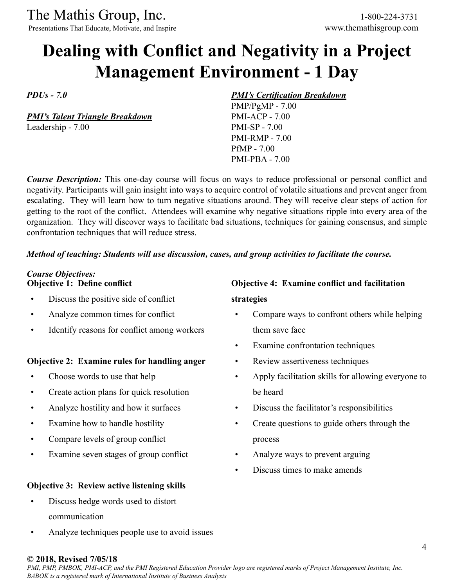Presentations That Educate, Motivate, and Inspire www.themathisgroup.com

# **Dealing with Conflict and Negativity in a Project Management Environment - 1 Day**

*PDUs - 7.0*

*PMI's Talent Triangle Breakdown* Leadership - 7.00

## *PMI's Certification Breakdown*

PMP/PgMP - 7.00 PMI-ACP - 7.00 PMI-SP - 7.00 PMI-RMP - 7.00 PfMP - 7.00 PMI-PBA - 7.00

*Course Description:* This one-day course will focus on ways to reduce professional or personal conflict and negativity. Participants will gain insight into ways to acquire control of volatile situations and prevent anger from escalating. They will learn how to turn negative situations around. They will receive clear steps of action for getting to the root of the conflict. Attendees will examine why negative situations ripple into every area of the organization. They will discover ways to facilitate bad situations, techniques for gaining consensus, and simple confrontation techniques that will reduce stress.

## *Method of teaching: Students will use discussion, cases, and group activities to facilitate the course.*

### *Course Objectives:* **Objective 1: Define conflict**

- Discuss the positive side of conflict
- Analyze common times for conflict
- Identify reasons for conflict among workers

## **Objective 2: Examine rules for handling anger**

- Choose words to use that help
- Create action plans for quick resolution
- Analyze hostility and how it surfaces
- Examine how to handle hostility
- Compare levels of group conflict
- Examine seven stages of group conflict

## **Objective 3: Review active listening skills**

- Discuss hedge words used to distort communication
- Analyze techniques people use to avoid issues

# **Objective 4: Examine conflict and facilitation strategies**

- Compare ways to confront others while helping them save face
- Examine confrontation techniques
- Review assertiveness techniques
- Apply facilitation skills for allowing everyone to be heard
- Discuss the facilitator's responsibilities
- Create questions to guide others through the process
- Analyze ways to prevent arguing
- Discuss times to make amends

#### **© 2018, Revised 7/05/18**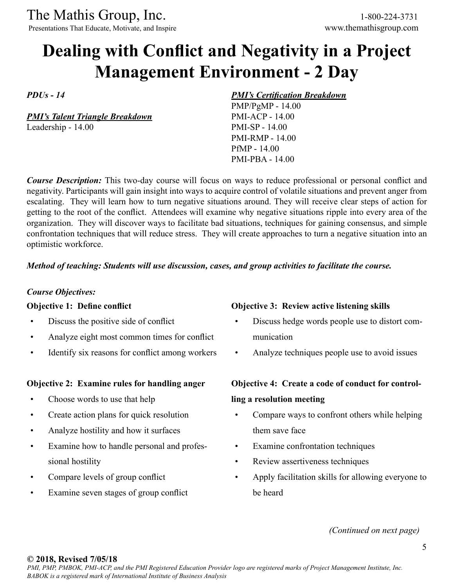Presentations That Educate, Motivate, and Inspire

# **Dealing with Conflict and Negativity in a Project Management Environment - 2 Day**

*PDUs - 14*

*PMI's Talent Triangle Breakdown* Leadership - 14.00

#### *PMI's Certification Breakdown*

PMP/PgMP - 14.00 PMI-ACP - 14.00 PMI-SP - 14.00 PMI-RMP - 14.00 PfMP - 14.00 PMI-PBA - 14.00

**Course Description:** This two-day course will focus on ways to reduce professional or personal conflict and negativity. Participants will gain insight into ways to acquire control of volatile situations and prevent anger from escalating. They will learn how to turn negative situations around. They will receive clear steps of action for getting to the root of the conflict. Attendees will examine why negative situations ripple into every area of the organization. They will discover ways to facilitate bad situations, techniques for gaining consensus, and simple confrontation techniques that will reduce stress. They will create approaches to turn a negative situation into an optimistic workforce.

## *Method of teaching: Students will use discussion, cases, and group activities to facilitate the course.*

## *Course Objectives:*

## **Objective 1: Define conflict**

- Discuss the positive side of conflict
- Analyze eight most common times for conflict
- Identify six reasons for conflict among workers

## **Objective 2: Examine rules for handling anger**

- Choose words to use that help
- Create action plans for quick resolution
- Analyze hostility and how it surfaces
- Examine how to handle personal and professional hostility
- Compare levels of group conflict
- Examine seven stages of group conflict

# **Objective 3: Review active listening skills**

- Discuss hedge words people use to distort communication
- Analyze techniques people use to avoid issues

# **Objective 4: Create a code of conduct for controlling a resolution meeting**

- Compare ways to confront others while helping them save face
- Examine confrontation techniques
- Review assertiveness techniques
- Apply facilitation skills for allowing everyone to be heard

*(Continued on next page)*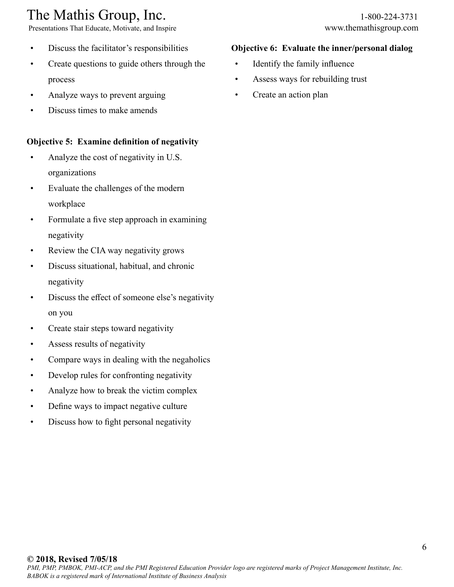# The Mathis Group, Inc. 1-800-224-3731<br>
Presentations That Educate, Motivate, and Inspire www.themathisgroup.com

Presentations That Educate, Motivate, and Inspire

- Discuss the facilitator's responsibilities
- Create questions to guide others through the process
- Analyze ways to prevent arguing
- Discuss times to make amends

# **Objective 5: Examine definition of negativity**

- Analyze the cost of negativity in U.S. organizations
- Evaluate the challenges of the modern workplace
- Formulate a five step approach in examining negativity
- Review the CIA way negativity grows
- Discuss situational, habitual, and chronic negativity
- Discuss the effect of someone else's negativity on you
- Create stair steps toward negativity
- Assess results of negativity
- Compare ways in dealing with the negaholics
- Develop rules for confronting negativity
- Analyze how to break the victim complex
- Define ways to impact negative culture
- Discuss how to fight personal negativity

### **Objective 6: Evaluate the inner/personal dialog**

- Identify the family influence
- Assess ways for rebuilding trust
- Create an action plan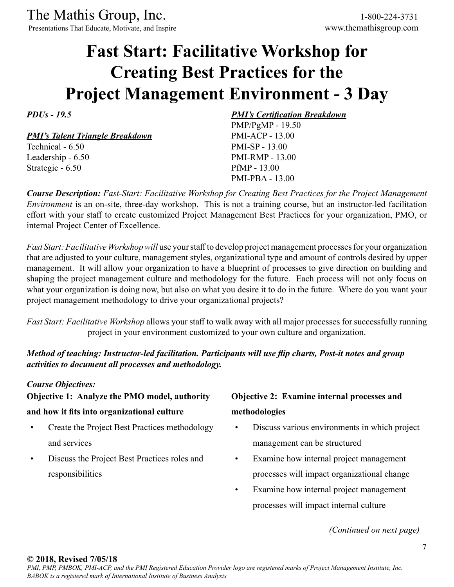Presentations That Educate, Motivate, and Inspire www.themathisgroup.com

# **Fast Start: Facilitative Workshop for Creating Best Practices for the Project Management Environment - 3 Day**

*PDUs - 19.5*

*PMI's Talent Triangle Breakdown*

Technical - 6.50 Leadership - 6.50 Strategic - 6.50

# *PMI's Certification Breakdown*

PMP/PgMP - 19.50 PMI-ACP - 13.00 PMI-SP - 13.00 PMI-RMP - 13.00 PfMP - 13.00 PMI-PBA - 13.00

*Course Description: Fast-Start: Facilitative Workshop for Creating Best Practices for the Project Management Environment* is an on-site, three-day workshop. This is not a training course, but an instructor-led facilitation effort with your staff to create customized Project Management Best Practices for your organization, PMO, or internal Project Center of Excellence.

*Fast Start: Facilitative Workshop will* use your staff to develop project management processes for your organization that are adjusted to your culture, management styles, organizational type and amount of controls desired by upper management. It will allow your organization to have a blueprint of processes to give direction on building and shaping the project management culture and methodology for the future. Each process will not only focus on what your organization is doing now, but also on what you desire it to do in the future. Where do you want your project management methodology to drive your organizational projects?

*Fast Start: Facilitative Workshop* allows your staff to walk away with all major processes for successfully running project in your environment customized to your own culture and organization.

# *Method of teaching: Instructor-led facilitation. Participants will use flip charts, Post-it notes and group activities to document all processes and methodology.*

## *Course Objectives:*

**Objective 1: Analyze the PMO model, authority** 

## **and how it fits into organizational culture**

- Create the Project Best Practices methodology and services
- Discuss the Project Best Practices roles and responsibilities

# **Objective 2: Examine internal processes and methodologies**

- Discuss various environments in which project management can be structured
- Examine how internal project management processes will impact organizational change
- Examine how internal project management processes will impact internal culture

*(Continued on next page)*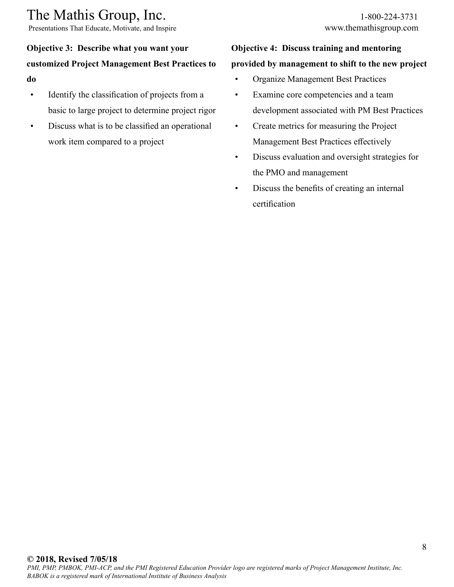Presentations That Educate, Motivate, and Inspire www.themathisgroup.com

# **Objective 3: Describe what you want your customized Project Management Best Practices to do**

- Identify the classification of projects from a basic to large project to determine project rigor
- Discuss what is to be classified an operational work item compared to a project

# **Objective 4: Discuss training and mentoring provided by management to shift to the new project**

- Organize Management Best Practices
- Examine core competencies and a team development associated with PM Best Practices
- Create metrics for measuring the Project Management Best Practices effectively
- Discuss evaluation and oversight strategies for the PMO and management
- Discuss the benefits of creating an internal certification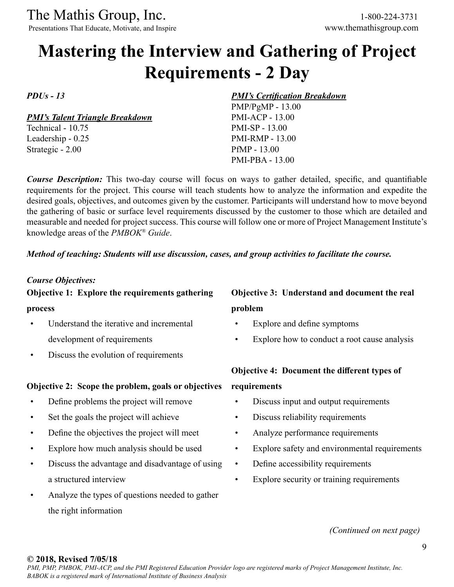Presentations That Educate, Motivate, and Inspire www.themathisgroup.com

# **Mastering the Interview and Gathering of Project Requirements - 2 Day**

*PDUs - 13*

*PMI's Talent Triangle Breakdown*

Technical - 10.75 Leadership - 0.25 Strategic - 2.00

#### *PMI's Certification Breakdown*

PMP/PgMP - 13.00 PMI-ACP - 13.00 PMI-SP - 13.00 PMI-RMP - 13.00 PfMP - 13.00 PMI-PBA - 13.00

*Course Description:* This two-day course will focus on ways to gather detailed, specific, and quantifiable requirements for the project. This course will teach students how to analyze the information and expedite the desired goals, objectives, and outcomes given by the customer. Participants will understand how to move beyond the gathering of basic or surface level requirements discussed by the customer to those which are detailed and measurable and needed for project success. This course will follow one or more of Project Management Institute's knowledge areas of the *PMBOK® Guide*.

#### *Method of teaching: Students will use discussion, cases, and group activities to facilitate the course.*

#### *Course Objectives:*

# **Objective 1: Explore the requirements gathering**

#### **process**

- Understand the iterative and incremental development of requirements
- Discuss the evolution of requirements

## **Objective 2: Scope the problem, goals or objectives**

- Define problems the project will remove
- Set the goals the project will achieve
- Define the objectives the project will meet
- Explore how much analysis should be used
- Discuss the advantage and disadvantage of using a structured interview
- Analyze the types of questions needed to gather the right information

# **Objective 3: Understand and document the real problem**

- Explore and define symptoms
- Explore how to conduct a root cause analysis

# **Objective 4: Document the different types of requirements**

- Discuss input and output requirements
- Discuss reliability requirements
- Analyze performance requirements
- Explore safety and environmental requirements
- Define accessibility requirements
- Explore security or training requirements

*(Continued on next page)*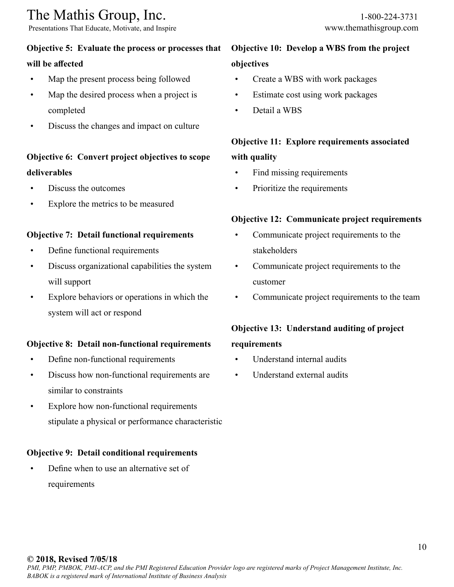Presentations That Educate, Motivate, and Inspire www.themathisgroup.com

# **Objective 5: Evaluate the process or processes that**

# **will be affected**

- Map the present process being followed
- Map the desired process when a project is completed
- Discuss the changes and impact on culture

# **Objective 6: Convert project objectives to scope deliverables**

- Discuss the outcomes
- Explore the metrics to be measured

# **Objective 7: Detail functional requirements**

- Define functional requirements
- Discuss organizational capabilities the system will support
- Explore behaviors or operations in which the system will act or respond

# **Objective 8: Detail non-functional requirements**

- Define non-functional requirements
- Discuss how non-functional requirements are similar to constraints
- Explore how non-functional requirements stipulate a physical or performance characteristic

# **Objective 9: Detail conditional requirements**

• Define when to use an alternative set of requirements

# **Objective 10: Develop a WBS from the project objectives**

- Create a WBS with work packages
- Estimate cost using work packages
- Detail a WBS

# **Objective 11: Explore requirements associated with quality**

- Find missing requirements
- Prioritize the requirements

# **Objective 12: Communicate project requirements**

- Communicate project requirements to the stakeholders
- Communicate project requirements to the customer
- Communicate project requirements to the team

# **Objective 13: Understand auditing of project**

# **requirements**

- Understand internal audits
- Understand external audits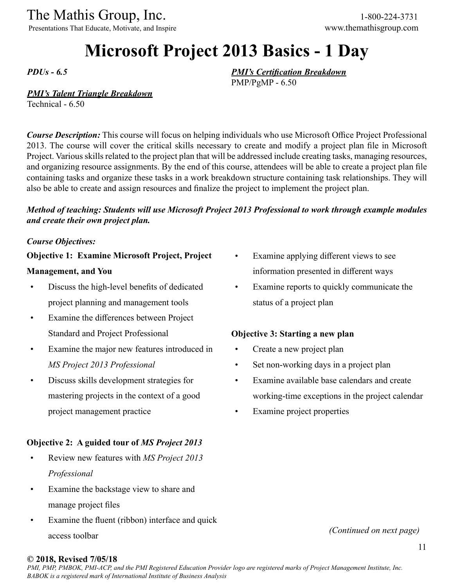Presentations That Educate, Motivate, and Inspire www.themathisgroup.com

# **Microsoft Project 2013 Basics - 1 Day**

*PDUs - 6.5*

*PMI's Certification Breakdown* PMP/PgMP - 6.50

## *PMI's Talent Triangle Breakdown*

Technical - 6.50

*Course Description:* This course will focus on helping individuals who use Microsoft Office Project Professional 2013. The course will cover the critical skills necessary to create and modify a project plan file in Microsoft Project. Various skills related to the project plan that will be addressed include creating tasks, managing resources, and organizing resource assignments. By the end of this course, attendees will be able to create a project plan file containing tasks and organize these tasks in a work breakdown structure containing task relationships. They will also be able to create and assign resources and finalize the project to implement the project plan.

# *Method of teaching: Students will use Microsoft Project 2013 Professional to work through example modules and create their own project plan.*

#### *Course Objectives:*

## **Objective 1: Examine Microsoft Project, Project**

#### **Management, and You**

- Discuss the high-level benefits of dedicated project planning and management tools
- Examine the differences between Project Standard and Project Professional
- Examine the major new features introduced in *MS Project 2013 Professional*
- Discuss skills development strategies for mastering projects in the context of a good project management practice

# **Objective 2: A guided tour of** *MS Project 2013*

- Review new features with *MS Project 2013 Professional*
- Examine the backstage view to share and manage project files
- Examine the fluent (ribbon) interface and quick access toolbar
- Examine applying different views to see information presented in different ways
- Examine reports to quickly communicate the status of a project plan

# **Objective 3: Starting a new plan**

- Create a new project plan
- Set non-working days in a project plan
- Examine available base calendars and create working-time exceptions in the project calendar
- Examine project properties

*(Continued on next page)*

#### **© 2018, Revised 7/05/18**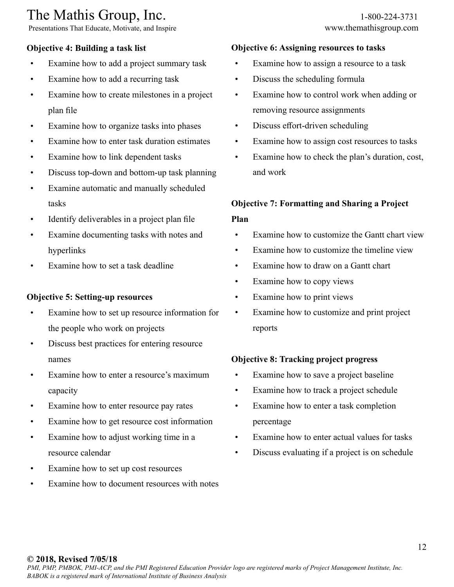Presentations That Educate, Motivate, and Inspire www.themathisgroup.com

# **Objective 4: Building a task list**

- Examine how to add a project summary task
- Examine how to add a recurring task
- Examine how to create milestones in a project plan file
- Examine how to organize tasks into phases
- Examine how to enter task duration estimates
- Examine how to link dependent tasks
- Discuss top-down and bottom-up task planning
- Examine automatic and manually scheduled tasks
- Identify deliverables in a project plan file
- Examine documenting tasks with notes and hyperlinks
- Examine how to set a task deadline

## **Objective 5: Setting-up resources**

- Examine how to set up resource information for the people who work on projects
- Discuss best practices for entering resource names
- Examine how to enter a resource's maximum capacity
- Examine how to enter resource pay rates
- Examine how to get resource cost information
- Examine how to adjust working time in a resource calendar
- Examine how to set up cost resources
- Examine how to document resources with notes

# **Objective 6: Assigning resources to tasks**

- Examine how to assign a resource to a task
- Discuss the scheduling formula
- Examine how to control work when adding or removing resource assignments
- Discuss effort-driven scheduling
- Examine how to assign cost resources to tasks
- Examine how to check the plan's duration, cost, and work

# **Objective 7: Formatting and Sharing a Project Plan**

- Examine how to customize the Gantt chart view
- Examine how to customize the timeline view
- Examine how to draw on a Gantt chart
- Examine how to copy views
- Examine how to print views
- Examine how to customize and print project reports

# **Objective 8: Tracking project progress**

- Examine how to save a project baseline
- Examine how to track a project schedule
- Examine how to enter a task completion percentage
- Examine how to enter actual values for tasks
- Discuss evaluating if a project is on schedule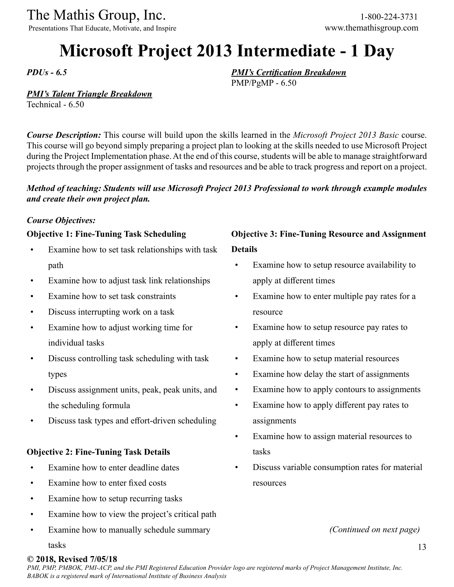Presentations That Educate, Motivate, and Inspire www.themathisgroup.com

# **Microsoft Project 2013 Intermediate - 1 Day**

*PMI's Certification Breakdown*

PMP/PgMP - 6.50

*PDUs - 6.5*

## *PMI's Talent Triangle Breakdown*

Technical - 6.50

*Course Description:* This course will build upon the skills learned in the *Microsoft Project 2013 Basic* course. This course will go beyond simply preparing a project plan to looking at the skills needed to use Microsoft Project during the Project Implementation phase. At the end of this course, students will be able to manage straightforward projects through the proper assignment of tasks and resources and be able to track progress and report on a project.

## *Method of teaching: Students will use Microsoft Project 2013 Professional to work through example modules and create their own project plan.*

#### *Course Objectives:*

## **Objective 1: Fine-Tuning Task Scheduling**

- Examine how to set task relationships with task path
- Examine how to adjust task link relationships
- Examine how to set task constraints
- Discuss interrupting work on a task
- Examine how to adjust working time for individual tasks
- Discuss controlling task scheduling with task types
- Discuss assignment units, peak, peak units, and the scheduling formula
- Discuss task types and effort-driven scheduling

## **Objective 2: Fine-Tuning Task Details**

- Examine how to enter deadline dates
- Examine how to enter fixed costs
- Examine how to setup recurring tasks
- Examine how to view the project's critical path
- Examine how to manually schedule summary

# **Objective 3: Fine-Tuning Resource and Assignment Details**

- Examine how to setup resource availability to apply at different times
- Examine how to enter multiple pay rates for a resource
- Examine how to setup resource pay rates to apply at different times
- Examine how to setup material resources
- Examine how delay the start of assignments
- Examine how to apply contours to assignments
- Examine how to apply different pay rates to assignments
- Examine how to assign material resources to tasks
- Discuss variable consumption rates for material resources

*(Continued on next page)*

#### tasks

## **© 2018, Revised 7/05/18**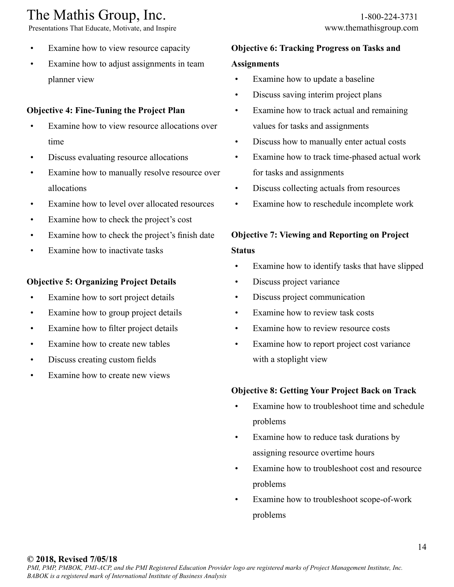Presentations That Educate, Motivate, and Inspire www.themathisgroup.com

- Examine how to view resource capacity
- Examine how to adjust assignments in team planner view

# **Objective 4: Fine-Tuning the Project Plan**

- Examine how to view resource allocations over time
- Discuss evaluating resource allocations
- Examine how to manually resolve resource over allocations
- Examine how to level over allocated resources
- Examine how to check the project's cost
- Examine how to check the project's finish date
- Examine how to inactivate tasks

# **Objective 5: Organizing Project Details**

- Examine how to sort project details
- Examine how to group project details
- Examine how to filter project details
- Examine how to create new tables
- Discuss creating custom fields
- Examine how to create new views

## **Objective 6: Tracking Progress on Tasks and**

## **Assignments**

- Examine how to update a baseline
- Discuss saving interim project plans
- Examine how to track actual and remaining values for tasks and assignments
- Discuss how to manually enter actual costs
- Examine how to track time-phased actual work for tasks and assignments
- Discuss collecting actuals from resources
- Examine how to reschedule incomplete work

# **Objective 7: Viewing and Reporting on Project Status**

- Examine how to identify tasks that have slipped
- Discuss project variance
- Discuss project communication
- Examine how to review task costs
- Examine how to review resource costs
- Examine how to report project cost variance with a stoplight view

## **Objective 8: Getting Your Project Back on Track**

- Examine how to troubleshoot time and schedule problems
- Examine how to reduce task durations by assigning resource overtime hours
- Examine how to troubleshoot cost and resource problems
- Examine how to troubleshoot scope-of-work problems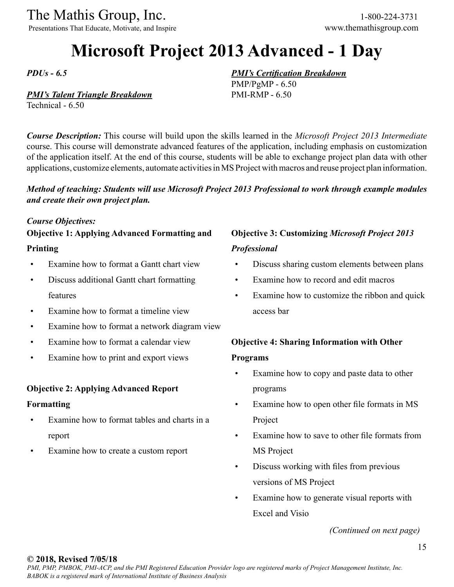Presentations That Educate, Motivate, and Inspire www.themathisgroup.com

# **Microsoft Project 2013 Advanced - 1 Day**

*PMI's Certification Breakdown*

PMP/PgMP - 6.50 PMI-RMP - 6.50

*PDUs - 6.5*

## *PMI's Talent Triangle Breakdown*

Technical - 6.50

*Course Description:* This course will build upon the skills learned in the *Microsoft Project 2013 Intermediate*  course. This course will demonstrate advanced features of the application, including emphasis on customization of the application itself. At the end of this course, students will be able to exchange project plan data with other applications, customize elements, automate activities in MS Project with macros and reuse project plan information.

## *Method of teaching: Students will use Microsoft Project 2013 Professional to work through example modules and create their own project plan.*

#### *Course Objectives:*

# **Objective 1: Applying Advanced Formatting and**

## **Printing**

- Examine how to format a Gantt chart view
- Discuss additional Gantt chart formatting features
- Examine how to format a timeline view
- Examine how to format a network diagram view
- Examine how to format a calendar view
- Examine how to print and export views

## **Objective 2: Applying Advanced Report**

#### **Formatting**

- Examine how to format tables and charts in a report
- Examine how to create a custom report

# **Objective 3: Customizing** *Microsoft Project 2013 Professional*

- Discuss sharing custom elements between plans
- Examine how to record and edit macros
- Examine how to customize the ribbon and quick access bar

# **Objective 4: Sharing Information with Other Programs**

- Examine how to copy and paste data to other programs
- Examine how to open other file formats in MS Project
- Examine how to save to other file formats from MS Project
- Discuss working with files from previous versions of MS Project
- Examine how to generate visual reports with Excel and Visio

*(Continued on next page)*

#### **© 2018, Revised 7/05/18**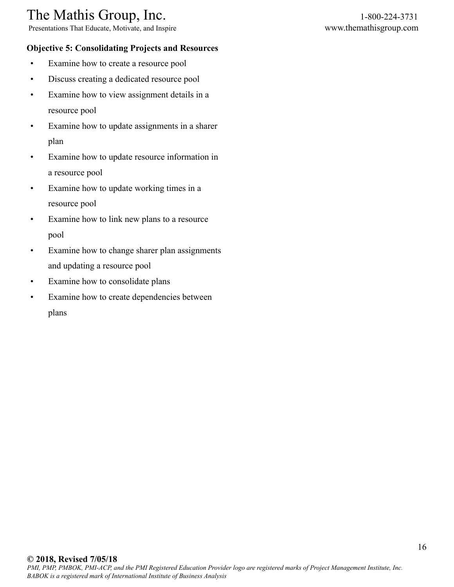Presentations That Educate, Motivate, and Inspire www.themathisgroup.com

# **Objective 5: Consolidating Projects and Resources**

- Examine how to create a resource pool
- Discuss creating a dedicated resource pool
- Examine how to view assignment details in a resource pool
- Examine how to update assignments in a sharer plan
- Examine how to update resource information in a resource pool
- Examine how to update working times in a resource pool
- Examine how to link new plans to a resource pool
- Examine how to change sharer plan assignments and updating a resource pool
- Examine how to consolidate plans
- Examine how to create dependencies between plans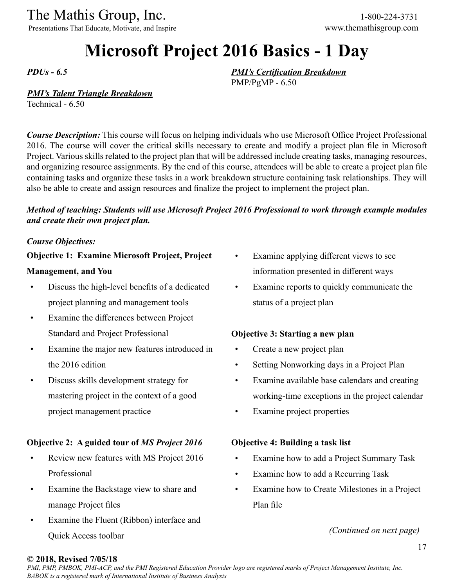Presentations That Educate, Motivate, and Inspire www.themathisgroup.com

# **Microsoft Project 2016 Basics - 1 Day**

*PDUs - 6.5*

*PMI's Certification Breakdown* PMP/PgMP - 6.50

# *PMI's Talent Triangle Breakdown*

Technical - 6.50

*Course Description:* This course will focus on helping individuals who use Microsoft Office Project Professional 2016. The course will cover the critical skills necessary to create and modify a project plan file in Microsoft Project. Various skills related to the project plan that will be addressed include creating tasks, managing resources, and organizing resource assignments. By the end of this course, attendees will be able to create a project plan file containing tasks and organize these tasks in a work breakdown structure containing task relationships. They will also be able to create and assign resources and finalize the project to implement the project plan.

# *Method of teaching: Students will use Microsoft Project 2016 Professional to work through example modules and create their own project plan.*

## *Course Objectives:*

## **Objective 1: Examine Microsoft Project, Project**

## **Management, and You**

- Discuss the high-level benefits of a dedicated project planning and management tools
- Examine the differences between Project Standard and Project Professional
- Examine the major new features introduced in the 2016 edition
- Discuss skills development strategy for mastering project in the context of a good project management practice

# **Objective 2: A guided tour of** *MS Project 2016*

- Review new features with MS Project 2016 Professional
- Examine the Backstage view to share and manage Project files
- Examine the Fluent (Ribbon) interface and Quick Access toolbar
- Examine applying different views to see information presented in different ways
- Examine reports to quickly communicate the status of a project plan

# **Objective 3: Starting a new plan**

- Create a new project plan
- Setting Nonworking days in a Project Plan
- Examine available base calendars and creating working-time exceptions in the project calendar
- Examine project properties

## **Objective 4: Building a task list**

- Examine how to add a Project Summary Task
- Examine how to add a Recurring Task
- Examine how to Create Milestones in a Project Plan file

*(Continued on next page)*

## **© 2018, Revised 7/05/18**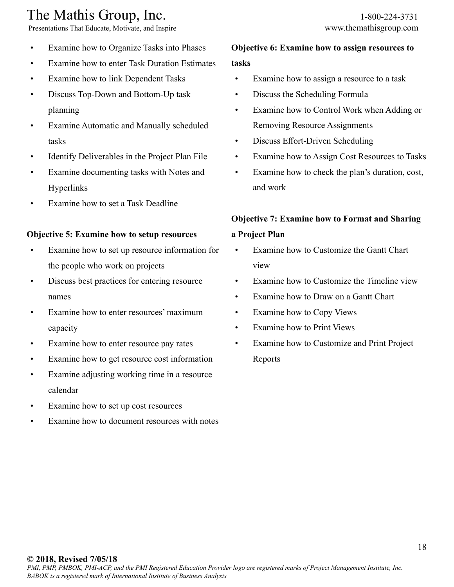Presentations That Educate, Motivate, and Inspire www.themathisgroup.com

- Examine how to enter Task Duration Estimates
- Examine how to link Dependent Tasks
- Discuss Top-Down and Bottom-Up task planning
- Examine Automatic and Manually scheduled tasks
- Identify Deliverables in the Project Plan File
- Examine documenting tasks with Notes and Hyperlinks
- Examine how to set a Task Deadline

# **Objective 5: Examine how to setup resources**

- Examine how to set up resource information for the people who work on projects
- Discuss best practices for entering resource names
- Examine how to enter resources' maximum capacity
- Examine how to enter resource pay rates
- Examine how to get resource cost information
- Examine adjusting working time in a resource calendar
- Examine how to set up cost resources
- Examine how to document resources with notes

# **Objective 6: Examine how to assign resources to tasks**

- Examine how to assign a resource to a task
- Discuss the Scheduling Formula
- Examine how to Control Work when Adding or Removing Resource Assignments
- Discuss Effort-Driven Scheduling
- Examine how to Assign Cost Resources to Tasks
- Examine how to check the plan's duration, cost, and work

# **Objective 7: Examine how to Format and Sharing**

# **a Project Plan**

- Examine how to Customize the Gantt Chart view
- Examine how to Customize the Timeline view
- Examine how to Draw on a Gantt Chart
- Examine how to Copy Views
- Examine how to Print Views
- Examine how to Customize and Print Project Reports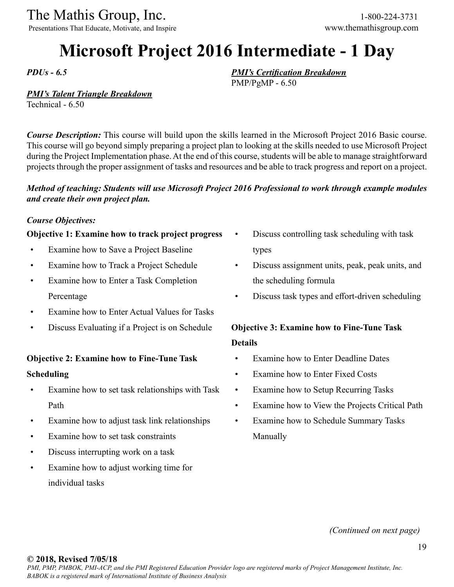Presentations That Educate, Motivate, and Inspire www.themathisgroup.com

# **Microsoft Project 2016 Intermediate - 1 Day**

*PMI's Certification Breakdown*

PMP/PgMP - 6.50

*PDUs - 6.5*

## *PMI's Talent Triangle Breakdown*

Technical - 6.50

*Course Description:* This course will build upon the skills learned in the Microsoft Project 2016 Basic course. This course will go beyond simply preparing a project plan to looking at the skills needed to use Microsoft Project during the Project Implementation phase. At the end of this course, students will be able to manage straightforward projects through the proper assignment of tasks and resources and be able to track progress and report on a project.

## *Method of teaching: Students will use Microsoft Project 2016 Professional to work through example modules and create their own project plan.*

#### *Course Objectives:*

## **Objective 1: Examine how to track project progress**

- Examine how to Save a Project Baseline
- Examine how to Track a Project Schedule
- Examine how to Enter a Task Completion Percentage
- Examine how to Enter Actual Values for Tasks
- Discuss Evaluating if a Project is on Schedule

# **Objective 2: Examine how to Fine-Tune Task Scheduling**

- Examine how to set task relationships with Task Path
- Examine how to adjust task link relationships
- Examine how to set task constraints
- Discuss interrupting work on a task
- Examine how to adjust working time for individual tasks
- Discuss controlling task scheduling with task types
- Discuss assignment units, peak, peak units, and the scheduling formula
- Discuss task types and effort-driven scheduling

# **Objective 3: Examine how to Fine-Tune Task Details**

- Examine how to Enter Deadline Dates
- Examine how to Enter Fixed Costs
- Examine how to Setup Recurring Tasks
- Examine how to View the Projects Critical Path
- Examine how to Schedule Summary Tasks Manually

*(Continued on next page)*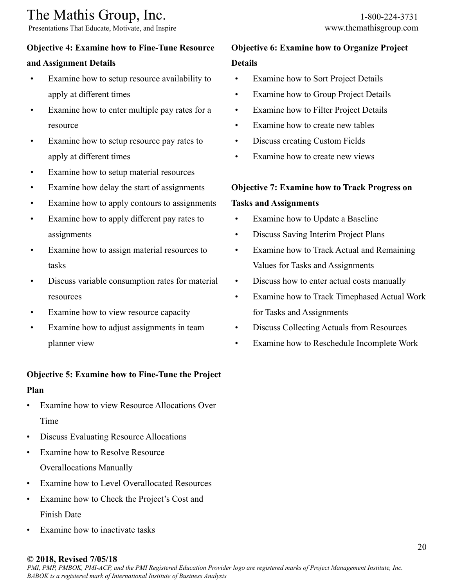Presentations That Educate, Motivate, and Inspire www.themathisgroup.com

# **Objective 4: Examine how to Fine-Tune Resource**

# **and Assignment Details**

- Examine how to setup resource availability to apply at different times
- Examine how to enter multiple pay rates for a resource
- Examine how to setup resource pay rates to apply at different times
- Examine how to setup material resources
- Examine how delay the start of assignments
- Examine how to apply contours to assignments
- Examine how to apply different pay rates to assignments
- Examine how to assign material resources to tasks
- Discuss variable consumption rates for material resources
- Examine how to view resource capacity
- Examine how to adjust assignments in team planner view

#### **Objective 5: Examine how to Fine-Tune the Project**

#### **Plan**

- Examine how to view Resource Allocations Over Time
- Discuss Evaluating Resource Allocations
- Examine how to Resolve Resource Overallocations Manually
- Examine how to Level Overallocated Resources
- Examine how to Check the Project's Cost and Finish Date
- Examine how to inactivate tasks

# **Objective 6: Examine how to Organize Project Details**

- Examine how to Sort Project Details
- Examine how to Group Project Details
- Examine how to Filter Project Details
- Examine how to create new tables
- Discuss creating Custom Fields
- Examine how to create new views

#### **Objective 7: Examine how to Track Progress on**

#### **Tasks and Assignments**

- Examine how to Update a Baseline
- Discuss Saving Interim Project Plans
- Examine how to Track Actual and Remaining Values for Tasks and Assignments
- Discuss how to enter actual costs manually
- Examine how to Track Timephased Actual Work for Tasks and Assignments
- Discuss Collecting Actuals from Resources
- Examine how to Reschedule Incomplete Work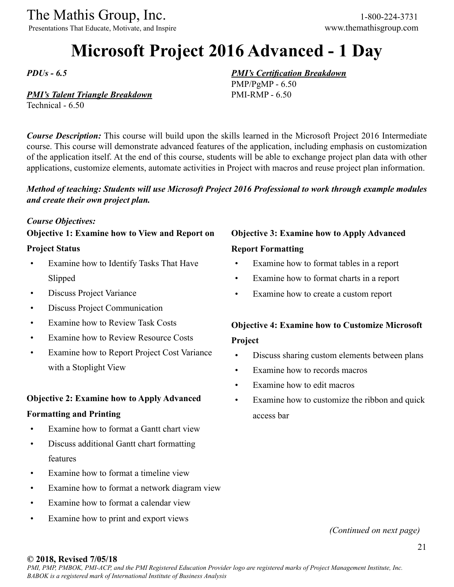Presentations That Educate, Motivate, and Inspire www.themathisgroup.com

# **Microsoft Project 2016 Advanced - 1 Day**

*PDUs - 6.5*

### *PMI's Talent Triangle Breakdown*

Technical - 6.50

*Course Description:* This course will build upon the skills learned in the Microsoft Project 2016 Intermediate course. This course will demonstrate advanced features of the application, including emphasis on customization of the application itself. At the end of this course, students will be able to exchange project plan data with other applications, customize elements, automate activities in Project with macros and reuse project plan information.

## *Method of teaching: Students will use Microsoft Project 2016 Professional to work through example modules and create their own project plan.*

#### *Course Objectives:*

# **Objective 1: Examine how to View and Report on**

#### **Project Status**

- Examine how to Identify Tasks That Have Slipped
- Discuss Project Variance
- Discuss Project Communication
- Examine how to Review Task Costs
- Examine how to Review Resource Costs
- Examine how to Report Project Cost Variance with a Stoplight View

#### **Objective 2: Examine how to Apply Advanced**

#### **Formatting and Printing**

- Examine how to format a Gantt chart view
- Discuss additional Gantt chart formatting features
- Examine how to format a timeline view
- Examine how to format a network diagram view
- Examine how to format a calendar view
- Examine how to print and export views

# **Objective 3: Examine how to Apply Advanced Report Formatting**

*PMI's Certification Breakdown*

PMP/PgMP - 6.50 PMI-RMP - 6.50

- Examine how to format tables in a report
- Examine how to format charts in a report
- Examine how to create a custom report

# **Objective 4: Examine how to Customize Microsoft Project**

- Discuss sharing custom elements between plans
- Examine how to records macros
- Examine how to edit macros
- Examine how to customize the ribbon and quick access bar

*(Continued on next page)*

#### **© 2018, Revised 7/05/18**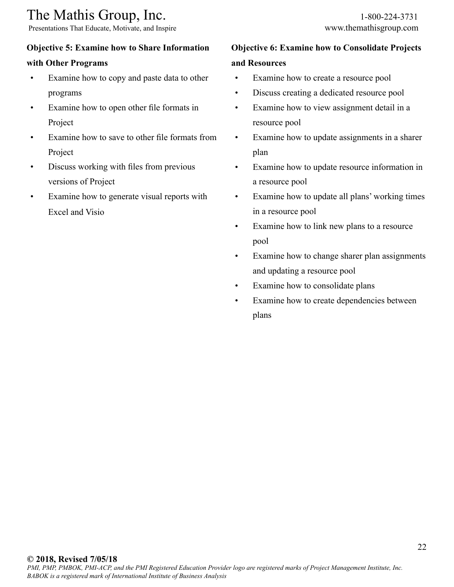Presentations That Educate, Motivate, and Inspire www.themathisgroup.com

# **Objective 5: Examine how to Share Information**

# **with Other Programs**

- Examine how to copy and paste data to other programs
- Examine how to open other file formats in Project
- Examine how to save to other file formats from Project
- Discuss working with files from previous versions of Project
- Examine how to generate visual reports with Excel and Visio

# **Objective 6: Examine how to Consolidate Projects**

# **and Resources**

- Examine how to create a resource pool
- Discuss creating a dedicated resource pool
- Examine how to view assignment detail in a resource pool
- Examine how to update assignments in a sharer plan
- Examine how to update resource information in a resource pool
- Examine how to update all plans' working times in a resource pool
- Examine how to link new plans to a resource pool
- Examine how to change sharer plan assignments and updating a resource pool
- Examine how to consolidate plans
- Examine how to create dependencies between plans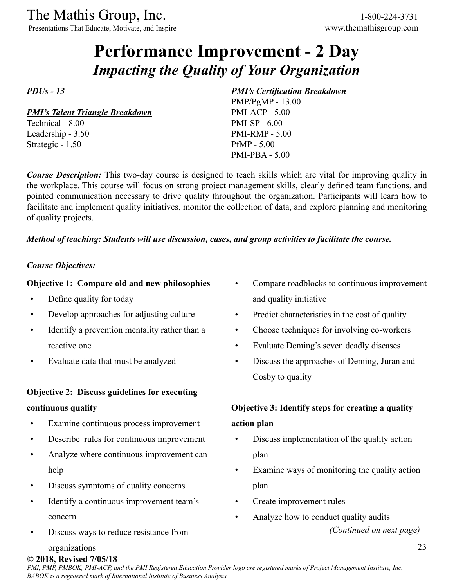Presentations That Educate, Motivate, and Inspire www.themathisgroup.com

# **Performance Improvement - 2 Day** *Impacting the Quality of Your Organization*

*PDUs - 13*

*PMI's Talent Triangle Breakdown*

Technical - 8.00 Leadership - 3.50 Strategic - 1.50

## *PMI's Certification Breakdown*

PMP/PgMP - 13.00 PMI-ACP - 5.00 PMI-SP - 6.00 PMI-RMP - 5.00 PfMP - 5.00 PMI-PBA - 5.00

*Course Description:* This two-day course is designed to teach skills which are vital for improving quality in the workplace. This course will focus on strong project management skills, clearly defined team functions, and pointed communication necessary to drive quality throughout the organization. Participants will learn how to facilitate and implement quality initiatives, monitor the collection of data, and explore planning and monitoring of quality projects.

## *Method of teaching: Students will use discussion, cases, and group activities to facilitate the course.*

# *Course Objectives:*

# **Objective 1: Compare old and new philosophies**

- Define quality for today
- Develop approaches for adjusting culture
- Identify a prevention mentality rather than a reactive one
- Evaluate data that must be analyzed

## **Objective 2: Discuss guidelines for executing**

#### **continuous quality**

- Examine continuous process improvement
- Describe rules for continuous improvement
- Analyze where continuous improvement can help
- Discuss symptoms of quality concerns
- Identify a continuous improvement team's concern
- Discuss ways to reduce resistance from
- Compare roadblocks to continuous improvement and quality initiative
- Predict characteristics in the cost of quality
- Choose techniques for involving co-workers
- Evaluate Deming's seven deadly diseases
- Discuss the approaches of Deming, Juran and Cosby to quality

# **Objective 3: Identify steps for creating a quality action plan**

- Discuss implementation of the quality action plan
- Examine ways of monitoring the quality action plan
- Create improvement rules
- *(Continued on next page)* • Analyze how to conduct quality audits

organizations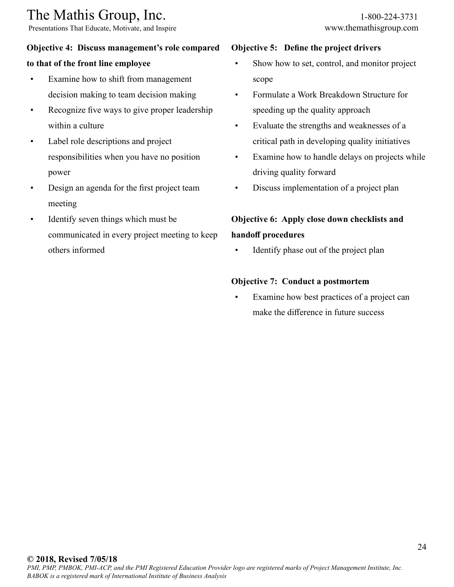Presentations That Educate, Motivate, and Inspire www.themathisgroup.com

# **Objective 4: Discuss management's role compared**

# **to that of the front line employee**

- Examine how to shift from management decision making to team decision making
- Recognize five ways to give proper leadership within a culture
- Label role descriptions and project responsibilities when you have no position power
- Design an agenda for the first project team meeting
- Identify seven things which must be communicated in every project meeting to keep others informed

#### **Objective 5: Define the project drivers**

- Show how to set, control, and monitor project scope
- Formulate a Work Breakdown Structure for speeding up the quality approach
- Evaluate the strengths and weaknesses of a critical path in developing quality initiatives
- Examine how to handle delays on projects while driving quality forward
- Discuss implementation of a project plan

# **Objective 6: Apply close down checklists and handoff procedures**

• Identify phase out of the project plan

#### **Objective 7: Conduct a postmortem**

Examine how best practices of a project can make the difference in future success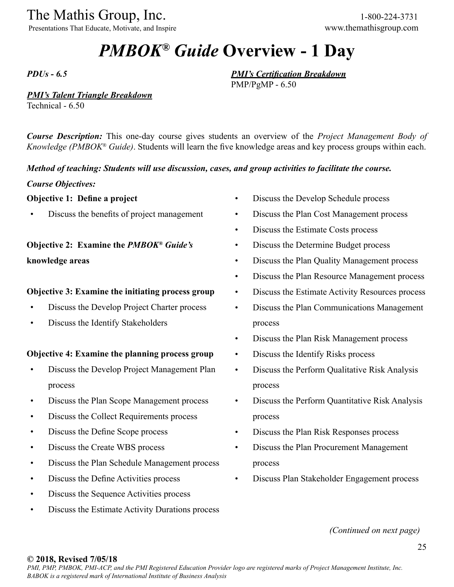Presentations That Educate, Motivate, and Inspire www.themathisgroup.com

# *PMBOK® Guide* **Overview - 1 Day**

*PDUs - 6.5*

*PMI's Talent Triangle Breakdown*

Technical - 6.50

*Course Description:* This one-day course gives students an overview of the *Project Management Body of Knowledge (PMBOK® Guide)*. Students will learn the five knowledge areas and key process groups within each.

*Method of teaching: Students will use discussion, cases, and group activities to facilitate the course.*

*Course Objectives:*

## **Objective 1: Define a project**

• Discuss the benefits of project management

**Objective 2: Examine the** *PMBOK® Guide's* **knowledge areas**

# **Objective 3: Examine the initiating process group**

- Discuss the Develop Project Charter process
- Discuss the Identify Stakeholders

## **Objective 4: Examine the planning process group**

- Discuss the Develop Project Management Plan process
- Discuss the Plan Scope Management process
- Discuss the Collect Requirements process
- Discuss the Define Scope process
- Discuss the Create WBS process
- Discuss the Plan Schedule Management process
- Discuss the Define Activities process
- Discuss the Sequence Activities process
- Discuss the Estimate Activity Durations process

• Discuss the Develop Schedule process

*PMI's Certification Breakdown*

PMP/PgMP - 6.50

- Discuss the Plan Cost Management process
- Discuss the Estimate Costs process
- Discuss the Determine Budget process
- Discuss the Plan Quality Management process
- Discuss the Plan Resource Management process
- Discuss the Estimate Activity Resources process
- Discuss the Plan Communications Management process
- Discuss the Plan Risk Management process
- Discuss the Identify Risks process
- Discuss the Perform Qualitative Risk Analysis process
- Discuss the Perform Quantitative Risk Analysis process
- Discuss the Plan Risk Responses process
- Discuss the Plan Procurement Management process
- Discuss Plan Stakeholder Engagement process

*(Continued on next page)*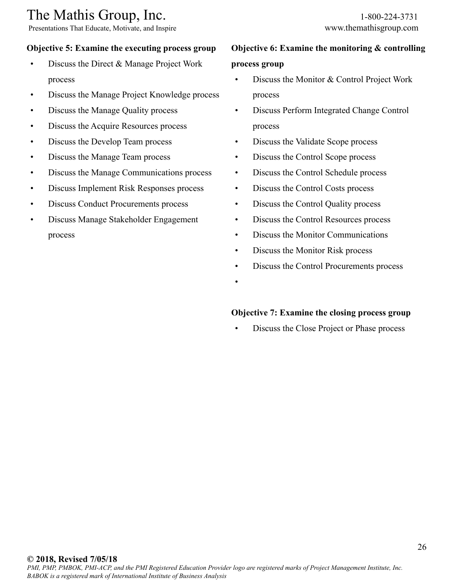# **Objective 5: Examine the executing process group**

- Discuss the Direct & Manage Project Work process
- Discuss the Manage Project Knowledge process
- Discuss the Manage Quality process
- Discuss the Acquire Resources process
- Discuss the Develop Team process
- Discuss the Manage Team process
- Discuss the Manage Communications process
- Discuss Implement Risk Responses process
- Discuss Conduct Procurements process
- Discuss Manage Stakeholder Engagement process

# **Objective 6: Examine the monitoring & controlling process group**

- Discuss the Monitor & Control Project Work process
- Discuss Perform Integrated Change Control process
- Discuss the Validate Scope process
- Discuss the Control Scope process
- Discuss the Control Schedule process
- Discuss the Control Costs process
- Discuss the Control Quality process
- Discuss the Control Resources process
- Discuss the Monitor Communications
- Discuss the Monitor Risk process
- Discuss the Control Procurements process
- •

# **Objective 7: Examine the closing process group**

• Discuss the Close Project or Phase process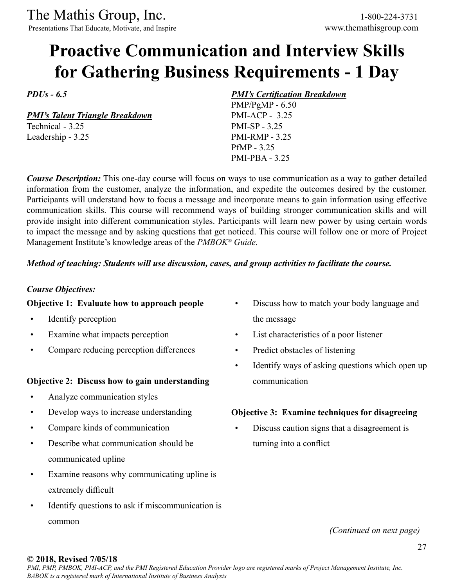The Mathis Group, Inc. 1-800-224-3731<br>
Presentations That Educate, Motivate, and Inspire www.themathisgroup.com

Presentations That Educate, Motivate, and Inspire

# **Proactive Communication and Interview Skills for Gathering Business Requirements - 1 Day**

*PDUs - 6.5*

*PMI's Talent Triangle Breakdown*

Technical - 3.25 Leadership - 3.25

# *PMI's Certification Breakdown*

PMP/PgMP - 6.50 PMI-ACP - 3.25 PMI-SP - 3.25 PMI-RMP - 3.25 PfMP - 3.25 PMI-PBA - 3.25

*Course Description:* This one-day course will focus on ways to use communication as a way to gather detailed information from the customer, analyze the information, and expedite the outcomes desired by the customer. Participants will understand how to focus a message and incorporate means to gain information using effective communication skills. This course will recommend ways of building stronger communication skills and will provide insight into different communication styles. Participants will learn new power by using certain words to impact the message and by asking questions that get noticed. This course will follow one or more of Project Management Institute's knowledge areas of the *PMBOK® Guide*.

#### *Method of teaching: Students will use discussion, cases, and group activities to facilitate the course.*

### *Course Objectives:*

## **Objective 1: Evaluate how to approach people**

- Identify perception
- Examine what impacts perception
- Compare reducing perception differences

## **Objective 2: Discuss how to gain understanding**

- Analyze communication styles
- Develop ways to increase understanding
- Compare kinds of communication
- Describe what communication should be communicated upline
- Examine reasons why communicating upline is extremely difficult
- Identify questions to ask if miscommunication is common
- Discuss how to match your body language and the message
- List characteristics of a poor listener
- Predict obstacles of listening
- Identify ways of asking questions which open up communication

## **Objective 3: Examine techniques for disagreeing**

• Discuss caution signs that a disagreement is turning into a conflict

*(Continued on next page)*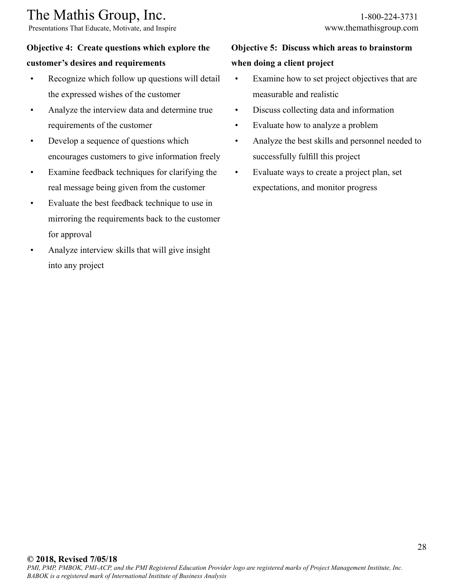Presentations That Educate, Motivate, and Inspire www.themathisgroup.com

# **Objective 4: Create questions which explore the**

# **customer's desires and requirements**

- Recognize which follow up questions will detail the expressed wishes of the customer
- Analyze the interview data and determine true requirements of the customer
- Develop a sequence of questions which encourages customers to give information freely
- Examine feedback techniques for clarifying the real message being given from the customer
- Evaluate the best feedback technique to use in mirroring the requirements back to the customer for approval
- Analyze interview skills that will give insight into any project

# **Objective 5: Discuss which areas to brainstorm when doing a client project**

- Examine how to set project objectives that are measurable and realistic
- Discuss collecting data and information
- Evaluate how to analyze a problem
- Analyze the best skills and personnel needed to successfully fulfill this project
- Evaluate ways to create a project plan, set expectations, and monitor progress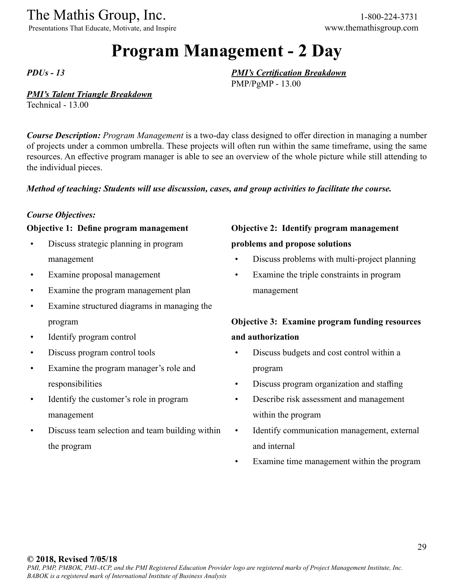Presentations That Educate, Motivate, and Inspire www.themathisgroup.com

# **Program Management - 2 Day**

*PDUs - 13*

# *PMI's Talent Triangle Breakdown*

Technical - 13.00

*Course Description: Program Management* is a two-day class designed to offer direction in managing a number of projects under a common umbrella. These projects will often run within the same timeframe, using the same resources. An effective program manager is able to see an overview of the whole picture while still attending to the individual pieces.

## *Method of teaching: Students will use discussion, cases, and group activities to facilitate the course.*

#### *Course Objectives:*

#### **Objective 1: Define program management**

- Discuss strategic planning in program management
- Examine proposal management
- Examine the program management plan
- Examine structured diagrams in managing the program
- Identify program control
- Discuss program control tools
- Examine the program manager's role and responsibilities
- Identify the customer's role in program management
- Discuss team selection and team building within the program

# **Objective 2: Identify program management**

#### **problems and propose solutions**

*PMI's Certification Breakdown*

PMP/PgMP - 13.00

- Discuss problems with multi-project planning
- Examine the triple constraints in program management

# **Objective 3: Examine program funding resources and authorization**

- Discuss budgets and cost control within a program
- Discuss program organization and staffing
- Describe risk assessment and management within the program
- Identify communication management, external and internal
- Examine time management within the program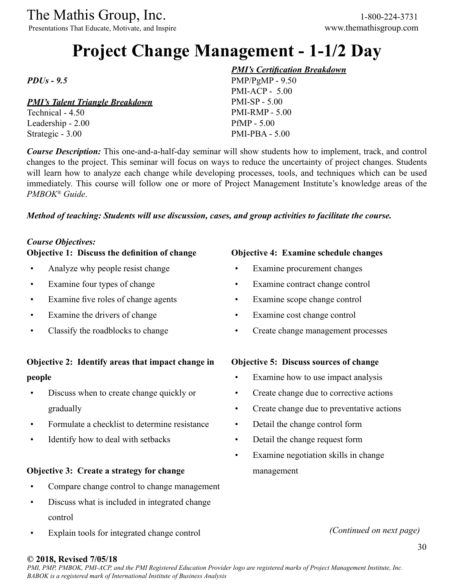Presentations That Educate, Motivate, and Inspire www.themathisgroup.com

# **Project Change Management - 1-1/2 Day**

*PDUs - 9.5*

# *PMI's Talent Triangle Breakdown*

Technical - 4.50 Leadership - 2.00 Strategic - 3.00

#### *PMI's Certification Breakdown*

PMP/PgMP - 9.50 PMI-ACP - 5.00 PMI-SP - 5.00 PMI-RMP - 5.00 PfMP - 5.00 PMI-PBA - 5.00

*Course Description:* This one-and-a-half-day seminar will show students how to implement, track, and control changes to the project. This seminar will focus on ways to reduce the uncertainty of project changes. Students will learn how to analyze each change while developing processes, tools, and techniques which can be used immediately. This course will follow one or more of Project Management Institute's knowledge areas of the *PMBOK® Guide*.

#### *Method of teaching: Students will use discussion, cases, and group activities to facilitate the course.*

## *Course Objectives:*

#### **Objective 1: Discuss the definition of change**

- Analyze why people resist change
- Examine four types of change
- Examine five roles of change agents
- Examine the drivers of change
- Classify the roadblocks to change

# **Objective 2: Identify areas that impact change in people**

- Discuss when to create change quickly or gradually
- Formulate a checklist to determine resistance
- Identify how to deal with setbacks

## **Objective 3: Create a strategy for change**

- Compare change control to change management
- Discuss what is included in integrated change control
- Explain tools for integrated change control

# **Objective 4: Examine schedule changes**

- Examine procurement changes
- Examine contract change control
- Examine scope change control
- Examine cost change control
- Create change management processes

## **Objective 5: Discuss sources of change**

- Examine how to use impact analysis
- Create change due to corrective actions
- Create change due to preventative actions
- Detail the change control form
- Detail the change request form
- Examine negotiation skills in change management

*(Continued on next page)*

## **© 2018, Revised 7/05/18**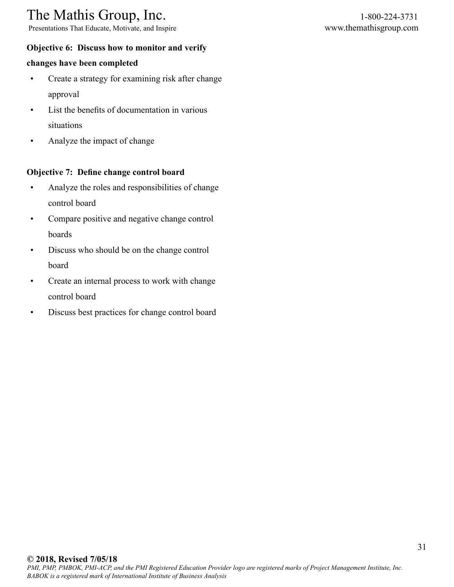Presentations That Educate, Motivate, and Inspire www.themathisgroup.com

# **Objective 6: Discuss how to monitor and verify**

## **changes have been completed**

- Create a strategy for examining risk after change approval
- List the benefits of documentation in various situations
- Analyze the impact of change

## **Objective 7: Define change control board**

- Analyze the roles and responsibilities of change control board
- Compare positive and negative change control boards
- Discuss who should be on the change control board
- Create an internal process to work with change control board
- Discuss best practices for change control board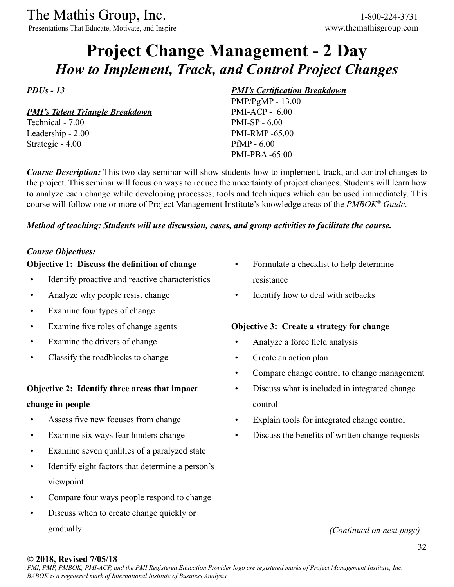Presentations That Educate, Motivate, and Inspire www.themathisgroup.com

# **Project Change Management - 2 Day** *How to Implement, Track, and Control Project Changes*

*PDUs - 13*

*PMI's Talent Triangle Breakdown*

Technical - 7.00 Leadership - 2.00 Strategic - 4.00

## *PMI's Certification Breakdown*

PMP/PgMP - 13.00 PMI-ACP - 6.00 PMI-SP - 6.00 PMI-RMP -65.00 PfMP - 6.00 PMI-PBA -65.00

*Course Description:* This two-day seminar will show students how to implement, track, and control changes to the project. This seminar will focus on ways to reduce the uncertainty of project changes. Students will learn how to analyze each change while developing processes, tools and techniques which can be used immediately. This course will follow one or more of Project Management Institute's knowledge areas of the *PMBOK® Guide*.

## *Method of teaching: Students will use discussion, cases, and group activities to facilitate the course.*

## *Course Objectives:*

## **Objective 1: Discuss the definition of change**

- Identify proactive and reactive characteristics
- Analyze why people resist change
- Examine four types of change
- Examine five roles of change agents
- Examine the drivers of change
- Classify the roadblocks to change

# **Objective 2: Identify three areas that impact**

## **change in people**

- Assess five new focuses from change
- Examine six ways fear hinders change
- Examine seven qualities of a paralyzed state
- Identify eight factors that determine a person's viewpoint
- Compare four ways people respond to change
- Discuss when to create change quickly or gradually
- Formulate a checklist to help determine resistance
- Identify how to deal with setbacks

# **Objective 3: Create a strategy for change**

- Analyze a force field analysis
- Create an action plan
- Compare change control to change management
- Discuss what is included in integrated change control
- Explain tools for integrated change control
- Discuss the benefits of written change requests

## *(Continued on next page)*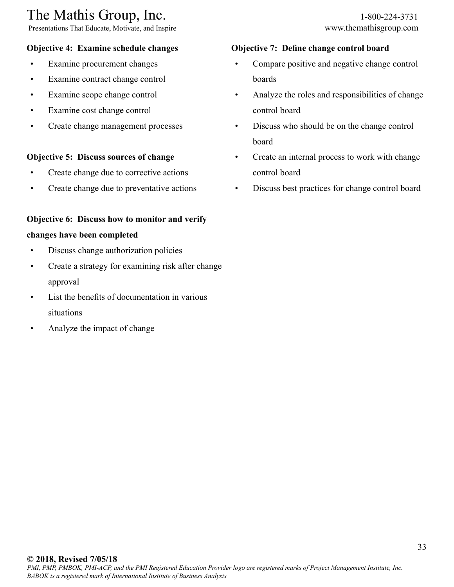Presentations That Educate, Motivate, and Inspire www.themathisgroup.com

## **Objective 4: Examine schedule changes**

- Examine procurement changes
- Examine contract change control
- Examine scope change control
- Examine cost change control
- Create change management processes

#### **Objective 5: Discuss sources of change**

- Create change due to corrective actions
- Create change due to preventative actions

# **Objective 6: Discuss how to monitor and verify**

#### **changes have been completed**

- Discuss change authorization policies
- Create a strategy for examining risk after change approval
- List the benefits of documentation in various situations
- Analyze the impact of change

#### **Objective 7: Define change control board**

- Compare positive and negative change control boards
- Analyze the roles and responsibilities of change control board
- Discuss who should be on the change control board
- Create an internal process to work with change control board
- Discuss best practices for change control board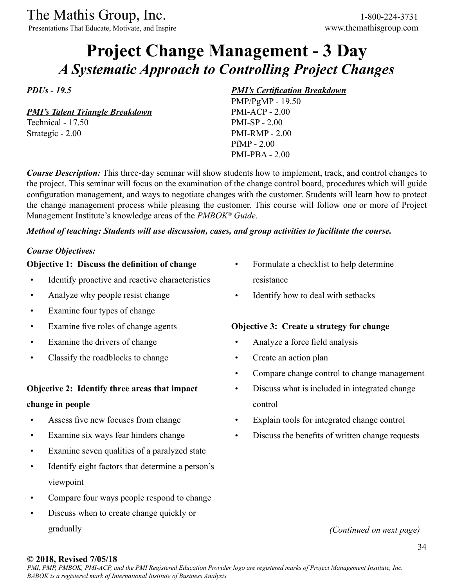Presentations That Educate, Motivate, and Inspire www.themathisgroup.com

# **Project Change Management - 3 Day** *A Systematic Approach to Controlling Project Changes*

*PDUs - 19.5*

*PMI's Talent Triangle Breakdown*

Technical - 17.50 Strategic - 2.00

#### *PMI's Certification Breakdown*

PMP/PgMP - 19.50 PMI-ACP - 2.00 PMI-SP - 2.00 PMI-RMP - 2.00 PfMP - 2.00 PMI-PBA - 2.00

*Course Description:* This three-day seminar will show students how to implement, track, and control changes to the project. This seminar will focus on the examination of the change control board, procedures which will guide configuration management, and ways to negotiate changes with the customer. Students will learn how to protect the change management process while pleasing the customer. This course will follow one or more of Project Management Institute's knowledge areas of the *PMBOK® Guide*.

## *Method of teaching: Students will use discussion, cases, and group activities to facilitate the course.*

#### *Course Objectives:*

## **Objective 1: Discuss the definition of change**

- Identify proactive and reactive characteristics
- Analyze why people resist change
- Examine four types of change
- Examine five roles of change agents
- Examine the drivers of change
- Classify the roadblocks to change

# **Objective 2: Identify three areas that impact**

## **change in people**

- Assess five new focuses from change
- Examine six ways fear hinders change
- Examine seven qualities of a paralyzed state
- Identify eight factors that determine a person's viewpoint
- Compare four ways people respond to change
- Discuss when to create change quickly or gradually
- Formulate a checklist to help determine resistance
- Identify how to deal with setbacks

# **Objective 3: Create a strategy for change**

- Analyze a force field analysis
- Create an action plan
- Compare change control to change management
- Discuss what is included in integrated change control
- Explain tools for integrated change control
- Discuss the benefits of written change requests

## *(Continued on next page)*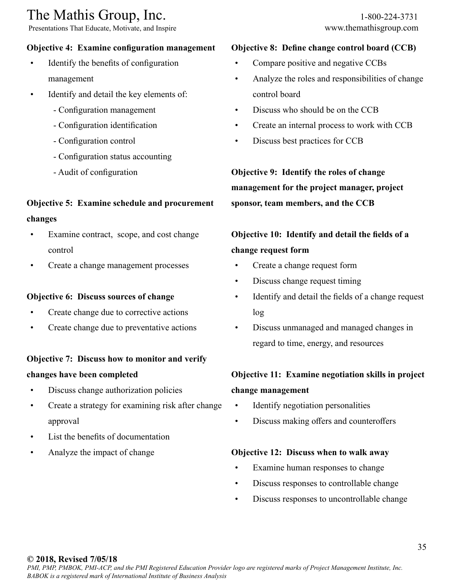Presentations That Educate, Motivate, and Inspire www.themathisgroup.com

# **Objective 4: Examine configuration management**

- Identify the benefits of configuration management
- Identify and detail the key elements of:
	- Configuration management
	- Configuration identification
	- Configuration control
	- Configuration status accounting
	- Audit of configuration

# **Objective 5: Examine schedule and procurement changes**

- Examine contract, scope, and cost change control
- Create a change management processes

## **Objective 6: Discuss sources of change**

- Create change due to corrective actions
- Create change due to preventative actions

## **Objective 7: Discuss how to monitor and verify**

## **changes have been completed**

- Discuss change authorization policies
- Create a strategy for examining risk after change approval
- List the benefits of documentation
- Analyze the impact of change

## **Objective 8: Define change control board (CCB)**

- Compare positive and negative CCBs
- Analyze the roles and responsibilities of change control board
- Discuss who should be on the CCB
- Create an internal process to work with CCB
- Discuss best practices for CCB

**Objective 9: Identify the roles of change management for the project manager, project sponsor, team members, and the CCB**

# **Objective 10: Identify and detail the fields of a change request form**

- Create a change request form
- Discuss change request timing
- Identify and detail the fields of a change request log
- Discuss unmanaged and managed changes in regard to time, energy, and resources

# **Objective 11: Examine negotiation skills in project change management**

- Identify negotiation personalities
- Discuss making offers and counteroffers

# **Objective 12: Discuss when to walk away**

- Examine human responses to change
- Discuss responses to controllable change
- Discuss responses to uncontrollable change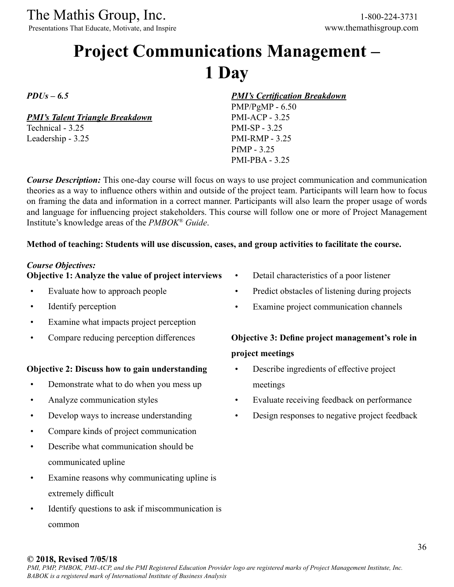Presentations That Educate, Motivate, and Inspire www.themathisgroup.com

# **Project Communications Management – 1 Day**

*PDUs – 6.5*

*PMI's Talent Triangle Breakdown*

Technical - 3.25 Leadership - 3.25 *PMI's Certification Breakdown*

PMP/PgMP - 6.50 PMI-ACP - 3.25 PMI-SP - 3.25 PMI-RMP - 3.25 PfMP - 3.25 PMI-PBA - 3.25

*Course Description:* This one-day course will focus on ways to use project communication and communication theories as a way to influence others within and outside of the project team. Participants will learn how to focus on framing the data and information in a correct manner. Participants will also learn the proper usage of words and language for influencing project stakeholders. This course will follow one or more of Project Management Institute's knowledge areas of the *PMBOK® Guide*.

#### **Method of teaching: Students will use discussion, cases, and group activities to facilitate the course.**

#### *Course Objectives:*

#### **Objective 1: Analyze the value of project interviews**

- Evaluate how to approach people
- Identify perception
- Examine what impacts project perception
- Compare reducing perception differences

#### **Objective 2: Discuss how to gain understanding**

- Demonstrate what to do when you mess up
- Analyze communication styles
- Develop ways to increase understanding
- Compare kinds of project communication
- Describe what communication should be communicated upline
- Examine reasons why communicating upline is extremely difficult
- Identify questions to ask if miscommunication is common
- Detail characteristics of a poor listener
- Predict obstacles of listening during projects
- Examine project communication channels

# **Objective 3: Define project management's role in project meetings**

- Describe ingredients of effective project meetings
- Evaluate receiving feedback on performance
- Design responses to negative project feedback

#### **© 2018, Revised 7/05/18**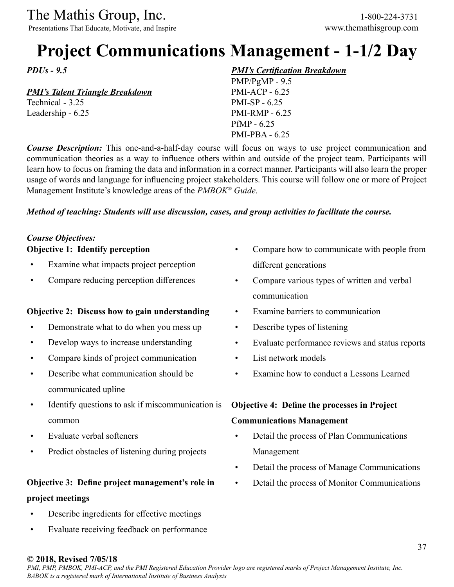Presentations That Educate, Motivate, and Inspire www.themathisgroup.com

# **Project Communications Management - 1-1/2 Day**

*PDUs - 9.5*

#### *PMI's Talent Triangle Breakdown*

Technical - 3.25 Leadership - 6.25

#### *PMI's Certification Breakdown*

PMP/PgMP - 9.5 PMI-ACP - 6.25 PMI-SP - 6.25 PMI-RMP - 6.25 PfMP - 6.25 PMI-PBA - 6.25

*Course Description:* This one-and-a-half-day course will focus on ways to use project communication and communication theories as a way to influence others within and outside of the project team. Participants will learn how to focus on framing the data and information in a correct manner. Participants will also learn the proper usage of words and language for influencing project stakeholders. This course will follow one or more of Project Management Institute's knowledge areas of the *PMBOK® Guide*.

#### *Method of teaching: Students will use discussion, cases, and group activities to facilitate the course.*

#### *Course Objectives:* **Objective 1: Identify perception**

- Examine what impacts project perception
- Compare reducing perception differences

#### **Objective 2: Discuss how to gain understanding**

- Demonstrate what to do when you mess up
- Develop ways to increase understanding
- Compare kinds of project communication
- Describe what communication should be communicated upline
- Identify questions to ask if miscommunication is common
- Evaluate verbal softeners
- Predict obstacles of listening during projects

## **Objective 3: Define project management's role in project meetings**

- Describe ingredients for effective meetings
- Evaluate receiving feedback on performance
- Compare how to communicate with people from different generations
- Compare various types of written and verbal communication
- Examine barriers to communication
- Describe types of listening
- Evaluate performance reviews and status reports
- List network models
- Examine how to conduct a Lessons Learned

#### **Objective 4: Define the processes in Project**

#### **Communications Management**

- Detail the process of Plan Communications Management
- Detail the process of Manage Communications
- Detail the process of Monitor Communications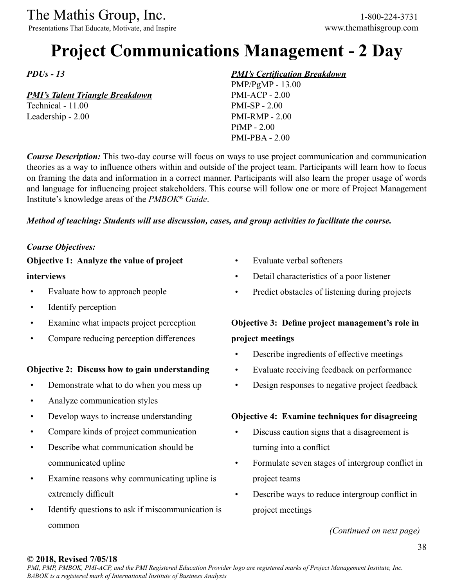The Mathis Group, Inc. 1-800-224-3731<br>
Presentations That Educate, Motivate, and Inspire www.themathisgroup.com

Presentations That Educate, Motivate, and Inspire

# **Project Communications Management - 2 Day**

*PDUs - 13*

#### *PMI's Talent Triangle Breakdown*

Technical - 11.00 Leadership - 2.00

#### *PMI's Certification Breakdown*

PMP/PgMP - 13.00 PMI-ACP - 2.00 PMI-SP - 2.00 PMI-RMP - 2.00 PfMP - 2.00 PMI-PBA - 2.00

*Course Description:* This two-day course will focus on ways to use project communication and communication theories as a way to influence others within and outside of the project team. Participants will learn how to focus on framing the data and information in a correct manner. Participants will also learn the proper usage of words and language for influencing project stakeholders. This course will follow one or more of Project Management Institute's knowledge areas of the *PMBOK® Guide*.

#### *Method of teaching: Students will use discussion, cases, and group activities to facilitate the course.*

#### *Course Objectives:*

#### **Objective 1: Analyze the value of project**

#### **interviews**

- Evaluate how to approach people
- Identify perception
- Examine what impacts project perception
- Compare reducing perception differences

#### **Objective 2: Discuss how to gain understanding**

- Demonstrate what to do when you mess up
- Analyze communication styles
- Develop ways to increase understanding
- Compare kinds of project communication
- Describe what communication should be communicated upline
- Examine reasons why communicating upline is extremely difficult
- Identify questions to ask if miscommunication is common
- Evaluate verbal softeners
- Detail characteristics of a poor listener
- Predict obstacles of listening during projects

## **Objective 3: Define project management's role in project meetings**

- Describe ingredients of effective meetings
- Evaluate receiving feedback on performance
- Design responses to negative project feedback

#### **Objective 4: Examine techniques for disagreeing**

- Discuss caution signs that a disagreement is turning into a conflict
- Formulate seven stages of intergroup conflict in project teams
- Describe ways to reduce intergroup conflict in project meetings

*(Continued on next page)*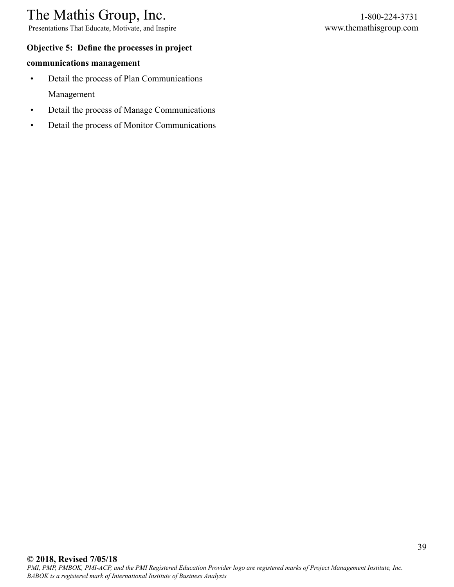Presentations That Educate, Motivate, and Inspire www.themathisgroup.com

#### **Objective 5: Define the processes in project**

#### **communications management**

- Detail the process of Plan Communications Management
- Detail the process of Manage Communications
- Detail the process of Monitor Communications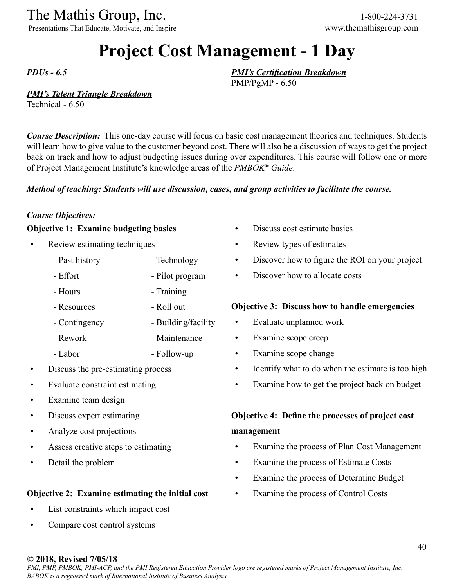Presentations That Educate, Motivate, and Inspire www.themathisgroup.com

# **Project Cost Management - 1 Day**

*PDUs - 6.5*

#### *PMI's Talent Triangle Breakdown*

Technical - 6.50

*Course Description:* This one-day course will focus on basic cost management theories and techniques. Students will learn how to give value to the customer beyond cost. There will also be a discussion of ways to get the project back on track and how to adjust budgeting issues during over expenditures. This course will follow one or more of Project Management Institute's knowledge areas of the *PMBOK® Guide*.

#### *Method of teaching: Students will use discussion, cases, and group activities to facilitate the course.*

#### *Course Objectives:*

#### **Objective 1: Examine budgeting basics**

- Review estimating techniques
	- Past history - Technology
	- Effort - Pilot program
	- Hours - Training
	- Resources
	- Contingency - Building/facility

- Roll out

- Rework - Maintenance
- Labor - Follow-up
- Discuss the pre-estimating process
- Evaluate constraint estimating
- Examine team design
- Discuss expert estimating
- Analyze cost projections
- Assess creative steps to estimating
- Detail the problem

#### **Objective 2: Examine estimating the initial cost**

- List constraints which impact cost
- Compare cost control systems
- Discuss cost estimate basics
- Review types of estimates

*PMI's Certification Breakdown*

PMP/PgMP - 6.50

- Discover how to figure the ROI on your project
- Discover how to allocate costs

#### **Objective 3: Discuss how to handle emergencies**

- Evaluate unplanned work
- Examine scope creep
- Examine scope change
- Identify what to do when the estimate is too high
- Examine how to get the project back on budget

## **Objective 4: Define the processes of project cost management**

- Examine the process of Plan Cost Management
- Examine the process of Estimate Costs
- Examine the process of Determine Budget
- Examine the process of Control Costs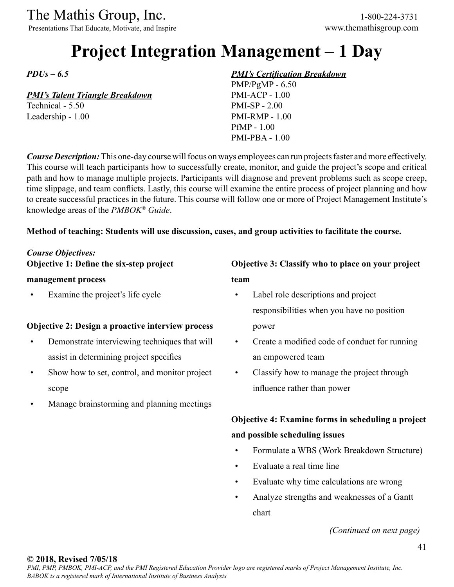Presentations That Educate, Motivate, and Inspire www.themathisgroup.com

# **Project Integration Management – 1 Day**

*PDUs – 6.5*

#### *PMI's Talent Triangle Breakdown*

Technical - 5.50 Leadership - 1.00

#### *PMI's Certification Breakdown*

PMP/PgMP - 6.50 PMI-ACP - 1.00 PMI-SP - 2.00 PMI-RMP - 1.00 PfMP - 1.00 PMI-PBA - 1.00

*Course Description:* This one-day course will focus on ways employees can run projects faster and more effectively. This course will teach participants how to successfully create, monitor, and guide the project's scope and critical path and how to manage multiple projects. Participants will diagnose and prevent problems such as scope creep, time slippage, and team conflicts. Lastly, this course will examine the entire process of project planning and how to create successful practices in the future. This course will follow one or more of Project Management Institute's knowledge areas of the *PMBOK® Guide*.

#### **Method of teaching: Students will use discussion, cases, and group activities to facilitate the course.**

#### *Course Objectives:*

**Objective 1: Define the six-step project** 

#### **management process**

Examine the project's life cycle

#### **Objective 2: Design a proactive interview process**

- Demonstrate interviewing techniques that will assist in determining project specifics
- Show how to set, control, and monitor project scope
- Manage brainstorming and planning meetings

### **Objective 3: Classify who to place on your project team**

- Label role descriptions and project responsibilities when you have no position power
- Create a modified code of conduct for running an empowered team
- Classify how to manage the project through influence rather than power

### **Objective 4: Examine forms in scheduling a project and possible scheduling issues**

- Formulate a WBS (Work Breakdown Structure)
- Evaluate a real time line
- Evaluate why time calculations are wrong
- Analyze strengths and weaknesses of a Gantt chart

*(Continued on next page)*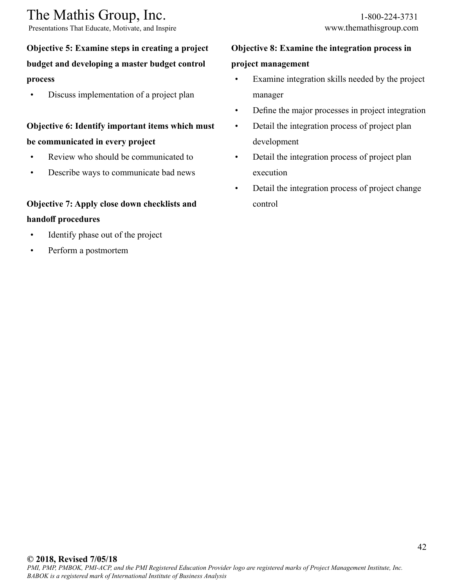Presentations That Educate, Motivate, and Inspire www.themathisgroup.com

## **Objective 5: Examine steps in creating a project budget and developing a master budget control process**

Discuss implementation of a project plan

## **Objective 6: Identify important items which must be communicated in every project**

- Review who should be communicated to
- Describe ways to communicate bad news

### **Objective 7: Apply close down checklists and handoff procedures**

- Identify phase out of the project
- Perform a postmortem

## **Objective 8: Examine the integration process in project management**

- Examine integration skills needed by the project manager
- Define the major processes in project integration
- Detail the integration process of project plan development
- Detail the integration process of project plan execution
- Detail the integration process of project change control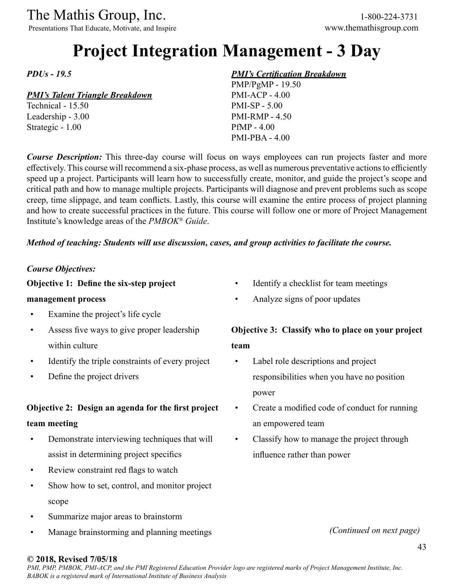# The Mathis Group, Inc. 1-800-224-3731<br>
Presentations That Educate, Motivate, and Inspire www.themathisgroup.com

Presentations That Educate, Motivate, and Inspire

# **Project Integration Management - 3 Day**

*PDUs - 19.5*

#### *PMI's Talent Triangle Breakdown*

Technical - 15.50 Leadership - 3.00 Strategic - 1.00

#### *PMI's Certification Breakdown*

PMP/PgMP - 19.50 PMI-ACP - 4.00 PMI-SP - 5.00 PMI-RMP - 4.50 PfMP - 4.00 PMI-PBA - 4.00

*Course Description:* This three-day course will focus on ways employees can run projects faster and more effectively. This course will recommend a six-phase process, as well as numerous preventative actions to efficiently speed up a project. Participants will learn how to successfully create, monitor, and guide the project's scope and critical path and how to manage multiple projects. Participants will diagnose and prevent problems such as scope creep, time slippage, and team conflicts. Lastly, this course will examine the entire process of project planning and how to create successful practices in the future. This course will follow one or more of Project Management Institute's knowledge areas of the *PMBOK® Guide*.

#### *Method of teaching: Students will use discussion, cases, and group activities to facilitate the course.*

#### *Course Objectives:*

#### **Objective 1: Define the six-step project**

#### **management process**

- Examine the project's life cycle
- Assess five ways to give proper leadership within culture
- Identify the triple constraints of every project
- Define the project drivers

#### **Objective 2: Design an agenda for the first project**

#### **team meeting**

- Demonstrate interviewing techniques that will assist in determining project specifics
- Review constraint red flags to watch
- Show how to set, control, and monitor project scope
- Summarize major areas to brainstorm
- Manage brainstorming and planning meetings
- Identify a checklist for team meetings
- Analyze signs of poor updates

## **Objective 3: Classify who to place on your project team**

- Label role descriptions and project responsibilities when you have no position power
- Create a modified code of conduct for running an empowered team
- Classify how to manage the project through influence rather than power

*(Continued on next page)*

#### **© 2018, Revised 7/05/18**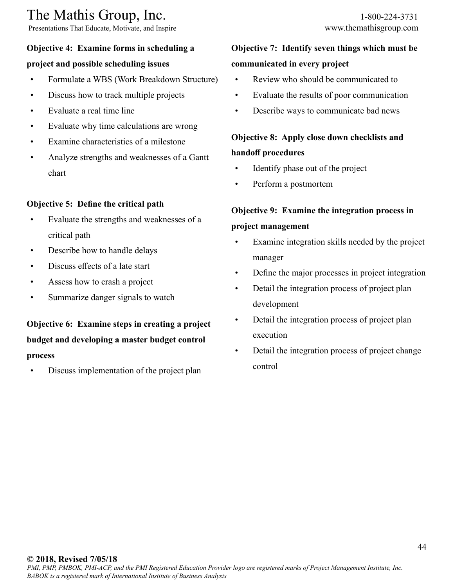Presentations That Educate, Motivate, and Inspire www.themathisgroup.com

#### **Objective 4: Examine forms in scheduling a**

#### **project and possible scheduling issues**

- Formulate a WBS (Work Breakdown Structure)
- Discuss how to track multiple projects
- Evaluate a real time line
- Evaluate why time calculations are wrong
- Examine characteristics of a milestone
- Analyze strengths and weaknesses of a Gantt chart

#### **Objective 5: Define the critical path**

- Evaluate the strengths and weaknesses of a critical path
- Describe how to handle delays
- Discuss effects of a late start
- Assess how to crash a project
- Summarize danger signals to watch

## **Objective 6: Examine steps in creating a project budget and developing a master budget control process**

Discuss implementation of the project plan

## **Objective 7: Identify seven things which must be communicated in every project**

- Review who should be communicated to
- Evaluate the results of poor communication
- Describe ways to communicate bad news

## **Objective 8: Apply close down checklists and handoff procedures**

- Identify phase out of the project
- Perform a postmortem

## **Objective 9: Examine the integration process in project management**

- Examine integration skills needed by the project manager
- Define the major processes in project integration
- Detail the integration process of project plan development
- Detail the integration process of project plan execution
- Detail the integration process of project change control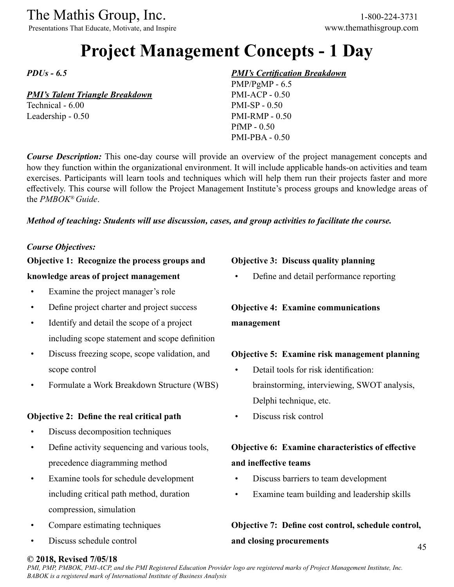The Mathis Group, Inc. 1-800-224-3731<br>
Presentations That Educate, Motivate, and Inspire www.themathisgroup.com

Presentations That Educate, Motivate, and Inspire

# **Project Management Concepts - 1 Day**

*PDUs - 6.5*

#### *PMI's Talent Triangle Breakdown*

Technical - 6.00 Leadership - 0.50

#### *PMI's Certification Breakdown*

PMP/PgMP - 6.5 PMI-ACP - 0.50 PMI-SP - 0.50 PMI-RMP - 0.50 PfMP - 0.50 PMI-PBA - 0.50

*Course Description:* This one-day course will provide an overview of the project management concepts and how they function within the organizational environment. It will include applicable hands-on activities and team exercises. Participants will learn tools and techniques which will help them run their projects faster and more effectively. This course will follow the Project Management Institute's process groups and knowledge areas of the *PMBOK® Guide*.

#### *Method of teaching: Students will use discussion, cases, and group activities to facilitate the course.*

#### *Course Objectives:*

### **Objective 1: Recognize the process groups and**

#### **knowledge areas of project management**

- Examine the project manager's role
- Define project charter and project success
- Identify and detail the scope of a project including scope statement and scope definition
- Discuss freezing scope, scope validation, and scope control
- Formulate a Work Breakdown Structure (WBS)

#### **Objective 2: Define the real critical path**

- Discuss decomposition techniques
- Define activity sequencing and various tools, precedence diagramming method
- Examine tools for schedule development including critical path method, duration compression, simulation
- Compare estimating techniques
- Discuss schedule control

#### **Objective 3: Discuss quality planning**

• Define and detail performance reporting

## **Objective 4: Examine communications management**

#### **Objective 5: Examine risk management planning**

- Detail tools for risk identification: brainstorming, interviewing, SWOT analysis, Delphi technique, etc.
- Discuss risk control

## **Objective 6: Examine characteristics of effective and ineffective teams**

- Discuss barriers to team development
- Examine team building and leadership skills

## **Objective 7: Define cost control, schedule control, and closing procurements**

#### **© 2018, Revised 7/05/18**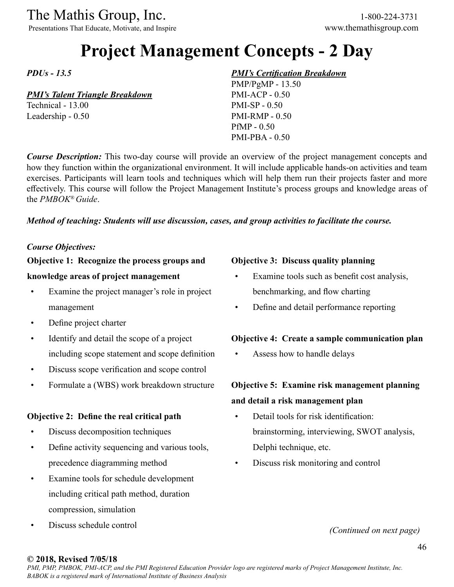The Mathis Group, Inc. 1-800-224-3731<br>
Presentations That Educate, Motivate, and Inspire www.themathisgroup.com

Presentations That Educate, Motivate, and Inspire

# **Project Management Concepts - 2 Day**

*PDUs - 13.5*

#### *PMI's Talent Triangle Breakdown*

Technical - 13.00 Leadership - 0.50

#### *PMI's Certification Breakdown*

PMP/PgMP - 13.50 PMI-ACP - 0.50 PMI-SP - 0.50 PMI-RMP - 0.50 PfMP - 0.50 PMI-PBA - 0.50

*Course Description:* This two-day course will provide an overview of the project management concepts and how they function within the organizational environment. It will include applicable hands-on activities and team exercises. Participants will learn tools and techniques which will help them run their projects faster and more effectively. This course will follow the Project Management Institute's process groups and knowledge areas of the *PMBOK® Guide*.

#### *Method of teaching: Students will use discussion, cases, and group activities to facilitate the course.*

#### *Course Objectives:*

#### **Objective 1: Recognize the process groups and**

#### **knowledge areas of project management**

- Examine the project manager's role in project management
- Define project charter
- Identify and detail the scope of a project including scope statement and scope definition
- Discuss scope verification and scope control
- Formulate a (WBS) work breakdown structure

#### **Objective 2: Define the real critical path**

- Discuss decomposition techniques
- Define activity sequencing and various tools, precedence diagramming method
- Examine tools for schedule development including critical path method, duration compression, simulation
- Discuss schedule control

#### **Objective 3: Discuss quality planning**

- Examine tools such as benefit cost analysis, benchmarking, and flow charting
- Define and detail performance reporting

#### **Objective 4: Create a sample communication plan**

Assess how to handle delays

## **Objective 5: Examine risk management planning and detail a risk management plan**

- Detail tools for risk identification: brainstorming, interviewing, SWOT analysis, Delphi technique, etc.
- Discuss risk monitoring and control

*(Continued on next page)*

#### **© 2018, Revised 7/05/18**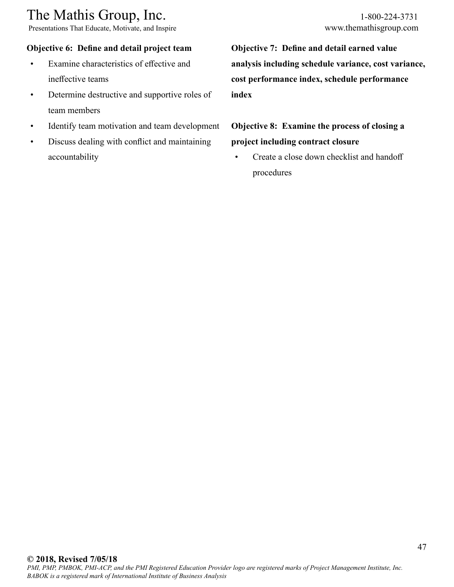Presentations That Educate, Motivate, and Inspire www.themathisgroup.com

#### **Objective 6: Define and detail project team**

- Examine characteristics of effective and ineffective teams
- Determine destructive and supportive roles of team members
- Identify team motivation and team development
- Discuss dealing with conflict and maintaining accountability

**Objective 7: Define and detail earned value analysis including schedule variance, cost variance, cost performance index, schedule performance index**

## **Objective 8: Examine the process of closing a project including contract closure**

Create a close down checklist and handoff procedures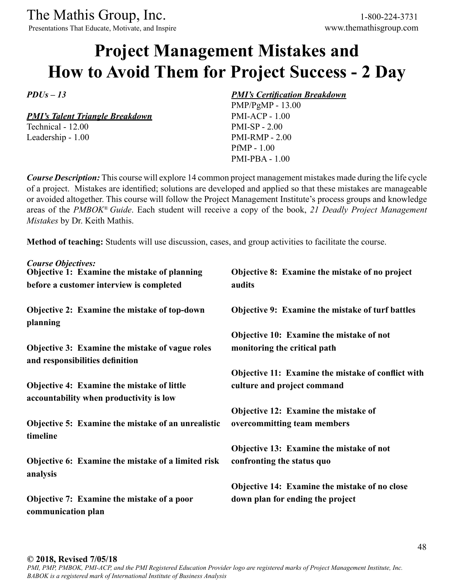Presentations That Educate, Motivate, and Inspire www.themathisgroup.com

# **Project Management Mistakes and How to Avoid Them for Project Success - 2 Day**

*PDUs – 13* 

*PMI's Talent Triangle Breakdown*

Technical - 12.00 Leadership - 1.00

#### *PMI's Certification Breakdown*

PMP/PgMP - 13.00 PMI-ACP - 1.00 PMI-SP - 2.00 PMI-RMP - 2.00 PfMP - 1.00 PMI-PBA - 1.00

*Course Description:* This course will explore 14 common project management mistakes made during the life cycle of a project. Mistakes are identified; solutions are developed and applied so that these mistakes are manageable or avoided altogether. This course will follow the Project Management Institute's process groups and knowledge areas of the *PMBOK® Guide*. Each student will receive a copy of the book, *21 Deadly Project Management Mistakes* by Dr. Keith Mathis.

**Method of teaching:** Students will use discussion, cases, and group activities to facilitate the course.

| <b>Course Objectives:</b><br>Objective 1: Examine the mistake of planning                    | Objective 8: Examine the mistake of no project          |
|----------------------------------------------------------------------------------------------|---------------------------------------------------------|
| before a customer interview is completed                                                     | audits                                                  |
| <b>Objective 2: Examine the mistake of top-down</b><br>planning                              | <b>Objective 9: Examine the mistake of turf battles</b> |
|                                                                                              | Objective 10: Examine the mistake of not                |
| Objective 3: Examine the mistake of vague roles<br>and responsibilities definition           | monitoring the critical path                            |
|                                                                                              | Objective 11: Examine the mistake of conflict with      |
| <b>Objective 4: Examine the mistake of little</b><br>accountability when productivity is low | culture and project command                             |
|                                                                                              | Objective 12: Examine the mistake of                    |
| <b>Objective 5: Examine the mistake of an unrealistic</b><br>timeline                        | overcommitting team members                             |
|                                                                                              | Objective 13: Examine the mistake of not                |
| Objective 6: Examine the mistake of a limited risk<br>analysis                               | confronting the status quo                              |
|                                                                                              | <b>Objective 14: Examine the mistake of no close</b>    |
| <b>Objective 7: Examine the mistake of a poor</b><br>communication plan                      | down plan for ending the project                        |

**© 2018, Revised 7/05/18**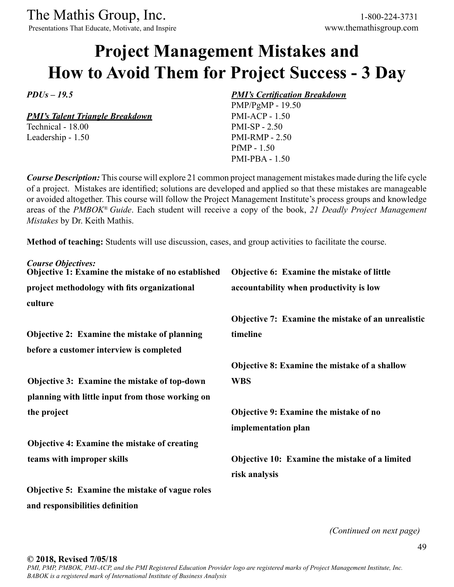Presentations That Educate, Motivate, and Inspire www.themathisgroup.com

# **Project Management Mistakes and How to Avoid Them for Project Success - 3 Day**

*PDUs – 19.5* 

*PMI's Talent Triangle Breakdown*

Technical - 18.00 Leadership - 1.50

#### *PMI's Certification Breakdown*

PMP/PgMP - 19.50 PMI-ACP - 1.50 PMI-SP - 2.50 PMI-RMP - 2.50 PfMP - 1.50 PMI-PBA - 1.50

*Course Description:* This course will explore 21 common project management mistakes made during the life cycle of a project. Mistakes are identified; solutions are developed and applied so that these mistakes are manageable or avoided altogether. This course will follow the Project Management Institute's process groups and knowledge areas of the *PMBOK® Guide*. Each student will receive a copy of the book, *21 Deadly Project Management Mistakes* by Dr. Keith Mathis.

**Method of teaching:** Students will use discussion, cases, and group activities to facilitate the course.

| <b>Course Objectives:</b><br>Objective 1: Examine the mistake of no established | Objective 6: Examine the mistake of little         |
|---------------------------------------------------------------------------------|----------------------------------------------------|
| project methodology with fits organizational                                    | accountability when productivity is low            |
| culture                                                                         |                                                    |
|                                                                                 | Objective 7: Examine the mistake of an unrealistic |
| <b>Objective 2: Examine the mistake of planning</b>                             | timeline                                           |
| before a customer interview is completed                                        |                                                    |
|                                                                                 | Objective 8: Examine the mistake of a shallow      |
| Objective 3: Examine the mistake of top-down                                    | <b>WBS</b>                                         |
| planning with little input from those working on                                |                                                    |
| the project                                                                     | Objective 9: Examine the mistake of no             |
|                                                                                 | implementation plan                                |
| <b>Objective 4: Examine the mistake of creating</b>                             |                                                    |
| teams with improper skills                                                      | Objective 10: Examine the mistake of a limited     |
|                                                                                 | risk analysis                                      |
| <b>Objective 5: Examine the mistake of vague roles</b>                          |                                                    |
| and responsibilities definition                                                 |                                                    |

*(Continued on next page)*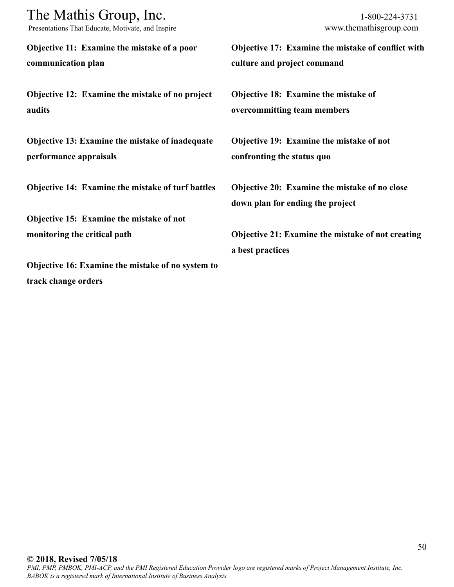| The Mathis Group, Inc.<br>Presentations That Educate, Motivate, and Inspire | 1-800-224-3731<br>www.themathisgroup.com           |
|-----------------------------------------------------------------------------|----------------------------------------------------|
| Objective 11: Examine the mistake of a poor                                 | Objective 17: Examine the mistake of conflict with |
| communication plan                                                          | culture and project command                        |
| Objective 12: Examine the mistake of no project                             | <b>Objective 18: Examine the mistake of</b>        |
| audits                                                                      | overcommitting team members                        |
| Objective 13: Examine the mistake of inadequate                             | Objective 19: Examine the mistake of not           |
| performance appraisals                                                      | confronting the status quo                         |
| Objective 14: Examine the mistake of turf battles                           | Objective 20: Examine the mistake of no close      |
|                                                                             | down plan for ending the project                   |
| Objective 15: Examine the mistake of not                                    |                                                    |
| monitoring the critical path                                                | Objective 21: Examine the mistake of not creating  |
|                                                                             | a best practices                                   |
| Objective 16: Examine the mistake of no system to                           |                                                    |
| track change orders                                                         |                                                    |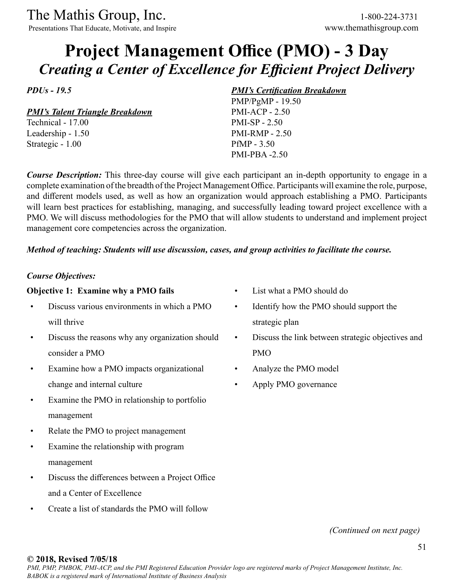Presentations That Educate, Motivate, and Inspire www.themathisgroup.com

## **Project Management Office (PMO) - 3 Day** *Creating a Center of Excellence for Efficient Project Delivery*

*PDUs - 19.5*

*PMI's Talent Triangle Breakdown*

Technical - 17.00 Leadership - 1.50 Strategic - 1.00

#### *PMI's Certification Breakdown*

PMP/PgMP - 19.50 PMI-ACP - 2.50 PMI-SP - 2.50 PMI-RMP - 2.50 PfMP - 3.50 PMI-PBA -2.50

*Course Description:* This three-day course will give each participant an in-depth opportunity to engage in a complete examination of the breadth of the Project Management Office. Participants will examine the role, purpose, and different models used, as well as how an organization would approach establishing a PMO. Participants will learn best practices for establishing, managing, and successfully leading toward project excellence with a PMO. We will discuss methodologies for the PMO that will allow students to understand and implement project management core competencies across the organization.

#### *Method of teaching: Students will use discussion, cases, and group activities to facilitate the course.*

#### *Course Objectives:*

#### **Objective 1: Examine why a PMO fails**

- Discuss various environments in which a PMO will thrive
- Discuss the reasons why any organization should consider a PMO
- Examine how a PMO impacts organizational change and internal culture
- Examine the PMO in relationship to portfolio management
- Relate the PMO to project management
- Examine the relationship with program management
- Discuss the differences between a Project Office and a Center of Excellence
- Create a list of standards the PMO will follow
- List what a PMO should do
- Identify how the PMO should support the strategic plan
- Discuss the link between strategic objectives and PMO
- Analyze the PMO model
- Apply PMO governance

*(Continued on next page)*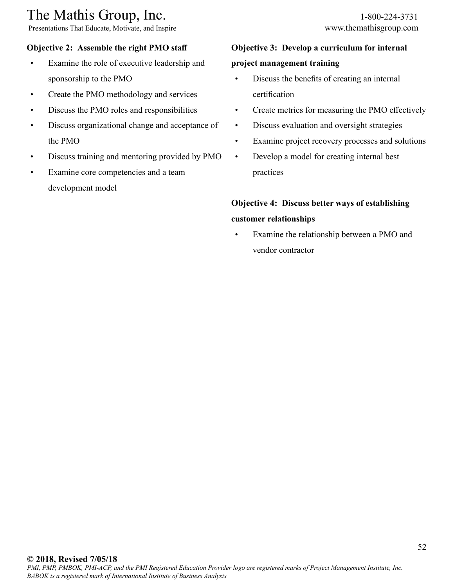# The Mathis Group, Inc. 1-800-224-3731<br>
Presentations That Educate, Motivate, and Inspire www.themathisgroup.com

Presentations That Educate, Motivate, and Inspire

## **Objective 2: Assemble the right PMO staff**

- Examine the role of executive leadership and sponsorship to the PMO
- Create the PMO methodology and services
- Discuss the PMO roles and responsibilities
- Discuss organizational change and acceptance of the PMO
- Discuss training and mentoring provided by PMO
- Examine core competencies and a team development model

### **Objective 3: Develop a curriculum for internal**

### **project management training**

- Discuss the benefits of creating an internal certification
- Create metrics for measuring the PMO effectively
- Discuss evaluation and oversight strategies
- Examine project recovery processes and solutions
- Develop a model for creating internal best practices

## **Objective 4: Discuss better ways of establishing customer relationships**

• Examine the relationship between a PMO and vendor contractor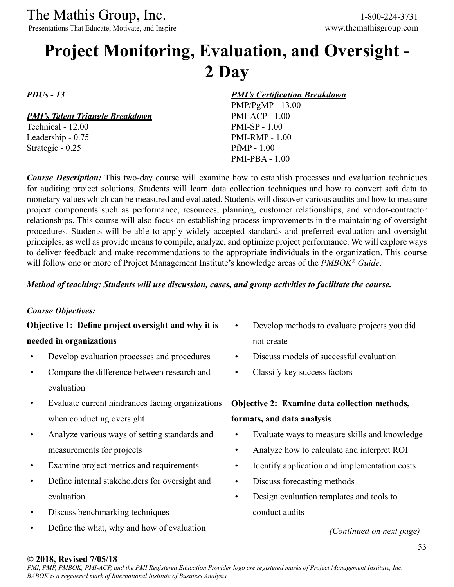Presentations That Educate, Motivate, and Inspire

# **Project Monitoring, Evaluation, and Oversight - 2 Day**

*PDUs - 13*

*PMI's Talent Triangle Breakdown*

Technical - 12.00 Leadership - 0.75 Strategic - 0.25

*PMI's Certification Breakdown*

PMP/PgMP - 13.00 PMI-ACP - 1.00 PMI-SP - 1.00 PMI-RMP - 1.00 PfMP - 1.00 PMI-PBA - 1.00

*Course Description:* This two-day course will examine how to establish processes and evaluation techniques for auditing project solutions. Students will learn data collection techniques and how to convert soft data to monetary values which can be measured and evaluated. Students will discover various audits and how to measure project components such as performance, resources, planning, customer relationships, and vendor-contractor relationships. This course will also focus on establishing process improvements in the maintaining of oversight procedures. Students will be able to apply widely accepted standards and preferred evaluation and oversight principles, as well as provide means to compile, analyze, and optimize project performance. We will explore ways to deliver feedback and make recommendations to the appropriate individuals in the organization. This course will follow one or more of Project Management Institute's knowledge areas of the *PMBOK® Guide*.

#### *Method of teaching: Students will use discussion, cases, and group activities to facilitate the course.*

#### *Course Objectives:*

**Objective 1: Define project oversight and why it is needed in organizations**

- Develop evaluation processes and procedures
- Compare the difference between research and evaluation
- Evaluate current hindrances facing organizations when conducting oversight
- Analyze various ways of setting standards and measurements for projects
- Examine project metrics and requirements
- Define internal stakeholders for oversight and evaluation
- Discuss benchmarking techniques
- Define the what, why and how of evaluation
- Develop methods to evaluate projects you did not create
- Discuss models of successful evaluation
- Classify key success factors

## **Objective 2: Examine data collection methods,**

### **formats, and data analysis**

- Evaluate ways to measure skills and knowledge
- Analyze how to calculate and interpret ROI
- Identify application and implementation costs
- Discuss forecasting methods
- Design evaluation templates and tools to conduct audits

*(Continued on next page)*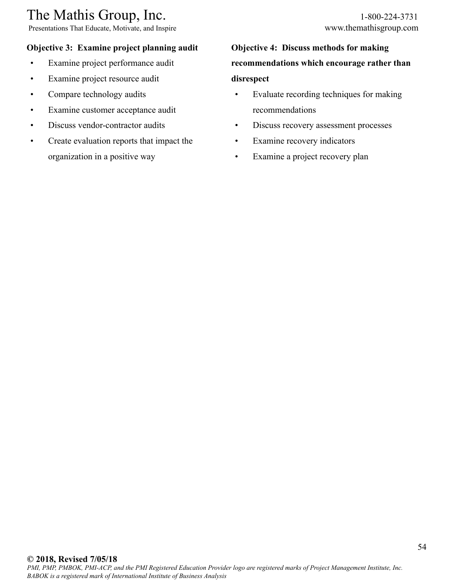Presentations That Educate, Motivate, and Inspire www.themathisgroup.com

#### **Objective 3: Examine project planning audit**

- Examine project performance audit
- Examine project resource audit
- Compare technology audits
- Examine customer acceptance audit
- Discuss vendor-contractor audits
- Create evaluation reports that impact the organization in a positive way

## **Objective 4: Discuss methods for making recommendations which encourage rather than disrespect**

- Evaluate recording techniques for making recommendations
- Discuss recovery assessment processes
- Examine recovery indicators
- Examine a project recovery plan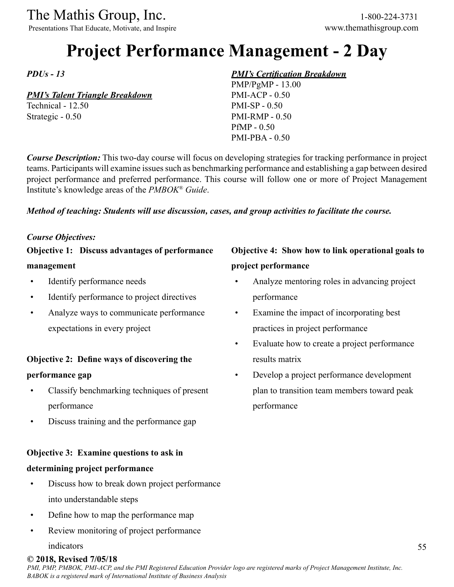Presentations That Educate, Motivate, and Inspire www.themathisgroup.com

# **Project Performance Management - 2 Day**

*PDUs - 13*

#### *PMI's Talent Triangle Breakdown*

Technical - 12.50 Strategic - 0.50

#### *PMI's Certification Breakdown*

PMP/PgMP - 13.00 PMI-ACP - 0.50 PMI-SP - 0.50 PMI-RMP - 0.50 PfMP - 0.50 PMI-PBA - 0.50

*Course Description:* This two-day course will focus on developing strategies for tracking performance in project teams. Participants will examine issues such as benchmarking performance and establishing a gap between desired project performance and preferred performance. This course will follow one or more of Project Management Institute's knowledge areas of the *PMBOK® Guide*.

#### *Method of teaching: Students will use discussion, cases, and group activities to facilitate the course.*

#### *Course Objectives:*

**Objective 1: Discuss advantages of performance management**

- Identify performance needs
- Identify performance to project directives
- Analyze ways to communicate performance expectations in every project

### **Objective 2: Define ways of discovering the performance gap**

- Classify benchmarking techniques of present performance
- Discuss training and the performance gap

### **Objective 3: Examine questions to ask in**

#### **determining project performance**

- Discuss how to break down project performance into understandable steps
- Define how to map the performance map
- Review monitoring of project performance

#### indicators

## **Objective 4: Show how to link operational goals to project performance**

- Analyze mentoring roles in advancing project performance
- Examine the impact of incorporating best practices in project performance
- Evaluate how to create a project performance results matrix
- Develop a project performance development plan to transition team members toward peak performance

#### **© 2018, Revised 7/05/18**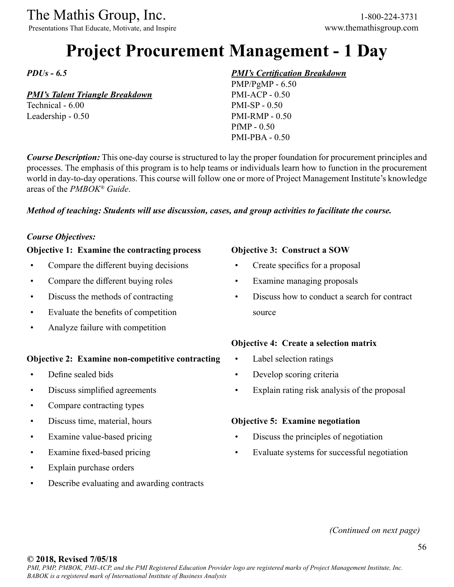Presentations That Educate, Motivate, and Inspire www.themathisgroup.com

# **Project Procurement Management - 1 Day**

*PDUs - 6.5*

#### *PMI's Talent Triangle Breakdown*

Technical - 6.00 Leadership - 0.50

#### *PMI's Certification Breakdown*

PMP/PgMP - 6.50 PMI-ACP - 0.50 PMI-SP - 0.50 PMI-RMP - 0.50 PfMP - 0.50 PMI-PBA - 0.50

*Course Description:* This one-day course is structured to lay the proper foundation for procurement principles and processes. The emphasis of this program is to help teams or individuals learn how to function in the procurement world in day-to-day operations. This course will follow one or more of Project Management Institute's knowledge areas of the *PMBOK® Guide*.

#### *Method of teaching: Students will use discussion, cases, and group activities to facilitate the course.*

#### *Course Objectives:*

#### **Objective 1: Examine the contracting process**

- Compare the different buying decisions
- Compare the different buying roles
- Discuss the methods of contracting
- Evaluate the benefits of competition
- Analyze failure with competition

#### **Objective 2: Examine non-competitive contracting**

- Define sealed bids
- Discuss simplified agreements
- Compare contracting types
- Discuss time, material, hours
- Examine value-based pricing
- Examine fixed-based pricing
- Explain purchase orders
- Describe evaluating and awarding contracts

#### **Objective 3: Construct a SOW**

- Create specifics for a proposal
- Examine managing proposals
- Discuss how to conduct a search for contract source

#### **Objective 4: Create a selection matrix**

- Label selection ratings
- Develop scoring criteria
- Explain rating risk analysis of the proposal

#### **Objective 5: Examine negotiation**

- Discuss the principles of negotiation
- Evaluate systems for successful negotiation

*(Continued on next page)*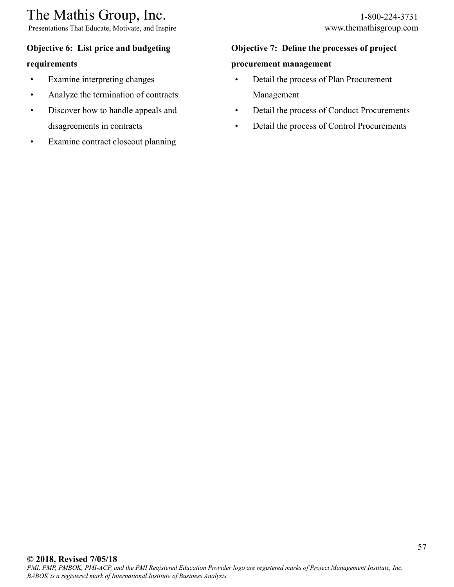Presentations That Educate, Motivate, and Inspire www.themathisgroup.com

### **Objective 6: List price and budgeting**

#### **requirements**

- Examine interpreting changes
- Analyze the termination of contracts
- Discover how to handle appeals and disagreements in contracts
- Examine contract closeout planning

## **Objective 7: Define the processes of project**

### **procurement management**

- Detail the process of Plan Procurement Management
- Detail the process of Conduct Procurements
- Detail the process of Control Procurements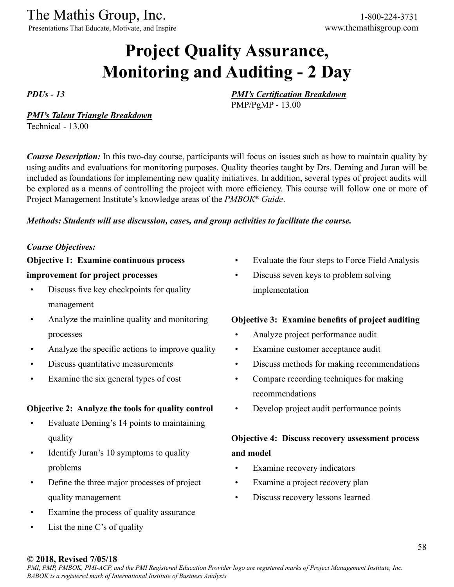Presentations That Educate, Motivate, and Inspire www.themathisgroup.com

# **Project Quality Assurance, Monitoring and Auditing - 2 Day**

*PDUs - 13*

*PMI's Certification Breakdown*

PMP/PgMP - 13.00

#### *PMI's Talent Triangle Breakdown*

Technical - 13.00

*Course Description:* In this two-day course, participants will focus on issues such as how to maintain quality by using audits and evaluations for monitoring purposes. Quality theories taught by Drs. Deming and Juran will be included as foundations for implementing new quality initiatives. In addition, several types of project audits will be explored as a means of controlling the project with more efficiency. This course will follow one or more of Project Management Institute's knowledge areas of the *PMBOK® Guide*.

#### *Methods: Students will use discussion, cases, and group activities to facilitate the course.*

#### *Course Objectives:*

**Objective 1: Examine continuous process** 

#### **improvement for project processes**

- Discuss five key checkpoints for quality management
- Analyze the mainline quality and monitoring processes
- Analyze the specific actions to improve quality
- Discuss quantitative measurements
- Examine the six general types of cost

#### **Objective 2: Analyze the tools for quality control**

- Evaluate Deming's 14 points to maintaining quality
- Identify Juran's 10 symptoms to quality problems
- Define the three major processes of project quality management
- Examine the process of quality assurance
- List the nine  $C$ 's of quality
- Evaluate the four steps to Force Field Analysis
- Discuss seven keys to problem solving implementation

#### **Objective 3: Examine benefits of project auditing**

- Analyze project performance audit
- Examine customer acceptance audit
- Discuss methods for making recommendations
- Compare recording techniques for making recommendations
- Develop project audit performance points

### **Objective 4: Discuss recovery assessment process and model**

- Examine recovery indicators
- Examine a project recovery plan
- Discuss recovery lessons learned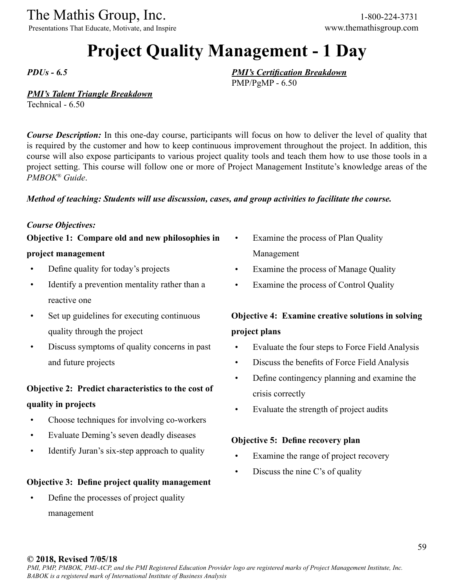Presentations That Educate, Motivate, and Inspire www.themathisgroup.com

# **Project Quality Management - 1 Day**

*PDUs - 6.5*

#### *PMI's Certification Breakdown* PMP/PgMP - 6.50

#### *PMI's Talent Triangle Breakdown*

Technical - 6.50

*Course Description:* In this one-day course, participants will focus on how to deliver the level of quality that is required by the customer and how to keep continuous improvement throughout the project. In addition, this course will also expose participants to various project quality tools and teach them how to use those tools in a project setting. This course will follow one or more of Project Management Institute's knowledge areas of the *PMBOK® Guide*.

#### *Method of teaching: Students will use discussion, cases, and group activities to facilitate the course.*

#### *Course Objectives:*

**Objective 1: Compare old and new philosophies in project management**

- Define quality for today's projects
- Identify a prevention mentality rather than a reactive one
- Set up guidelines for executing continuous quality through the project
- Discuss symptoms of quality concerns in past and future projects

# **Objective 2: Predict characteristics to the cost of**

### **quality in projects**

- Choose techniques for involving co-workers
- Evaluate Deming's seven deadly diseases
- Identify Juran's six-step approach to quality

#### **Objective 3: Define project quality management**

• Define the processes of project quality management

- Examine the process of Plan Quality Management
- Examine the process of Manage Quality
- Examine the process of Control Quality

## **Objective 4: Examine creative solutions in solving project plans**

- Evaluate the four steps to Force Field Analysis
- Discuss the benefits of Force Field Analysis
- Define contingency planning and examine the crisis correctly
- Evaluate the strength of project audits

#### **Objective 5: Define recovery plan**

- Examine the range of project recovery
- Discuss the nine C's of quality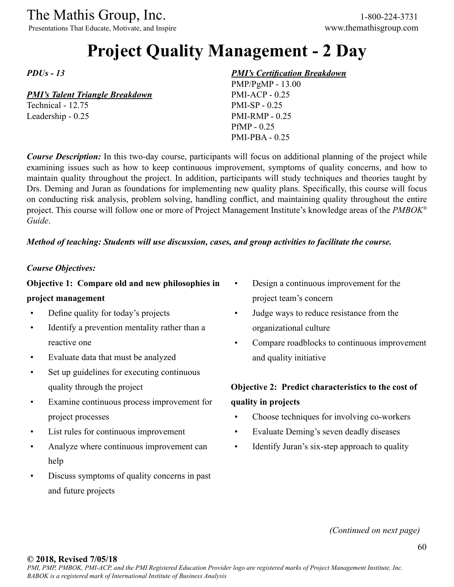Presentations That Educate, Motivate, and Inspire www.themathisgroup.com

# **Project Quality Management - 2 Day**

*PDUs - 13*

#### *PMI's Talent Triangle Breakdown*

Technical - 12.75 Leadership - 0.25

#### *PMI's Certification Breakdown*

PMP/PgMP - 13.00 PMI-ACP - 0.25 PMI-SP - 0.25 PMI-RMP - 0.25 PfMP - 0.25 PMI-PBA - 0.25

*Course Description:* In this two-day course, participants will focus on additional planning of the project while examining issues such as how to keep continuous improvement, symptoms of quality concerns, and how to maintain quality throughout the project. In addition, participants will study techniques and theories taught by Drs. Deming and Juran as foundations for implementing new quality plans. Specifically, this course will focus on conducting risk analysis, problem solving, handling conflict, and maintaining quality throughout the entire project. This course will follow one or more of Project Management Institute's knowledge areas of the *PMBOK® Guide*.

#### *Method of teaching: Students will use discussion, cases, and group activities to facilitate the course.*

#### *Course Objectives:*

## **Objective 1: Compare old and new philosophies in**

#### **project management**

- Define quality for today's projects
- Identify a prevention mentality rather than a reactive one
- Evaluate data that must be analyzed
- Set up guidelines for executing continuous quality through the project
- Examine continuous process improvement for project processes
- List rules for continuous improvement
- Analyze where continuous improvement can help
- Discuss symptoms of quality concerns in past and future projects
- Design a continuous improvement for the project team's concern
- Judge ways to reduce resistance from the organizational culture
- Compare roadblocks to continuous improvement and quality initiative

## **Objective 2: Predict characteristics to the cost of quality in projects**

- Choose techniques for involving co-workers
- Evaluate Deming's seven deadly diseases
- Identify Juran's six-step approach to quality

*(Continued on next page)*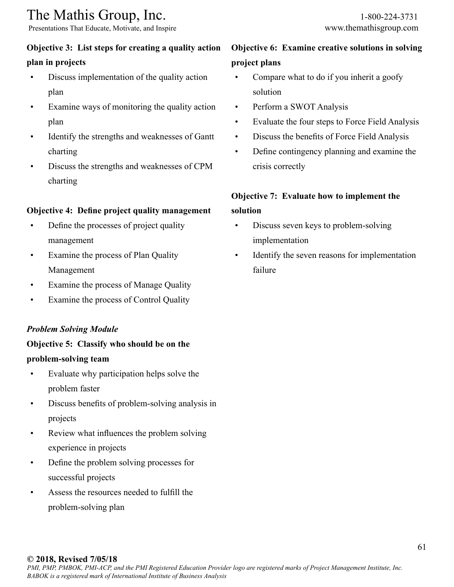Presentations That Educate, Motivate, and Inspire www.themathisgroup.com

#### **Objective 3: List steps for creating a quality action**

#### **plan in projects**

- Discuss implementation of the quality action plan
- Examine ways of monitoring the quality action plan
- Identify the strengths and weaknesses of Gantt charting
- Discuss the strengths and weaknesses of CPM charting

#### **Objective 4: Define project quality management**

- Define the processes of project quality management
- Examine the process of Plan Quality Management
- Examine the process of Manage Quality
- Examine the process of Control Quality

#### *Problem Solving Module*

### **Objective 5: Classify who should be on the problem-solving team**

- Evaluate why participation helps solve the problem faster
- Discuss benefits of problem-solving analysis in projects
- Review what influences the problem solving experience in projects
- Define the problem solving processes for successful projects
- Assess the resources needed to fulfill the problem-solving plan

## **Objective 6: Examine creative solutions in solving project plans**

- Compare what to do if you inherit a goofy solution
- Perform a SWOT Analysis
- Evaluate the four steps to Force Field Analysis
- Discuss the benefits of Force Field Analysis
- Define contingency planning and examine the crisis correctly

## **Objective 7: Evaluate how to implement the solution**

- Discuss seven keys to problem-solving implementation
- Identify the seven reasons for implementation failure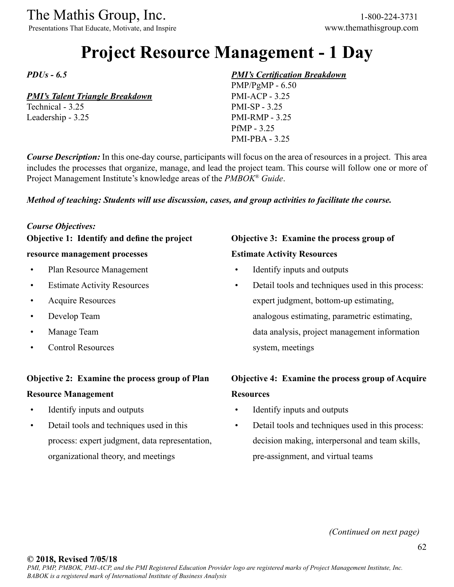Presentations That Educate, Motivate, and Inspire www.themathisgroup.com

## **Project Resource Management - 1 Day**

*PDUs - 6.5*

#### *PMI's Talent Triangle Breakdown*

Technical - 3.25 Leadership - 3.25

#### *PMI's Certification Breakdown*

PMP/PgMP - 6.50 PMI-ACP - 3.25 PMI-SP - 3.25 PMI-RMP - 3.25 PfMP - 3.25 PMI-PBA - 3.25

*Course Description:* In this one-day course, participants will focus on the area of resources in a project. This area includes the processes that organize, manage, and lead the project team. This course will follow one or more of Project Management Institute's knowledge areas of the *PMBOK® Guide*.

#### *Method of teaching: Students will use discussion, cases, and group activities to facilitate the course.*

#### *Course Objectives:*

**Objective 1: Identify and define the project** 

#### **resource management processes**

- Plan Resource Management
- Estimate Activity Resources
- Acquire Resources
- Develop Team
- Manage Team
- Control Resources

#### **Objective 2: Examine the process group of Plan**

#### **Resource Management**

- Identify inputs and outputs
- Detail tools and techniques used in this process: expert judgment, data representation, organizational theory, and meetings

### **Objective 3: Examine the process group of Estimate Activity Resources**

- Identify inputs and outputs
- Detail tools and techniques used in this process: expert judgment, bottom-up estimating, analogous estimating, parametric estimating, data analysis, project management information system, meetings

### **Objective 4: Examine the process group of Acquire Resources**

- Identify inputs and outputs
- Detail tools and techniques used in this process: decision making, interpersonal and team skills, pre-assignment, and virtual teams

*(Continued on next page)*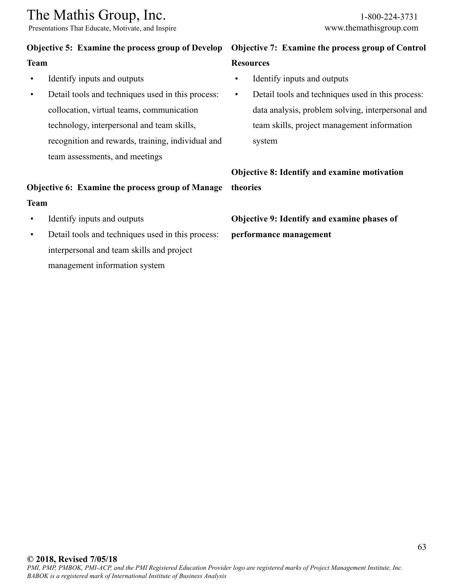Presentations That Educate, Motivate, and Inspire www.themathisgroup.com

#### **Objective 5: Examine the process group of Develop**

#### **Team**

- Identify inputs and outputs
- Detail tools and techniques used in this process: collocation, virtual teams, communication technology, interpersonal and team skills, recognition and rewards, training, individual and team assessments, and meetings

### **Objective 6: Examine the process group of Manage Team**

- Identify inputs and outputs
- Detail tools and techniques used in this process: interpersonal and team skills and project management information system

### **Objective 7: Examine the process group of Control Resources**

- Identify inputs and outputs
- Detail tools and techniques used in this process: data analysis, problem solving, interpersonal and team skills, project management information system

**Objective 8: Identify and examine motivation theories**

**Objective 9: Identify and examine phases of performance management**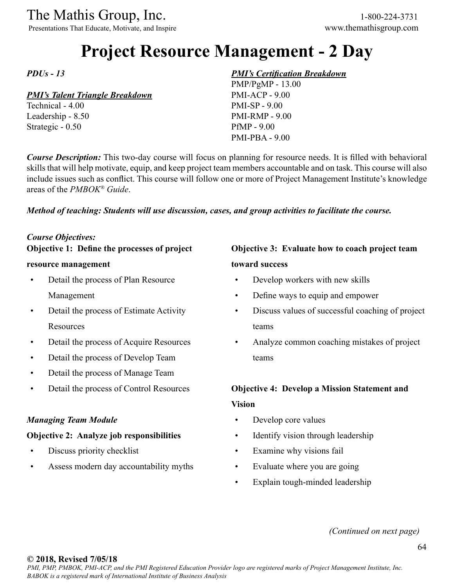Presentations That Educate, Motivate, and Inspire www.themathisgroup.com

# **Project Resource Management - 2 Day**

*PDUs - 13*

#### *PMI's Talent Triangle Breakdown*

Technical - 4.00 Leadership - 8.50 Strategic - 0.50

#### *PMI's Certification Breakdown*

PMP/PgMP - 13.00 PMI-ACP - 9.00 PMI-SP - 9.00 PMI-RMP - 9.00 PfMP - 9.00 PMI-PBA - 9.00

*Course Description:* This two-day course will focus on planning for resource needs. It is filled with behavioral skills that will help motivate, equip, and keep project team members accountable and on task. This course will also include issues such as conflict. This course will follow one or more of Project Management Institute's knowledge areas of the *PMBOK® Guide*.

#### *Method of teaching: Students will use discussion, cases, and group activities to facilitate the course.*

#### *Course Objectives:*

**Objective 1: Define the processes of project** 

#### **resource management**

- Detail the process of Plan Resource Management
- Detail the process of Estimate Activity **Resources**
- Detail the process of Acquire Resources
- Detail the process of Develop Team
- Detail the process of Manage Team
- Detail the process of Control Resources

#### *Managing Team Module*

#### **Objective 2: Analyze job responsibilities**

- Discuss priority checklist
- Assess modern day accountability myths

## **Objective 3: Evaluate how to coach project team toward success**

- Develop workers with new skills
- Define ways to equip and empower
- Discuss values of successful coaching of project teams
- Analyze common coaching mistakes of project teams

### **Objective 4: Develop a Mission Statement and Vision**

- Develop core values
- Identify vision through leadership
- Examine why visions fail
- Evaluate where you are going
- Explain tough-minded leadership

*(Continued on next page)*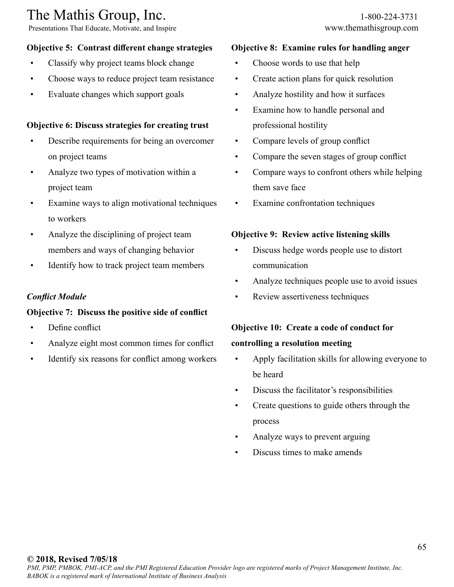Presentations That Educate, Motivate, and Inspire www.themathisgroup.com

### **Objective 5: Contrast different change strategies**

- Classify why project teams block change
- Choose ways to reduce project team resistance
- Evaluate changes which support goals

#### **Objective 6: Discuss strategies for creating trust**

- Describe requirements for being an overcomer on project teams
- Analyze two types of motivation within a project team
- Examine ways to align motivational techniques to workers
- Analyze the disciplining of project team members and ways of changing behavior
- Identify how to track project team members

#### *Conflict Module*

#### **Objective 7: Discuss the positive side of conflict**

- Define conflict
- Analyze eight most common times for conflict
- Identify six reasons for conflict among workers

#### **Objective 8: Examine rules for handling anger**

- Choose words to use that help
- Create action plans for quick resolution
- Analyze hostility and how it surfaces
- Examine how to handle personal and professional hostility
- Compare levels of group conflict
- Compare the seven stages of group conflict
- Compare ways to confront others while helping them save face
- Examine confrontation techniques

#### **Objective 9: Review active listening skills**

- Discuss hedge words people use to distort communication
- Analyze techniques people use to avoid issues
- Review assertiveness techniques

## **Objective 10: Create a code of conduct for**

#### **controlling a resolution meeting**

- Apply facilitation skills for allowing everyone to be heard
- Discuss the facilitator's responsibilities
- Create questions to guide others through the process
- Analyze ways to prevent arguing
- Discuss times to make amends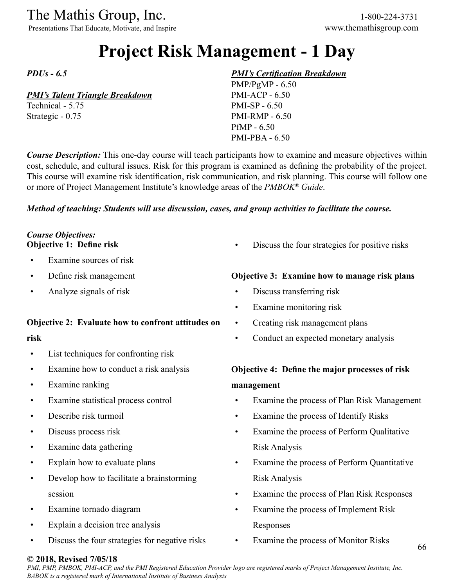Presentations That Educate, Motivate, and Inspire www.themathisgroup.com

# **Project Risk Management - 1 Day**

*PDUs - 6.5*

#### *PMI's Talent Triangle Breakdown*

Technical - 5.75 Strategic - 0.75

#### *PMI's Certification Breakdown*

PMP/PgMP - 6.50 PMI-ACP - 6.50 PMI-SP - 6.50 PMI-RMP - 6.50 PfMP - 6.50 PMI-PBA - 6.50

*Course Description:* This one-day course will teach participants how to examine and measure objectives within cost, schedule, and cultural issues. Risk for this program is examined as defining the probability of the project. This course will examine risk identification, risk communication, and risk planning. This course will follow one or more of Project Management Institute's knowledge areas of the *PMBOK® Guide*.

#### *Method of teaching: Students will use discussion, cases, and group activities to facilitate the course.*

#### *Course Objectives:* **Objective 1: Define risk**

- Examine sources of risk
- Define risk management
- Analyze signals of risk

#### **Objective 2: Evaluate how to confront attitudes on**

#### **risk**

- List techniques for confronting risk
- Examine how to conduct a risk analysis
- Examine ranking
- Examine statistical process control
- Describe risk turmoil
- Discuss process risk
- Examine data gathering
- Explain how to evaluate plans
- Develop how to facilitate a brainstorming session
- Examine tornado diagram
- Explain a decision tree analysis
- Discuss the four strategies for negative risks

Discuss the four strategies for positive risks

#### **Objective 3: Examine how to manage risk plans**

- Discuss transferring risk
- Examine monitoring risk
- Creating risk management plans
- Conduct an expected monetary analysis

### **Objective 4: Define the major processes of risk management**

- Examine the process of Plan Risk Management
- Examine the process of Identify Risks
- Examine the process of Perform Qualitative Risk Analysis
- Examine the process of Perform Quantitative Risk Analysis
- Examine the process of Plan Risk Responses
- Examine the process of Implement Risk Responses
- Examine the process of Monitor Risks

#### **© 2018, Revised 7/05/18**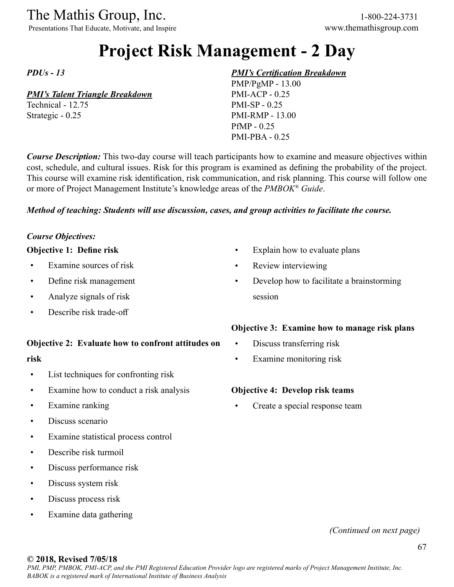Presentations That Educate, Motivate, and Inspire www.themathisgroup.com

# **Project Risk Management - 2 Day**

*PDUs - 13*

#### *PMI's Talent Triangle Breakdown*

Technical - 12.75 Strategic - 0.25

#### *PMI's Certification Breakdown*

PMP/PgMP - 13.00 PMI-ACP - 0.25 PMI-SP - 0.25 PMI-RMP - 13.00 PfMP - 0.25 PMI-PBA - 0.25

*Course Description:* This two-day course will teach participants how to examine and measure objectives within cost, schedule, and cultural issues. Risk for this program is examined as defining the probability of the project. This course will examine risk identification, risk communication, and risk planning. This course will follow one or more of Project Management Institute's knowledge areas of the *PMBOK® Guide*.

#### *Method of teaching: Students will use discussion, cases, and group activities to facilitate the course.*

#### *Course Objectives:*

#### **Objective 1: Define risk**

- Examine sources of risk
- Define risk management
- Analyze signals of risk
- Describe risk trade-off

#### **Objective 2: Evaluate how to confront attitudes on**

#### **risk**

- List techniques for confronting risk
- Examine how to conduct a risk analysis
- Examine ranking
- Discuss scenario
- Examine statistical process control
- Describe risk turmoil
- Discuss performance risk
- Discuss system risk
- Discuss process risk
- Examine data gathering

#### Explain how to evaluate plans

- Review interviewing
- Develop how to facilitate a brainstorming session

#### **Objective 3: Examine how to manage risk plans**

- Discuss transferring risk
- Examine monitoring risk

#### **Objective 4: Develop risk teams**

Create a special response team

#### *(Continued on next page)*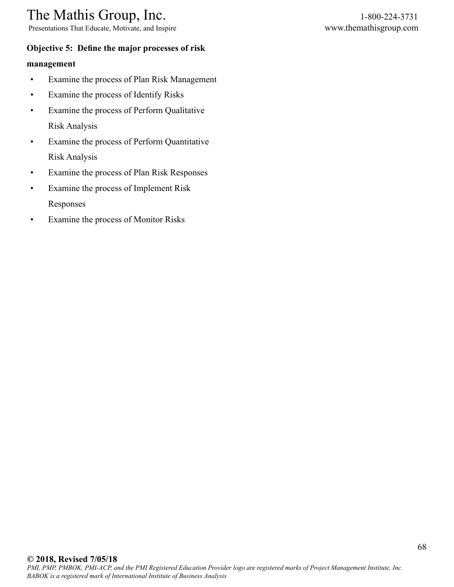Presentations That Educate, Motivate, and Inspire www.themathisgroup.com

#### **Objective 5: Define the major processes of risk**

#### **management**

- Examine the process of Plan Risk Management
- Examine the process of Identify Risks
- Examine the process of Perform Qualitative Risk Analysis
- Examine the process of Perform Quantitative Risk Analysis
- Examine the process of Plan Risk Responses
- Examine the process of Implement Risk Responses
- Examine the process of Monitor Risks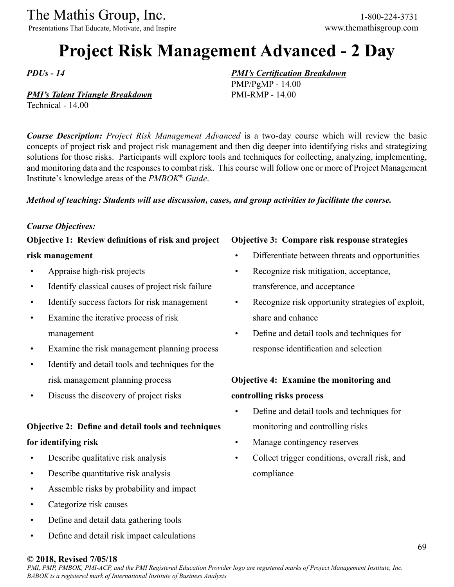Presentations That Educate, Motivate, and Inspire www.themathisgroup.com

# **Project Risk Management Advanced - 2 Day**

*PDUs - 14*

#### *PMI's Talent Triangle Breakdown*

Technical - 14.00

*Course Description: Project Risk Management Advanced* is a two-day course which will review the basic concepts of project risk and project risk management and then dig deeper into identifying risks and strategizing solutions for those risks. Participants will explore tools and techniques for collecting, analyzing, implementing, and monitoring data and the responses to combat risk. This course will follow one or more of Project Management Institute's knowledge areas of the *PMBOK® Guide*.

#### *Method of teaching: Students will use discussion, cases, and group activities to facilitate the course.*

#### *Course Objectives:*

### **Objective 1: Review definitions of risk and project**

#### **risk management**

- Appraise high-risk projects
- Identify classical causes of project risk failure
- Identify success factors for risk management
- Examine the iterative process of risk management
- Examine the risk management planning process
- Identify and detail tools and techniques for the risk management planning process
- Discuss the discovery of project risks

### **Objective 2: Define and detail tools and techniques for identifying risk**

- Describe qualitative risk analysis
- Describe quantitative risk analysis
- Assemble risks by probability and impact
- Categorize risk causes
- Define and detail data gathering tools
- Define and detail risk impact calculations

#### **Objective 3: Compare risk response strategies**

*PMI's Certification Breakdown*

PMP/PgMP - 14.00 PMI-RMP - 14.00

- Differentiate between threats and opportunities
- Recognize risk mitigation, acceptance, transference, and acceptance
- Recognize risk opportunity strategies of exploit, share and enhance
- Define and detail tools and techniques for response identification and selection

#### **Objective 4: Examine the monitoring and**

#### **controlling risks process**

- Define and detail tools and techniques for monitoring and controlling risks
- Manage contingency reserves
- Collect trigger conditions, overall risk, and compliance

#### **© 2018, Revised 7/05/18**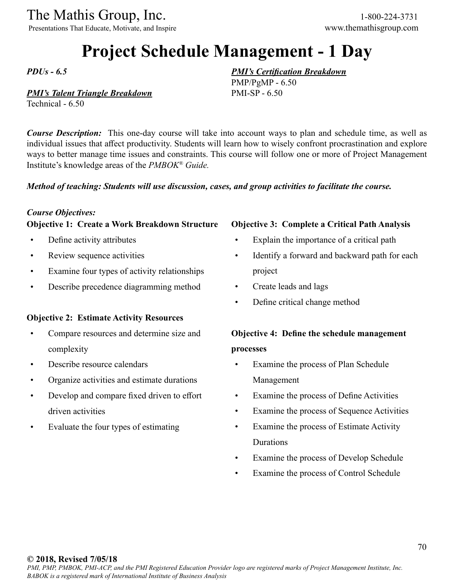Presentations That Educate, Motivate, and Inspire www.themathisgroup.com

## **Project Schedule Management - 1 Day**

*PDUs - 6.5*

#### *PMI's Talent Triangle Breakdown*

Technical - 6.50

*Course Description:* This one-day course will take into account ways to plan and schedule time, as well as individual issues that affect productivity. Students will learn how to wisely confront procrastination and explore ways to better manage time issues and constraints. This course will follow one or more of Project Management Institute's knowledge areas of the *PMBOK® Guide.*

#### *Method of teaching: Students will use discussion, cases, and group activities to facilitate the course.*

#### *Course Objectives:*

#### **Objective 1: Create a Work Breakdown Structure**

- Define activity attributes
- Review sequence activities
- Examine four types of activity relationships
- Describe precedence diagramming method

#### **Objective 2: Estimate Activity Resources**

- Compare resources and determine size and complexity
- Describe resource calendars
- Organize activities and estimate durations
- Develop and compare fixed driven to effort driven activities
- Evaluate the four types of estimating

#### **Objective 3: Complete a Critical Path Analysis**

- Explain the importance of a critical path
- Identify a forward and backward path for each project
- Create leads and lags

*PMI's Certification Breakdown*

PMP/PgMP - 6.50 PMI-SP - 6.50

• Define critical change method

## **Objective 4: Define the schedule management processes**

- Examine the process of Plan Schedule Management
- Examine the process of Define Activities
- Examine the process of Sequence Activities
- Examine the process of Estimate Activity Durations
- Examine the process of Develop Schedule
- Examine the process of Control Schedule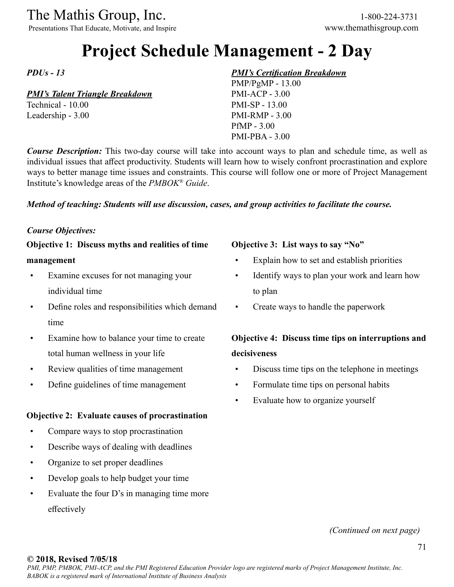The Mathis Group, Inc. 1-800-224-3731<br>
Presentations That Educate, Motivate, and Inspire www.themathisgroup.com

Presentations That Educate, Motivate, and Inspire

# **Project Schedule Management - 2 Day**

*PDUs - 13*

#### *PMI's Talent Triangle Breakdown*

Technical - 10.00 Leadership - 3.00

#### *PMI's Certification Breakdown*

PMP/PgMP - 13.00 PMI-ACP - 3.00 PMI-SP - 13.00 PMI-RMP - 3.00 PfMP - 3.00 PMI-PBA - 3.00

*Course Description:* This two-day course will take into account ways to plan and schedule time, as well as individual issues that affect productivity. Students will learn how to wisely confront procrastination and explore ways to better manage time issues and constraints. This course will follow one or more of Project Management Institute's knowledge areas of the *PMBOK® Guide*.

#### *Method of teaching: Students will use discussion, cases, and group activities to facilitate the course.*

#### *Course Objectives:*

**Objective 1: Discuss myths and realities of time management**

- Examine excuses for not managing your individual time
- Define roles and responsibilities which demand time
- Examine how to balance your time to create total human wellness in your life
- Review qualities of time management
- Define guidelines of time management

#### **Objective 2: Evaluate causes of procrastination**

- Compare ways to stop procrastination
- Describe ways of dealing with deadlines
- Organize to set proper deadlines
- Develop goals to help budget your time
- Evaluate the four D's in managing time more effectively

#### **Objective 3: List ways to say "No"**

- Explain how to set and establish priorities
- Identify ways to plan your work and learn how to plan
- Create ways to handle the paperwork

### **Objective 4: Discuss time tips on interruptions and decisiveness**

- Discuss time tips on the telephone in meetings
- Formulate time tips on personal habits
- Evaluate how to organize yourself

#### *(Continued on next page)*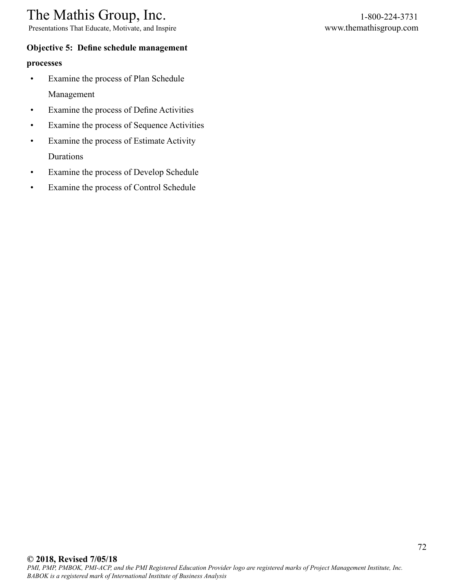Presentations That Educate, Motivate, and Inspire www.themathisgroup.com

#### **Objective 5: Define schedule management**

#### **processes**

- Examine the process of Plan Schedule Management
- Examine the process of Define Activities
- Examine the process of Sequence Activities
- Examine the process of Estimate Activity Durations
- Examine the process of Develop Schedule
- Examine the process of Control Schedule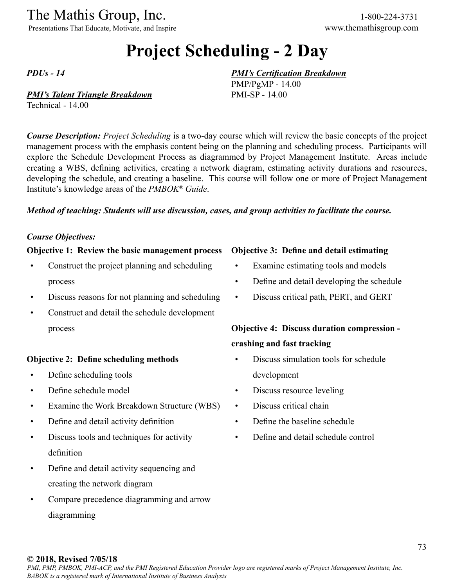Presentations That Educate, Motivate, and Inspire www.themathisgroup.com

# **Project Scheduling - 2 Day**

*PDUs - 14*

#### *PMI's Talent Triangle Breakdown*

Technical - 14.00

*Course Description: Project Scheduling* is a two-day course which will review the basic concepts of the project management process with the emphasis content being on the planning and scheduling process. Participants will explore the Schedule Development Process as diagrammed by Project Management Institute. Areas include creating a WBS, defining activities, creating a network diagram, estimating activity durations and resources, developing the schedule, and creating a baseline. This course will follow one or more of Project Management Institute's knowledge areas of the *PMBOK® Guide*.

#### *Method of teaching: Students will use discussion, cases, and group activities to facilitate the course.*

#### *Course Objectives:*

#### **Objective 1: Review the basic management process**

- Construct the project planning and scheduling process
- Discuss reasons for not planning and scheduling
- Construct and detail the schedule development process

#### **Objective 2: Define scheduling methods**

- Define scheduling tools
- Define schedule model
- Examine the Work Breakdown Structure (WBS)
- Define and detail activity definition
- Discuss tools and techniques for activity definition
- Define and detail activity sequencing and creating the network diagram
- Compare precedence diagramming and arrow diagramming

#### **Objective 3: Define and detail estimating**

*PMI's Certification Breakdown*

PMP/PgMP - 14.00 PMI-SP - 14.00

- Examine estimating tools and models
- Define and detail developing the schedule
- Discuss critical path, PERT, and GERT

## **Objective 4: Discuss duration compression crashing and fast tracking**

- Discuss simulation tools for schedule development
- Discuss resource leveling
- Discuss critical chain
- Define the baseline schedule
- Define and detail schedule control

#### **© 2018, Revised 7/05/18**

*PMI, PMP, PMBOK, PMI-ACP, and the PMI Registered Education Provider logo are registered marks of Project Management Institute, Inc. BABOK is a registered mark of International Institute of Business Analysis*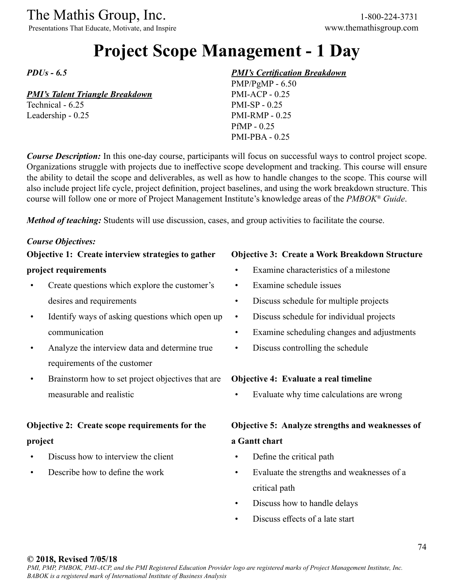Presentations That Educate, Motivate, and Inspire www.themathisgroup.com

# **Project Scope Management - 1 Day**

*PDUs - 6.5*

#### *PMI's Talent Triangle Breakdown*

Technical - 6.25 Leadership - 0.25

#### *PMI's Certification Breakdown*

PMP/PgMP - 6.50 PMI-ACP - 0.25 PMI-SP - 0.25 PMI-RMP - 0.25 PfMP - 0.25 PMI-PBA - 0.25

*Course Description:* In this one-day course, participants will focus on successful ways to control project scope. Organizations struggle with projects due to ineffective scope development and tracking. This course will ensure the ability to detail the scope and deliverables, as well as how to handle changes to the scope. This course will also include project life cycle, project definition, project baselines, and using the work breakdown structure. This course will follow one or more of Project Management Institute's knowledge areas of the *PMBOK® Guide*.

*Method of teaching:* Students will use discussion, cases, and group activities to facilitate the course.

#### *Course Objectives:*

### **Objective 1: Create interview strategies to gather**

#### **project requirements**

- Create questions which explore the customer's desires and requirements
- Identify ways of asking questions which open up communication
- Analyze the interview data and determine true requirements of the customer
- Brainstorm how to set project objectives that are measurable and realistic

## **Objective 2: Create scope requirements for the project**

- Discuss how to interview the client
- Describe how to define the work

#### **Objective 3: Create a Work Breakdown Structure**

- Examine characteristics of a milestone
- Examine schedule issues
- Discuss schedule for multiple projects
- Discuss schedule for individual projects
- Examine scheduling changes and adjustments
- Discuss controlling the schedule

#### **Objective 4: Evaluate a real timeline**

• Evaluate why time calculations are wrong

## **Objective 5: Analyze strengths and weaknesses of a Gantt chart**

- Define the critical path
- Evaluate the strengths and weaknesses of a critical path
- Discuss how to handle delays
- Discuss effects of a late start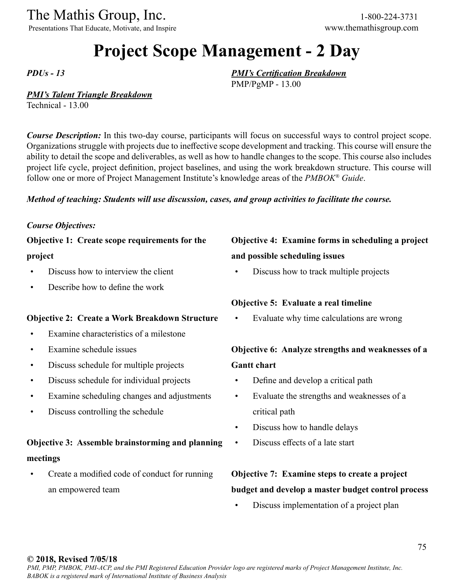Presentations That Educate, Motivate, and Inspire www.themathisgroup.com

# **Project Scope Management - 2 Day**

*PDUs - 13*

#### *PMI's Talent Triangle Breakdown*

Technical - 13.00

*Course Description:* In this two-day course, participants will focus on successful ways to control project scope. Organizations struggle with projects due to ineffective scope development and tracking. This course will ensure the ability to detail the scope and deliverables, as well as how to handle changes to the scope. This course also includes project life cycle, project definition, project baselines, and using the work breakdown structure. This course will follow one or more of Project Management Institute's knowledge areas of the *PMBOK® Guide*.

#### *Method of teaching: Students will use discussion, cases, and group activities to facilitate the course.*

#### *Course Objectives:*

### **Objective 1: Create scope requirements for the**

#### **project**

- Discuss how to interview the client
- Describe how to define the work

#### **Objective 2: Create a Work Breakdown Structure**

- Examine characteristics of a milestone
- Examine schedule issues
- Discuss schedule for multiple projects
- Discuss schedule for individual projects
- Examine scheduling changes and adjustments
- Discuss controlling the schedule

## **Objective 3: Assemble brainstorming and planning meetings**

• Create a modified code of conduct for running an empowered team

## **Objective 4: Examine forms in scheduling a project and possible scheduling issues**

• Discuss how to track multiple projects

#### **Objective 5: Evaluate a real timeline**

*PMI's Certification Breakdown*

PMP/PgMP - 13.00

Evaluate why time calculations are wrong

## **Objective 6: Analyze strengths and weaknesses of a Gantt chart**

- Define and develop a critical path
- Evaluate the strengths and weaknesses of a critical path
- Discuss how to handle delays
- Discuss effects of a late start

## **Objective 7: Examine steps to create a project budget and develop a master budget control process**

• Discuss implementation of a project plan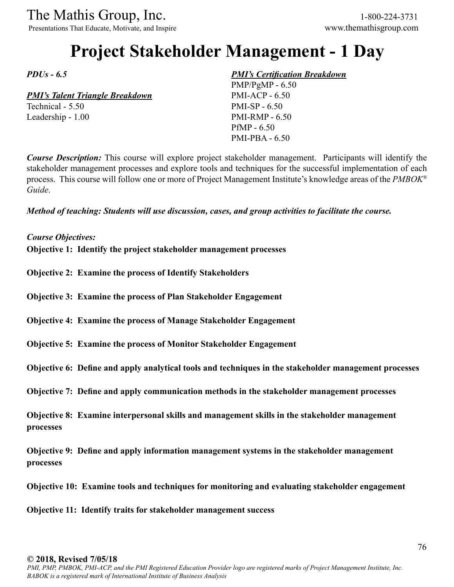Presentations That Educate, Motivate, and Inspire www.themathisgroup.com

# **Project Stakeholder Management - 1 Day**

*PDUs - 6.5*

*PMI's Talent Triangle Breakdown* Technical - 5.50

Leadership - 1.00

#### *PMI's Certification Breakdown*

PMP/PgMP - 6.50 PMI-ACP - 6.50 PMI-SP - 6.50 PMI-RMP - 6.50 PfMP - 6.50 PMI-PBA - 6.50

*Course Description:* This course will explore project stakeholder management. Participants will identify the stakeholder management processes and explore tools and techniques for the successful implementation of each process. This course will follow one or more of Project Management Institute's knowledge areas of the *PMBOK® Guide*.

*Method of teaching: Students will use discussion, cases, and group activities to facilitate the course.*

*Course Objectives:*

**Objective 1: Identify the project stakeholder management processes**

**Objective 2: Examine the process of Identify Stakeholders**

**Objective 3: Examine the process of Plan Stakeholder Engagement**

**Objective 4: Examine the process of Manage Stakeholder Engagement**

**Objective 5: Examine the process of Monitor Stakeholder Engagement**

**Objective 6: Define and apply analytical tools and techniques in the stakeholder management processes**

**Objective 7: Define and apply communication methods in the stakeholder management processes**

**Objective 8: Examine interpersonal skills and management skills in the stakeholder management processes**

**Objective 9: Define and apply information management systems in the stakeholder management processes**

**Objective 10: Examine tools and techniques for monitoring and evaluating stakeholder engagement**

**Objective 11: Identify traits for stakeholder management success**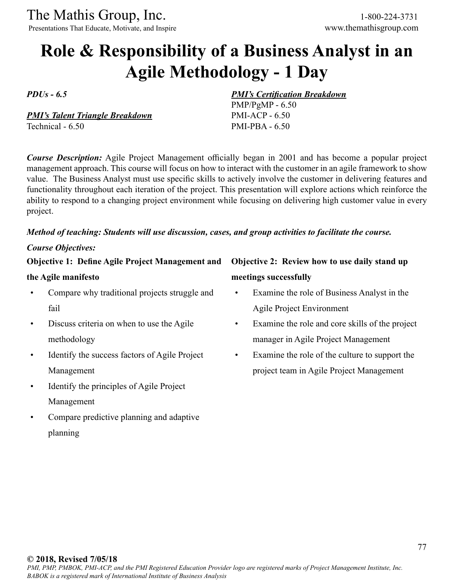Presentations That Educate, Motivate, and Inspire www.themathisgroup.com

# **Role & Responsibility of a Business Analyst in an Agile Methodology - 1 Day**

*PDUs - 6.5*

*PMI's Talent Triangle Breakdown* Technical - 6.50

*Course Description:* Agile Project Management officially began in 2001 and has become a popular project management approach. This course will focus on how to interact with the customer in an agile framework to show value. The Business Analyst must use specific skills to actively involve the customer in delivering features and functionality throughout each iteration of the project. This presentation will explore actions which reinforce the ability to respond to a changing project environment while focusing on delivering high customer value in every project.

### *Method of teaching: Students will use discussion, cases, and group activities to facilitate the course.*

#### *Course Objectives:*

**Objective 1: Define Agile Project Management and** 

#### **the Agile manifesto**

- Compare why traditional projects struggle and fail
- Discuss criteria on when to use the Agile methodology
- Identify the success factors of Agile Project Management
- Identify the principles of Agile Project Management
- Compare predictive planning and adaptive planning

## **Objective 2: Review how to use daily stand up meetings successfully**

*PMI's Certification Breakdown*

PMP/PgMP - 6.50 PMI-ACP - 6.50 PMI-PBA - 6.50

- Examine the role of Business Analyst in the Agile Project Environment
- Examine the role and core skills of the project manager in Agile Project Management
- Examine the role of the culture to support the project team in Agile Project Management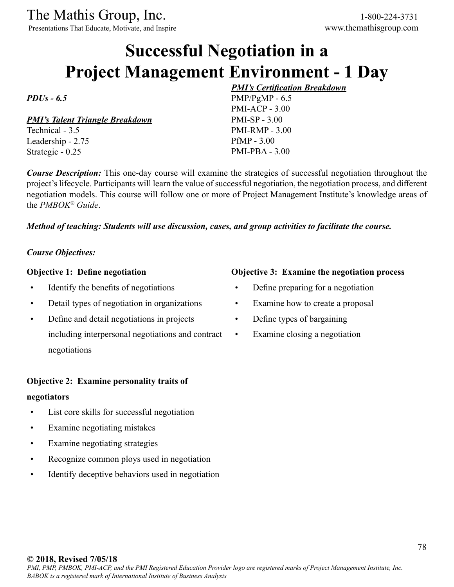Presentations That Educate, Motivate, and Inspire www.themathisgroup.com

# **Successful Negotiation in a Project Management Environment - 1 Day**

### *PDUs - 6.5*

*PMI's Talent Triangle Breakdown*

Technical - 3.5 Leadership - 2.75 Strategic - 0.25

*PMI's Certification Breakdown* PMP/PgMP - 6.5 PMI-ACP - 3.00 PMI-SP - 3.00 PMI-RMP - 3.00 PfMP - 3.00 PMI-PBA - 3.00

*Course Description:* This one-day course will examine the strategies of successful negotiation throughout the project's lifecycle. Participants will learn the value of successful negotiation, the negotiation process, and different negotiation models. This course will follow one or more of Project Management Institute's knowledge areas of the *PMBOK® Guide*.

#### *Method of teaching: Students will use discussion, cases, and group activities to facilitate the course.*

### *Course Objectives:*

#### **Objective 1: Define negotiation**

- Identify the benefits of negotiations
- Detail types of negotiation in organizations
- Define and detail negotiations in projects including interpersonal negotiations and contract negotiations

#### **Objective 2: Examine personality traits of**

#### **negotiators**

- List core skills for successful negotiation
- Examine negotiating mistakes
- Examine negotiating strategies
- Recognize common ploys used in negotiation
- Identify deceptive behaviors used in negotiation

#### **Objective 3: Examine the negotiation process**

- Define preparing for a negotiation
- Examine how to create a proposal
- Define types of bargaining
- Examine closing a negotiation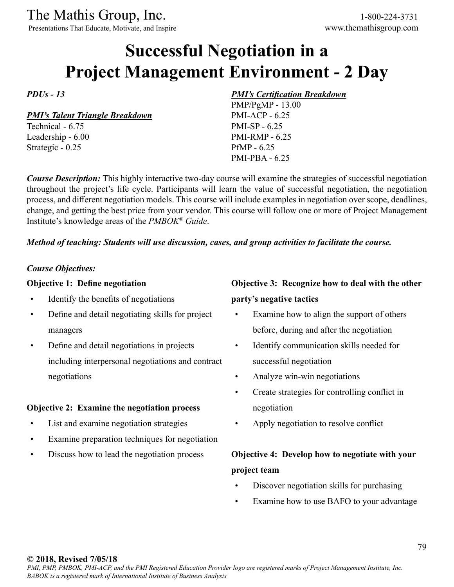Presentations That Educate, Motivate, and Inspire www.themathisgroup.com

# **Successful Negotiation in a Project Management Environment - 2 Day**

*PDUs - 13*

*PMI's Talent Triangle Breakdown*

Technical - 6.75 Leadership - 6.00 Strategic - 0.25

### *PMI's Certification Breakdown*

PMP/PgMP - 13.00 PMI-ACP - 6.25 PMI-SP - 6.25 PMI-RMP - 6.25 PfMP - 6.25 PMI-PBA - 6.25

*Course Description:* This highly interactive two-day course will examine the strategies of successful negotiation throughout the project's life cycle. Participants will learn the value of successful negotiation, the negotiation process, and different negotiation models. This course will include examples in negotiation over scope, deadlines, change, and getting the best price from your vendor. This course will follow one or more of Project Management Institute's knowledge areas of the *PMBOK® Guide*.

#### *Method of teaching: Students will use discussion, cases, and group activities to facilitate the course.*

#### *Course Objectives:*

#### **Objective 1: Define negotiation**

- Identify the benefits of negotiations
- Define and detail negotiating skills for project managers
- Define and detail negotiations in projects including interpersonal negotiations and contract negotiations

#### **Objective 2: Examine the negotiation process**

- List and examine negotiation strategies
- Examine preparation techniques for negotiation
- Discuss how to lead the negotiation process

## **Objective 3: Recognize how to deal with the other party's negative tactics**

- Examine how to align the support of others before, during and after the negotiation
- Identify communication skills needed for successful negotiation
- Analyze win-win negotiations
- Create strategies for controlling conflict in negotiation
- Apply negotiation to resolve conflict

## **Objective 4: Develop how to negotiate with your project team**

- Discover negotiation skills for purchasing
- Examine how to use BAFO to your advantage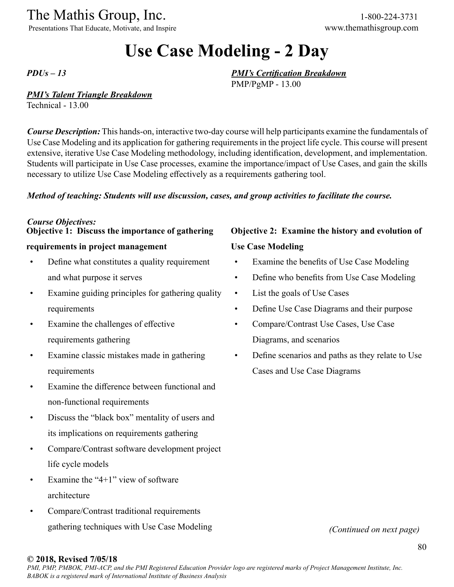Presentations That Educate, Motivate, and Inspire www.themathisgroup.com

# **Use Case Modeling - 2 Day**

*PDUs – 13*

#### *PMI's Talent Triangle Breakdown*

Technical - 13.00

*Course Description:* This hands-on, interactive two-day course will help participants examine the fundamentals of Use Case Modeling and its application for gathering requirements in the project life cycle. This course will present extensive, iterative Use Case Modeling methodology, including identification, development, and implementation. Students will participate in Use Case processes, examine the importance/impact of Use Cases, and gain the skills necessary to utilize Use Case Modeling effectively as a requirements gathering tool.

#### *Method of teaching: Students will use discussion, cases, and group activities to facilitate the course.*

#### *Course Objectives:* **Objective 1: Discuss the importance of gathering**

## **requirements in project management**

- Define what constitutes a quality requirement and what purpose it serves
- Examine guiding principles for gathering quality requirements
- Examine the challenges of effective requirements gathering
- Examine classic mistakes made in gathering requirements
- Examine the difference between functional and non-functional requirements
- Discuss the "black box" mentality of users and its implications on requirements gathering
- Compare/Contrast software development project life cycle models
- Examine the "4+1" view of software architecture
- Compare/Contrast traditional requirements gathering techniques with Use Case Modeling

## **Objective 2: Examine the history and evolution of Use Case Modeling**

- Examine the benefits of Use Case Modeling
- Define who benefits from Use Case Modeling
- List the goals of Use Cases

*PMI's Certification Breakdown*

PMP/PgMP - 13.00

- Define Use Case Diagrams and their purpose
- Compare/Contrast Use Cases, Use Case Diagrams, and scenarios
- Define scenarios and paths as they relate to Use Cases and Use Case Diagrams

*(Continued on next page)*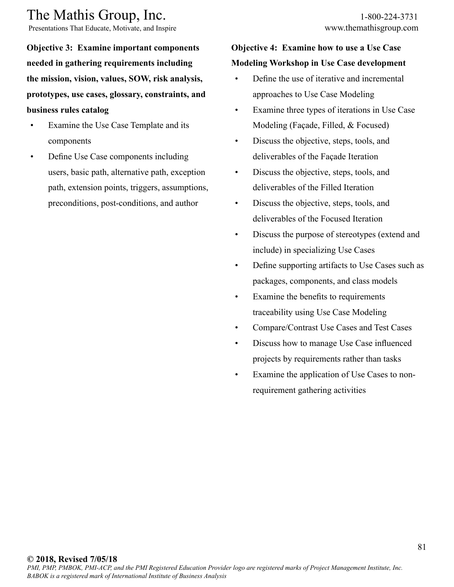Presentations That Educate, Motivate, and Inspire www.themathisgroup.com

**Objective 3: Examine important components needed in gathering requirements including the mission, vision, values, SOW, risk analysis, prototypes, use cases, glossary, constraints, and business rules catalog**

- Examine the Use Case Template and its components
- Define Use Case components including users, basic path, alternative path, exception path, extension points, triggers, assumptions, preconditions, post-conditions, and author

## **Objective 4: Examine how to use a Use Case Modeling Workshop in Use Case development**

- Define the use of iterative and incremental approaches to Use Case Modeling
- Examine three types of iterations in Use Case Modeling (Façade, Filled, & Focused)
- Discuss the objective, steps, tools, and deliverables of the Façade Iteration
- Discuss the objective, steps, tools, and deliverables of the Filled Iteration
- Discuss the objective, steps, tools, and deliverables of the Focused Iteration
- Discuss the purpose of stereotypes (extend and include) in specializing Use Cases
- Define supporting artifacts to Use Cases such as packages, components, and class models
- Examine the benefits to requirements traceability using Use Case Modeling
- Compare/Contrast Use Cases and Test Cases
- Discuss how to manage Use Case influenced projects by requirements rather than tasks
- Examine the application of Use Cases to nonrequirement gathering activities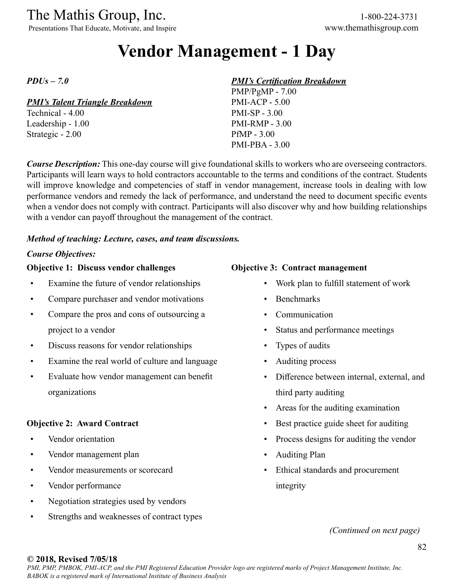Presentations That Educate, Motivate, and Inspire www.themathisgroup.com

# **Vendor Management - 1 Day**

*PDUs – 7.0*

#### *PMI's Talent Triangle Breakdown*

Technical - 4.00 Leadership - 1.00 Strategic - 2.00

#### *PMI's Certification Breakdown*

PMP/PgMP - 7.00 PMI-ACP - 5.00 PMI-SP - 3.00 PMI-RMP - 3.00 PfMP - 3.00 PMI-PBA - 3.00

*Course Description:* This one-day course will give foundational skills to workers who are overseeing contractors. Participants will learn ways to hold contractors accountable to the terms and conditions of the contract. Students will improve knowledge and competencies of staff in vendor management, increase tools in dealing with low performance vendors and remedy the lack of performance, and understand the need to document specific events when a vendor does not comply with contract. Participants will also discover why and how building relationships with a vendor can payoff throughout the management of the contract.

#### *Method of teaching: Lecture, cases, and team discussions.*

#### *Course Objectives:*

#### **Objective 1: Discuss vendor challenges**

- Examine the future of vendor relationships
- Compare purchaser and vendor motivations
- Compare the pros and cons of outsourcing a project to a vendor
- Discuss reasons for vendor relationships
- Examine the real world of culture and language
- Evaluate how vendor management can benefit organizations

#### **Objective 2: Award Contract**

- Vendor orientation
- Vendor management plan
- Vendor measurements or scorecard
- Vendor performance
- Negotiation strategies used by vendors
- Strengths and weaknesses of contract types

#### **Objective 3: Contract management**

- Work plan to fulfill statement of work
- Benchmarks
- Communication
- Status and performance meetings
- Types of audits
- Auditing process
- Difference between internal, external, and third party auditing
- Areas for the auditing examination
- Best practice guide sheet for auditing
- Process designs for auditing the vendor
- Auditing Plan
- Ethical standards and procurement integrity

*(Continued on next page)*

#### **© 2018, Revised 7/05/18**

*PMI, PMP, PMBOK, PMI-ACP, and the PMI Registered Education Provider logo are registered marks of Project Management Institute, Inc. BABOK is a registered mark of International Institute of Business Analysis*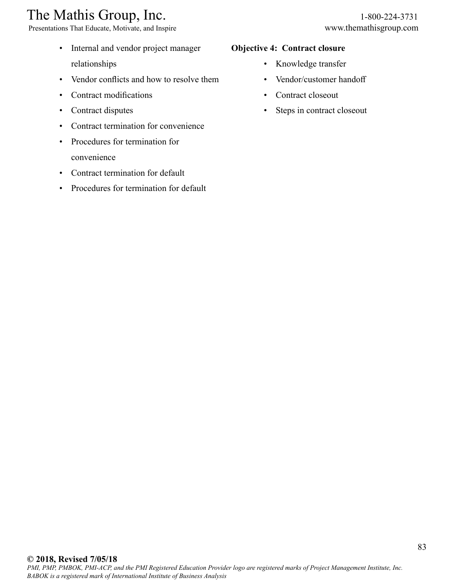Presentations That Educate, Motivate, and Inspire www.themathisgroup.com

- Internal and vendor project manager relationships
- Vendor conflicts and how to resolve them
- Contract modifications
- Contract disputes
- Contract termination for convenience
- Procedures for termination for convenience
- Contract termination for default
- Procedures for termination for default

#### **Objective 4: Contract closure**

- Knowledge transfer
- Vendor/customer handoff
- Contract closeout
- Steps in contract closeout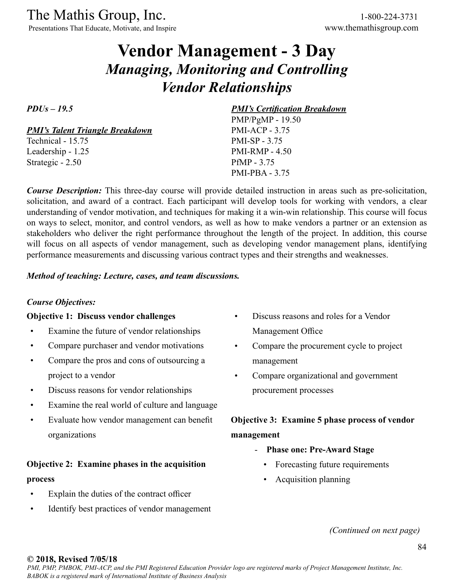Presentations That Educate, Motivate, and Inspire www.themathisgroup.com

# **Vendor Management - 3 Day** *Managing, Monitoring and Controlling Vendor Relationships*

*PDUs – 19.5*

*PMI's Talent Triangle Breakdown*

Technical - 15.75 Leadership - 1.25 Strategic - 2.50

#### *PMI's Certification Breakdown*

PMP/PgMP - 19.50 PMI-ACP - 3.75 PMI-SP - 3.75 PMI-RMP - 4.50 PfMP - 3.75 PMI-PBA - 3.75

*Course Description:* This three-day course will provide detailed instruction in areas such as pre-solicitation, solicitation, and award of a contract. Each participant will develop tools for working with vendors, a clear understanding of vendor motivation, and techniques for making it a win-win relationship. This course will focus on ways to select, monitor, and control vendors, as well as how to make vendors a partner or an extension as stakeholders who deliver the right performance throughout the length of the project. In addition, this course will focus on all aspects of vendor management, such as developing vendor management plans, identifying performance measurements and discussing various contract types and their strengths and weaknesses.

#### *Method of teaching: Lecture, cases, and team discussions.*

#### *Course Objectives:*

#### **Objective 1: Discuss vendor challenges**

- Examine the future of vendor relationships
- Compare purchaser and vendor motivations
- Compare the pros and cons of outsourcing a project to a vendor
- Discuss reasons for vendor relationships
- Examine the real world of culture and language
- Evaluate how vendor management can benefit organizations

## **Objective 2: Examine phases in the acquisition process**

- Explain the duties of the contract officer
- Identify best practices of vendor management
- Discuss reasons and roles for a Vendor Management Office
- Compare the procurement cycle to project management
- Compare organizational and government procurement processes

## **Objective 3: Examine 5 phase process of vendor management**

- **Phase one: Pre-Award Stage**
	- Forecasting future requirements
	- Acquisition planning

*(Continued on next page)*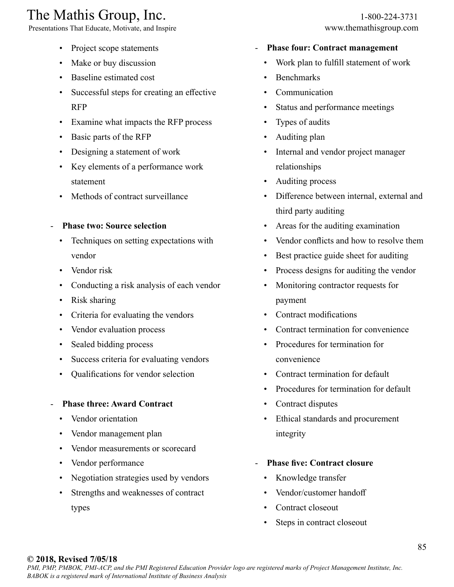Presentations That Educate, Motivate, and Inspire www.themathisgroup.com

- Project scope statements
- Make or buy discussion
- Baseline estimated cost
- Successful steps for creating an effective RFP
- Examine what impacts the RFP process
- Basic parts of the RFP
- Designing a statement of work
- Key elements of a performance work statement
- Methods of contract surveillance
- **Phase two: Source selection**
	- Techniques on setting expectations with vendor
	- Vendor risk
	- Conducting a risk analysis of each vendor
	- Risk sharing
	- Criteria for evaluating the vendors
	- Vendor evaluation process
	- Sealed bidding process
	- Success criteria for evaluating vendors
	- Qualifications for vendor selection

#### - **Phase three: Award Contract**

- Vendor orientation
- Vendor management plan
- Vendor measurements or scorecard
- Vendor performance
- Negotiation strategies used by vendors
- Strengths and weaknesses of contract types

#### - **Phase four: Contract management**

- Work plan to fulfill statement of work
- Benchmarks
- **Communication**
- Status and performance meetings
- Types of audits
- Auditing plan
- Internal and vendor project manager relationships
- Auditing process
- Difference between internal, external and third party auditing
- Areas for the auditing examination
- Vendor conflicts and how to resolve them
- Best practice guide sheet for auditing
- Process designs for auditing the vendor
- Monitoring contractor requests for payment
- Contract modifications
- Contract termination for convenience
- Procedures for termination for convenience
- Contract termination for default
- Procedures for termination for default
- Contract disputes
- Ethical standards and procurement integrity
- **Phase five: Contract closure**
	- Knowledge transfer
	- Vendor/customer handoff
	- Contract closeout
	- Steps in contract closeout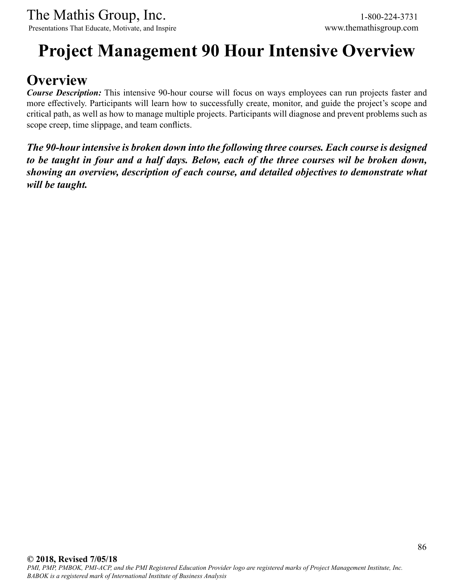# **Project Management 90 Hour Intensive Overview**

# **Overview**

*Course Description:* This intensive 90-hour course will focus on ways employees can run projects faster and more effectively. Participants will learn how to successfully create, monitor, and guide the project's scope and critical path, as well as how to manage multiple projects. Participants will diagnose and prevent problems such as scope creep, time slippage, and team conflicts.

*The 90-hour intensive is broken down into the following three courses. Each course is designed to be taught in four and a half days. Below, each of the three courses wil be broken down, showing an overview, description of each course, and detailed objectives to demonstrate what will be taught.*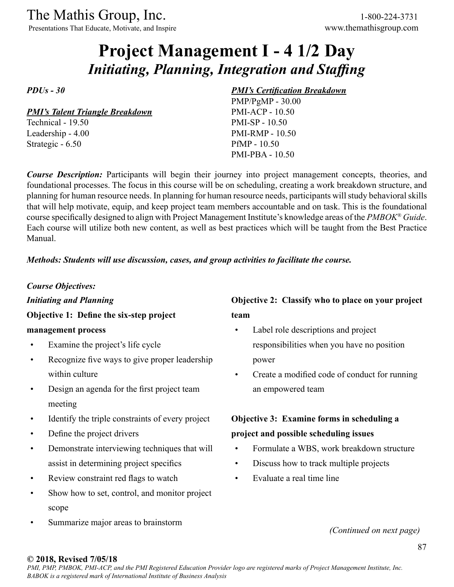Presentations That Educate, Motivate, and Inspire www.themathisgroup.com

# **Project Management I - 4 1/2 Day** *Initiating, Planning, Integration and Staffing*

*PDUs - 30*

*PMI's Talent Triangle Breakdown*

Technical - 19.50 Leadership - 4.00 Strategic - 6.50

#### *PMI's Certification Breakdown*

PMP/PgMP - 30.00 PMI-ACP - 10.50 PMI-SP - 10.50 PMI-RMP - 10.50 PfMP - 10.50 PMI-PBA - 10.50

*Course Description:* Participants will begin their journey into project management concepts, theories, and foundational processes. The focus in this course will be on scheduling, creating a work breakdown structure, and planning for human resource needs. In planning for human resource needs, participants will study behavioral skills that will help motivate, equip, and keep project team members accountable and on task. This is the foundational course specifically designed to align with Project Management Institute's knowledge areas of the *PMBOK® Guide*. Each course will utilize both new content, as well as best practices which will be taught from the Best Practice Manual.

#### *Methods: Students will use discussion, cases, and group activities to facilitate the course.*

*Course Objectives:*

*Initiating and Planning*

**Objective 1: Define the six-step project** 

#### **management process**

- Examine the project's life cycle
- Recognize five ways to give proper leadership within culture
- Design an agenda for the first project team meeting
- Identify the triple constraints of every project
- Define the project drivers
- Demonstrate interviewing techniques that will assist in determining project specifics
- Review constraint red flags to watch
- Show how to set, control, and monitor project scope
- Summarize major areas to brainstorm

## **Objective 2: Classify who to place on your project team**

- Label role descriptions and project responsibilities when you have no position power
- Create a modified code of conduct for running an empowered team

## **Objective 3: Examine forms in scheduling a project and possible scheduling issues**

- Formulate a WBS, work breakdown structure
- Discuss how to track multiple projects
- Evaluate a real time line

*(Continued on next page)*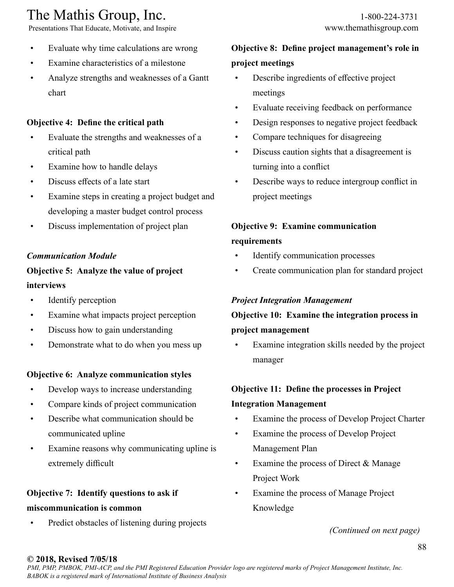Presentations That Educate, Motivate, and Inspire www.themathisgroup.com

- Evaluate why time calculations are wrong
- Examine characteristics of a milestone
- Analyze strengths and weaknesses of a Gantt chart

## **Objective 4: Define the critical path**

- Evaluate the strengths and weaknesses of a critical path
- Examine how to handle delays
- Discuss effects of a late start
- Examine steps in creating a project budget and developing a master budget control process
- Discuss implementation of project plan

### *Communication Module*

## **Objective 5: Analyze the value of project interviews**

- Identify perception
- Examine what impacts project perception
- Discuss how to gain understanding
- Demonstrate what to do when you mess up

### **Objective 6: Analyze communication styles**

- Develop ways to increase understanding
- Compare kinds of project communication
- Describe what communication should be communicated upline
- Examine reasons why communicating upline is extremely difficult

## **Objective 7: Identify questions to ask if**

### **miscommunication is common**

• Predict obstacles of listening during projects

## **Objective 8: Define project management's role in project meetings**

- Describe ingredients of effective project meetings
- Evaluate receiving feedback on performance
- Design responses to negative project feedback
- Compare techniques for disagreeing
- Discuss caution sights that a disagreement is turning into a conflict
- Describe ways to reduce intergroup conflict in project meetings

## **Objective 9: Examine communication requirements**

- Identify communication processes
- Create communication plan for standard project

### *Project Integration Management*

## **Objective 10: Examine the integration process in project management**

Examine integration skills needed by the project manager

## **Objective 11: Define the processes in Project**

#### **Integration Management**

- Examine the process of Develop Project Charter
- Examine the process of Develop Project Management Plan
- Examine the process of Direct & Manage Project Work
- Examine the process of Manage Project Knowledge

*(Continued on next page)*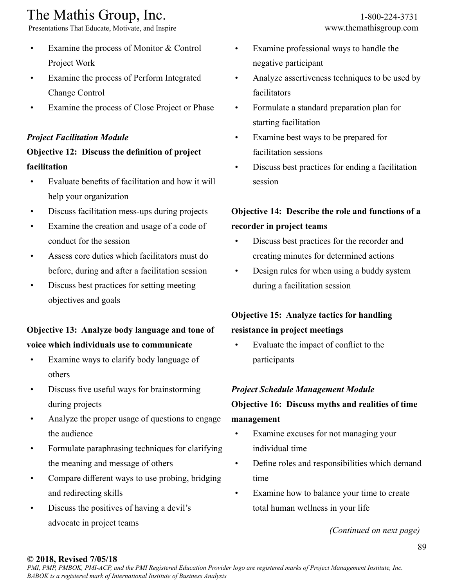Presentations That Educate, Motivate, and Inspire www.themathisgroup.com

- Examine the process of Monitor & Control Project Work
- Examine the process of Perform Integrated Change Control
- Examine the process of Close Project or Phase

## *Project Facilitation Module*

## **Objective 12: Discuss the definition of project facilitation**

- Evaluate benefits of facilitation and how it will help your organization
- Discuss facilitation mess-ups during projects
- Examine the creation and usage of a code of conduct for the session
- Assess core duties which facilitators must do before, during and after a facilitation session
- Discuss best practices for setting meeting objectives and goals

## **Objective 13: Analyze body language and tone of voice which individuals use to communicate**

- Examine ways to clarify body language of others
- Discuss five useful ways for brainstorming during projects
- Analyze the proper usage of questions to engage the audience
- Formulate paraphrasing techniques for clarifying the meaning and message of others
- Compare different ways to use probing, bridging and redirecting skills
- Discuss the positives of having a devil's advocate in project teams
- Examine professional ways to handle the negative participant
- Analyze assertiveness techniques to be used by facilitators
- Formulate a standard preparation plan for starting facilitation
- Examine best ways to be prepared for facilitation sessions
- Discuss best practices for ending a facilitation session

## **Objective 14: Describe the role and functions of a recorder in project teams**

- Discuss best practices for the recorder and creating minutes for determined actions
- Design rules for when using a buddy system during a facilitation session

## **Objective 15: Analyze tactics for handling**

### **resistance in project meetings**

• Evaluate the impact of conflict to the participants

## *Project Schedule Management Module* **Objective 16: Discuss myths and realities of time management**

- Examine excuses for not managing your individual time
- Define roles and responsibilities which demand time
- Examine how to balance your time to create total human wellness in your life

*(Continued on next page)*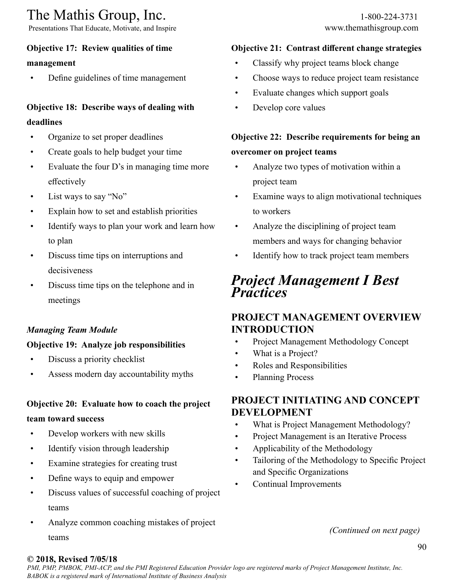Presentations That Educate, Motivate, and Inspire www.themathisgroup.com

## **Objective 17: Review qualities of time**

### **management**

• Define guidelines of time management

## **Objective 18: Describe ways of dealing with deadlines**

- Organize to set proper deadlines
- Create goals to help budget your time
- Evaluate the four D's in managing time more effectively
- List ways to say "No"
- Explain how to set and establish priorities
- Identify ways to plan your work and learn how to plan
- Discuss time tips on interruptions and decisiveness
- Discuss time tips on the telephone and in meetings

## *Managing Team Module*

### **Objective 19: Analyze job responsibilities**

- Discuss a priority checklist
- Assess modern day accountability myths

## **Objective 20: Evaluate how to coach the project**

#### **team toward success**

- Develop workers with new skills
- Identify vision through leadership
- Examine strategies for creating trust
- Define ways to equip and empower
- Discuss values of successful coaching of project teams
- Analyze common coaching mistakes of project teams

### **Objective 21: Contrast different change strategies**

- Classify why project teams block change
- Choose ways to reduce project team resistance
- Evaluate changes which support goals
- Develop core values

## **Objective 22: Describe requirements for being an overcomer on project teams**

- Analyze two types of motivation within a project team
- Examine ways to align motivational techniques to workers
- Analyze the disciplining of project team members and ways for changing behavior
- Identify how to track project team members

## *Project Management I Best Practices*

## **PROJECT MANAGEMENT OVERVIEW INTRODUCTION**

- Project Management Methodology Concept
- What is a Project?
- Roles and Responsibilities
- Planning Process

## **PROJECT INITIATING AND CONCEPT DEVELOPMENT**

- What is Project Management Methodology?
- Project Management is an Iterative Process
- Applicability of the Methodology
- Tailoring of the Methodology to Specific Project and Specific Organizations
- Continual Improvements

*(Continued on next page)*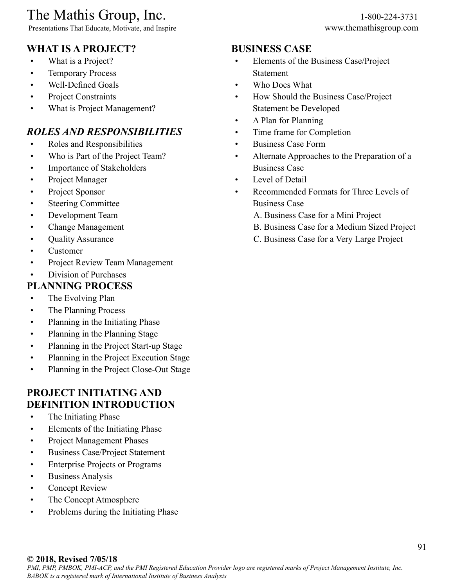Presentations That Educate, Motivate, and Inspire www.themathisgroup.com

## **WHAT IS A PROJECT?**

- What is a Project?
- Temporary Process
- Well-Defined Goals
- Project Constraints
- What is Project Management?

## *ROLES AND RESPONSIBILITIES*

- Roles and Responsibilities
- Who is Part of the Project Team?
- Importance of Stakeholders
- Project Manager
- Project Sponsor
- Steering Committee
- Development Team
- Change Management
- Quality Assurance
- Customer
- Project Review Team Management
- Division of Purchases

## **PLANNING PROCESS**

- The Evolving Plan
- The Planning Process
- Planning in the Initiating Phase
- Planning in the Planning Stage
- Planning in the Project Start-up Stage
- Planning in the Project Execution Stage
- Planning in the Project Close-Out Stage

## **PROJECT INITIATING AND DEFINITION INTRODUCTION**

- The Initiating Phase
- Elements of the Initiating Phase
- Project Management Phases
- Business Case/Project Statement
- Enterprise Projects or Programs
- Business Analysis
- Concept Review
- The Concept Atmosphere
- Problems during the Initiating Phase

## **BUSINESS CASE**

- Elements of the Business Case/Project Statement
- Who Does What
- How Should the Business Case/Project Statement be Developed
- A Plan for Planning
- Time frame for Completion
- Business Case Form
- Alternate Approaches to the Preparation of a Business Case
- Level of Detail
- Recommended Formats for Three Levels of Business Case
	- A. Business Case for a Mini Project
	- B. Business Case for a Medium Sized Project
	- C. Business Case for a Very Large Project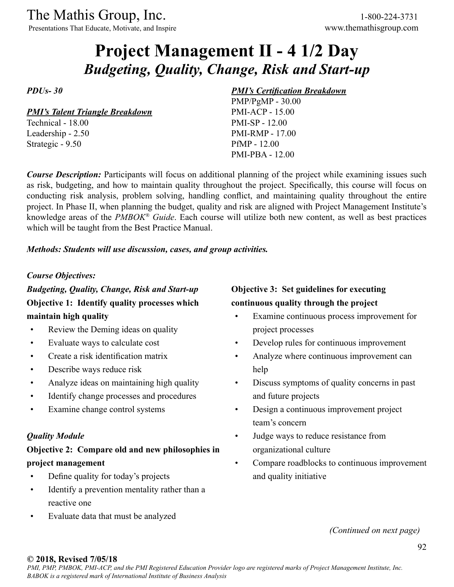The Mathis Group, Inc. 1-800-224-3731<br>
Presentations That Educate, Motivate, and Inspire www.themathisgroup.com

Presentations That Educate, Motivate, and Inspire

# **Project Management II - 4 1/2 Day** *Budgeting, Quality, Change, Risk and Start-up*

*PDUs- 30*

*PMI's Talent Triangle Breakdown*

Technical - 18.00 Leadership - 2.50 Strategic - 9.50

#### *PMI's Certification Breakdown*

PMP/PgMP - 30.00 PMI-ACP - 15.00 PMI-SP - 12.00 PMI-RMP - 17.00 PfMP - 12.00 PMI-PBA - 12.00

*Course Description:* Participants will focus on additional planning of the project while examining issues such as risk, budgeting, and how to maintain quality throughout the project. Specifically, this course will focus on conducting risk analysis, problem solving, handling conflict, and maintaining quality throughout the entire project. In Phase II, when planning the budget, quality and risk are aligned with Project Management Institute's knowledge areas of the *PMBOK® Guide*. Each course will utilize both new content, as well as best practices which will be taught from the Best Practice Manual.

*Methods: Students will use discussion, cases, and group activities.*

#### *Course Objectives:*

*Budgeting, Quality, Change, Risk and Start-up* **Objective 1: Identify quality processes which maintain high quality**

- Review the Deming ideas on quality
- Evaluate ways to calculate cost
- Create a risk identification matrix
- Describe ways reduce risk
- Analyze ideas on maintaining high quality
- Identify change processes and procedures
- Examine change control systems

### *Quality Module*

## **Objective 2: Compare old and new philosophies in project management**

- Define quality for today's projects
- Identify a prevention mentality rather than a reactive one
- Evaluate data that must be analyzed

## **Objective 3: Set guidelines for executing continuous quality through the project**

- Examine continuous process improvement for project processes
- Develop rules for continuous improvement
- Analyze where continuous improvement can help
- Discuss symptoms of quality concerns in past and future projects
- Design a continuous improvement project team's concern
- Judge ways to reduce resistance from organizational culture
- Compare roadblocks to continuous improvement and quality initiative

*(Continued on next page)*

#### **© 2018, Revised 7/05/18**

*PMI, PMP, PMBOK, PMI-ACP, and the PMI Registered Education Provider logo are registered marks of Project Management Institute, Inc. BABOK is a registered mark of International Institute of Business Analysis*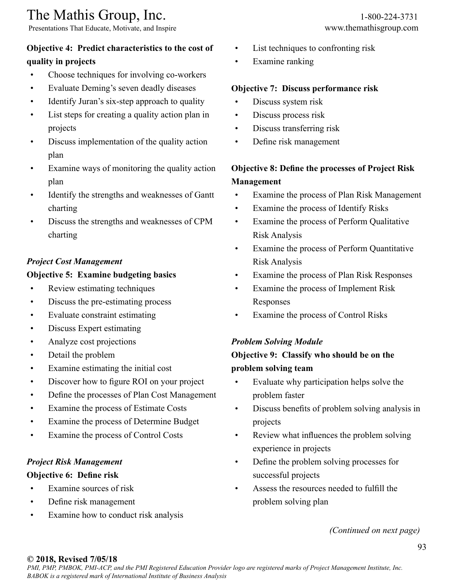Presentations That Educate, Motivate, and Inspire www.themathisgroup.com

## **Objective 4: Predict characteristics to the cost of quality in projects**

- Choose techniques for involving co-workers
- Evaluate Deming's seven deadly diseases
- Identify Juran's six-step approach to quality
- List steps for creating a quality action plan in projects
- Discuss implementation of the quality action plan
- Examine ways of monitoring the quality action plan
- Identify the strengths and weaknesses of Gantt charting
- Discuss the strengths and weaknesses of CPM charting

### *Project Cost Management*

### **Objective 5: Examine budgeting basics**

- Review estimating techniques
- Discuss the pre-estimating process
- Evaluate constraint estimating
- Discuss Expert estimating
- Analyze cost projections
- Detail the problem
- Examine estimating the initial cost
- Discover how to figure ROI on your project
- Define the processes of Plan Cost Management
- Examine the process of Estimate Costs
- Examine the process of Determine Budget
- Examine the process of Control Costs

### *Project Risk Management*

#### **Objective 6: Define risk**

- Examine sources of risk
- Define risk management
- Examine how to conduct risk analysis
- List techniques to confronting risk
- Examine ranking

#### **Objective 7: Discuss performance risk**

- Discuss system risk
- Discuss process risk
- Discuss transferring risk
- Define risk management

## **Objective 8: Define the processes of Project Risk Management**

- Examine the process of Plan Risk Management
- Examine the process of Identify Risks
- Examine the process of Perform Qualitative Risk Analysis
- Examine the process of Perform Quantitative Risk Analysis
- Examine the process of Plan Risk Responses
- Examine the process of Implement Risk Responses
- Examine the process of Control Risks

#### *Problem Solving Module*

## **Objective 9: Classify who should be on the problem solving team**

- Evaluate why participation helps solve the problem faster
- Discuss benefits of problem solving analysis in projects
- Review what influences the problem solving experience in projects
- Define the problem solving processes for successful projects
- Assess the resources needed to fulfill the problem solving plan

*(Continued on next page)*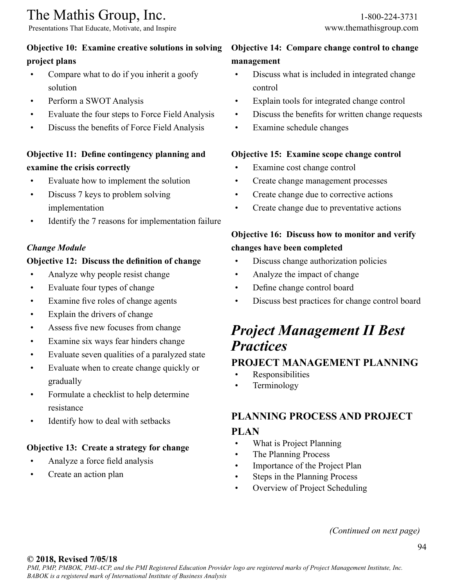Presentations That Educate, Motivate, and Inspire www.themathisgroup.com

## **Objective 10: Examine creative solutions in solving project plans**

- Compare what to do if you inherit a goofy solution
- Perform a SWOT Analysis
- Evaluate the four steps to Force Field Analysis
- Discuss the benefits of Force Field Analysis

## **Objective 11: Define contingency planning and examine the crisis correctly**

- Evaluate how to implement the solution
- Discuss 7 keys to problem solving implementation
- Identify the 7 reasons for implementation failure

### *Change Module*

### **Objective 12: Discuss the definition of change**

- Analyze why people resist change
- Evaluate four types of change
- Examine five roles of change agents
- Explain the drivers of change
- Assess five new focuses from change
- Examine six ways fear hinders change
- Evaluate seven qualities of a paralyzed state
- Evaluate when to create change quickly or gradually
- Formulate a checklist to help determine resistance
- Identify how to deal with setbacks

## **Objective 13: Create a strategy for change**

- Analyze a force field analysis
- Create an action plan

## **Objective 14: Compare change control to change management**

- Discuss what is included in integrated change control
- Explain tools for integrated change control
- Discuss the benefits for written change requests
- Examine schedule changes

### **Objective 15: Examine scope change control**

- Examine cost change control
- Create change management processes
- Create change due to corrective actions
- Create change due to preventative actions

## **Objective 16: Discuss how to monitor and verify changes have been completed**

- Discuss change authorization policies
- Analyze the impact of change
- Define change control board
- Discuss best practices for change control board

# *Project Management II Best Practices*

## **PROJECT MANAGEMENT PLANNING**

- Responsibilities
- **Terminology**

## **PLANNING PROCESS AND PROJECT**

## **PLAN**

- What is Project Planning
- The Planning Process
- Importance of the Project Plan
- Steps in the Planning Process
- Overview of Project Scheduling

#### *(Continued on next page)*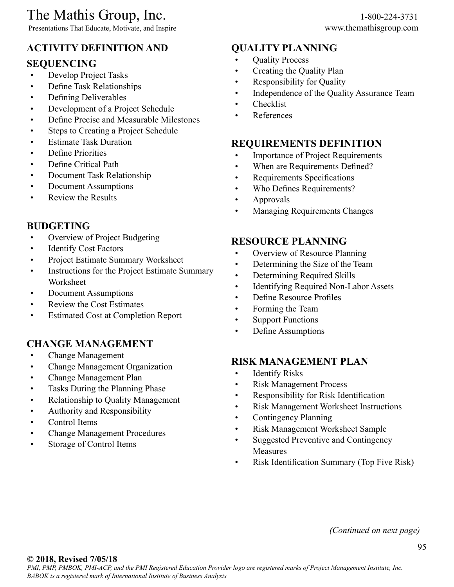Presentations That Educate, Motivate, and Inspire www.themathisgroup.com

# **ACTIVITY DEFINITION AND**

## **SEQUENCING**

- Develop Project Tasks
- Define Task Relationships
- Defining Deliverables
- Development of a Project Schedule
- Define Precise and Measurable Milestones
- Steps to Creating a Project Schedule
- Estimate Task Duration
- Define Priorities
- Define Critical Path
- Document Task Relationship
- Document Assumptions
- Review the Results

## **BUDGETING**

- Overview of Project Budgeting
- Identify Cost Factors
- Project Estimate Summary Worksheet
- Instructions for the Project Estimate Summary Worksheet
- Document Assumptions
- Review the Cost Estimates
- Estimated Cost at Completion Report

## **CHANGE MANAGEMENT**

- Change Management
- Change Management Organization
- Change Management Plan
- Tasks During the Planning Phase
- Relationship to Quality Management
- Authority and Responsibility
- Control Items
- Change Management Procedures
- Storage of Control Items

## **QUALITY PLANNING**

- **Quality Process**
- Creating the Quality Plan
- Responsibility for Quality
- Independence of the Quality Assurance Team
- Checklist
- References

## **REQUIREMENTS DEFINITION**

- Importance of Project Requirements
- When are Requirements Defined?
- Requirements Specifications
- Who Defines Requirements?
- Approvals
- Managing Requirements Changes

## **RESOURCE PLANNING**

- Overview of Resource Planning
- Determining the Size of the Team
- Determining Required Skills
- Identifying Required Non-Labor Assets
- Define Resource Profiles
- Forming the Team
- Support Functions
- Define Assumptions

## **RISK MANAGEMENT PLAN**

- Identify Risks
- Risk Management Process
- Responsibility for Risk Identification
- Risk Management Worksheet Instructions
- Contingency Planning
- Risk Management Worksheet Sample
- Suggested Preventive and Contingency Measures
- Risk Identification Summary (Top Five Risk)

*(Continued on next page)*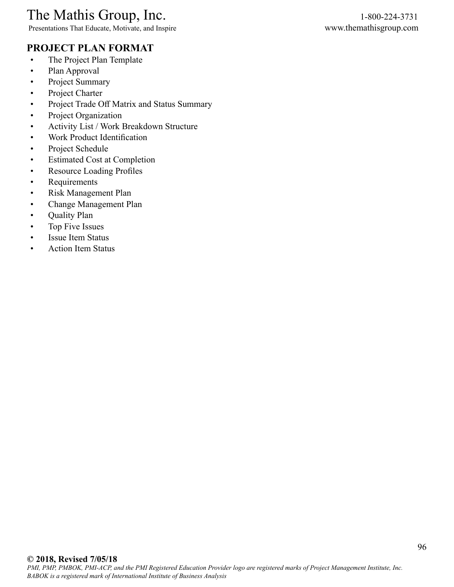Presentations That Educate, Motivate, and Inspire www.themathisgroup.com

## **PROJECT PLAN FORMAT**

- The Project Plan Template
- Plan Approval
- Project Summary
- Project Charter
- Project Trade Off Matrix and Status Summary
- Project Organization
- Activity List / Work Breakdown Structure
- Work Product Identification
- Project Schedule
- Estimated Cost at Completion
- Resource Loading Profiles
- Requirements
- Risk Management Plan
- Change Management Plan
- Quality Plan
- Top Five Issues
- Issue Item Status
- Action Item Status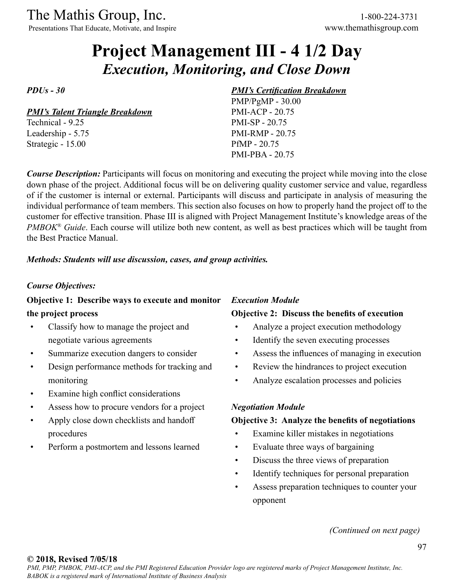Presentations That Educate, Motivate, and Inspire www.themathisgroup.com

# **Project Management III - 4 1/2 Day** *Execution, Monitoring, and Close Down*

*PDUs - 30*

*PMI's Talent Triangle Breakdown*

Technical - 9.25 Leadership - 5.75 Strategic - 15.00

#### *PMI's Certification Breakdown*

PMP/PgMP - 30.00 PMI-ACP - 20.75 PMI-SP - 20.75 PMI-RMP - 20.75 PfMP - 20.75 PMI-PBA - 20.75

*Course Description:* Participants will focus on monitoring and executing the project while moving into the close down phase of the project. Additional focus will be on delivering quality customer service and value, regardless of if the customer is internal or external. Participants will discuss and participate in analysis of measuring the individual performance of team members. This section also focuses on how to properly hand the project off to the customer for effective transition. Phase III is aligned with Project Management Institute's knowledge areas of the *PMBOK® Guide*. Each course will utilize both new content, as well as best practices which will be taught from the Best Practice Manual.

#### *Methods: Students will use discussion, cases, and group activities.*

#### *Course Objectives:*

### **Objective 1: Describe ways to execute and monitor the project process**

- Classify how to manage the project and negotiate various agreements
- Summarize execution dangers to consider
- Design performance methods for tracking and monitoring
- Examine high conflict considerations
- Assess how to procure vendors for a project
- Apply close down checklists and handoff procedures
- Perform a postmortem and lessons learned

## *Execution Module*

### **Objective 2: Discuss the benefits of execution**

- Analyze a project execution methodology
- Identify the seven executing processes
- Assess the influences of managing in execution
- Review the hindrances to project execution
- Analyze escalation processes and policies

#### *Negotiation Module*

#### **Objective 3: Analyze the benefits of negotiations**

- Examine killer mistakes in negotiations
- Evaluate three ways of bargaining
- Discuss the three views of preparation
- Identify techniques for personal preparation
- Assess preparation techniques to counter your opponent

*(Continued on next page)*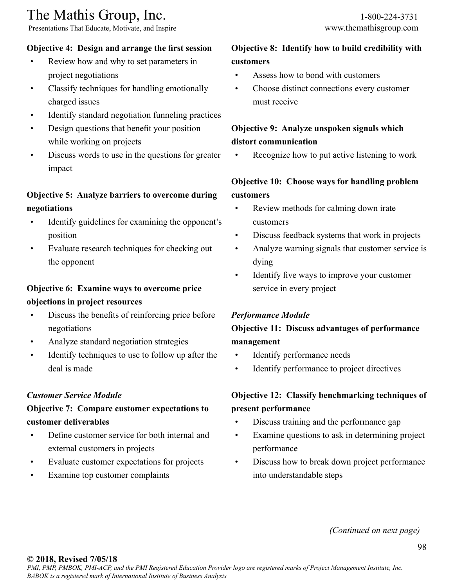Presentations That Educate, Motivate, and Inspire www.themathisgroup.com

## **Objective 4: Design and arrange the first session**

- Review how and why to set parameters in project negotiations
- Classify techniques for handling emotionally charged issues
- Identify standard negotiation funneling practices
- Design questions that benefit your position while working on projects
- Discuss words to use in the questions for greater impact

## **Objective 5: Analyze barriers to overcome during negotiations**

- Identify guidelines for examining the opponent's position
- Evaluate research techniques for checking out the opponent

## **Objective 6: Examine ways to overcome price objections in project resources**

- Discuss the benefits of reinforcing price before negotiations
- Analyze standard negotiation strategies
- Identify techniques to use to follow up after the deal is made

## *Customer Service Module*

## **Objective 7: Compare customer expectations to customer deliverables**

- Define customer service for both internal and external customers in projects
- Evaluate customer expectations for projects
- Examine top customer complaints

## **Objective 8: Identify how to build credibility with customers**

- Assess how to bond with customers
- Choose distinct connections every customer must receive

## **Objective 9: Analyze unspoken signals which distort communication**

Recognize how to put active listening to work

## **Objective 10: Choose ways for handling problem customers**

- Review methods for calming down irate customers
- Discuss feedback systems that work in projects
- Analyze warning signals that customer service is dying
- Identify five ways to improve your customer service in every project

## *Performance Module*

## **Objective 11: Discuss advantages of performance management**

- Identify performance needs
- Identify performance to project directives

## **Objective 12: Classify benchmarking techniques of present performance**

- Discuss training and the performance gap
- Examine questions to ask in determining project performance
- Discuss how to break down project performance into understandable steps

*(Continued on next page)*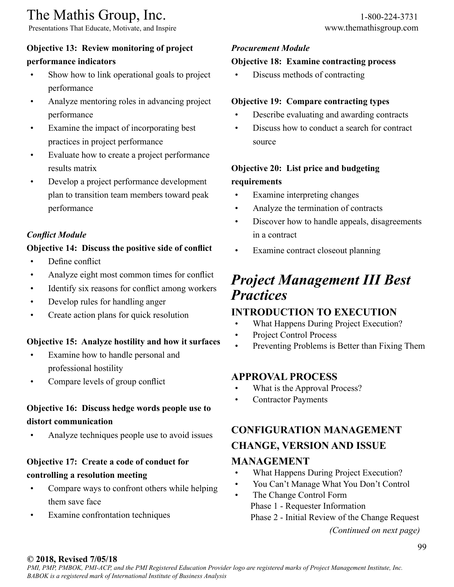Presentations That Educate, Motivate, and Inspire www.themathisgroup.com

### **Objective 13: Review monitoring of project**

#### **performance indicators**

- Show how to link operational goals to project performance
- Analyze mentoring roles in advancing project performance
- Examine the impact of incorporating best practices in project performance
- Evaluate how to create a project performance results matrix
- Develop a project performance development plan to transition team members toward peak performance

### *Conflict Module*

### **Objective 14: Discuss the positive side of conflict**

- Define conflict
- Analyze eight most common times for conflict
- Identify six reasons for conflict among workers
- Develop rules for handling anger
- Create action plans for quick resolution

#### **Objective 15: Analyze hostility and how it surfaces**

- Examine how to handle personal and professional hostility
- Compare levels of group conflict

## **Objective 16: Discuss hedge words people use to distort communication**

• Analyze techniques people use to avoid issues

## **Objective 17: Create a code of conduct for controlling a resolution meeting**

- Compare ways to confront others while helping them save face
- Examine confrontation techniques

## *Procurement Module*

## **Objective 18: Examine contracting process**

• Discuss methods of contracting

### **Objective 19: Compare contracting types**

- Describe evaluating and awarding contracts
- Discuss how to conduct a search for contract source

## **Objective 20: List price and budgeting requirements**

- Examine interpreting changes
- Analyze the termination of contracts
- Discover how to handle appeals, disagreements in a contract
- Examine contract closeout planning

## *Project Management III Best Practices*

## **INTRODUCTION TO EXECUTION**

- What Happens During Project Execution?
- Project Control Process
- Preventing Problems is Better than Fixing Them

### **APPROVAL PROCESS**

- What is the Approval Process?
- Contractor Payments

## **CONFIGURATION MANAGEMENT CHANGE, VERSION AND ISSUE MANAGEMENT**

## • What Happens During Project Execution?

- You Can't Manage What You Don't Control
- The Change Control Form Phase 1 - Requester Information Phase 2 - Initial Review of the Change Request

*<sup>(</sup>Continued on next page)*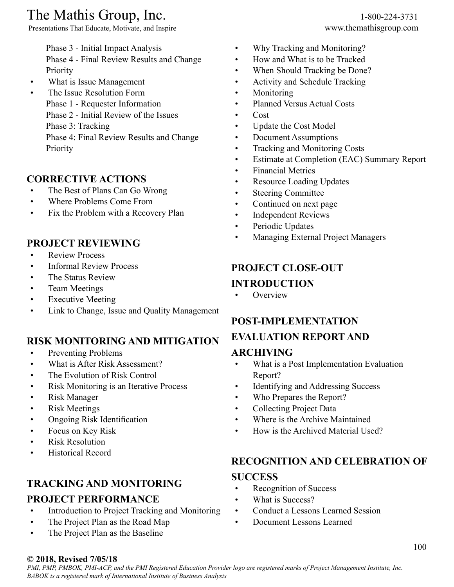Presentations That Educate, Motivate, and Inspire www.themathisgroup.com

Phase 3 - Initial Impact Analysis

Phase 4 - Final Review Results and Change Priority

- What is Issue Management
- The Issue Resolution Form
	- Phase 1 Requester Information
		- Phase 2 Initial Review of the Issues
		- Phase 3: Tracking

Phase 4: Final Review Results and Change Priority

## **CORRECTIVE ACTIONS**

- The Best of Plans Can Go Wrong
- Where Problems Come From
- Fix the Problem with a Recovery Plan

## **PROJECT REVIEWING**

- Review Process
- Informal Review Process
- The Status Review
- Team Meetings
- Executive Meeting
- Link to Change, Issue and Quality Management

## **RISK MONITORING AND MITIGATION**

- Preventing Problems
- What is After Risk Assessment?
- The Evolution of Risk Control
- Risk Monitoring is an Iterative Process
- Risk Manager
- Risk Meetings
- Ongoing Risk Identification
- Focus on Key Risk
- Risk Resolution
- Historical Record

## **TRACKING AND MONITORING**

## **PROJECT PERFORMANCE**

- Introduction to Project Tracking and Monitoring
- The Project Plan as the Road Map
- The Project Plan as the Baseline
- Why Tracking and Monitoring?
- How and What is to be Tracked
- When Should Tracking be Done?
- Activity and Schedule Tracking
- Monitoring
- Planned Versus Actual Costs
- Cost
- Update the Cost Model
- Document Assumptions
- Tracking and Monitoring Costs
- Estimate at Completion (EAC) Summary Report
- Financial Metrics
- Resource Loading Updates
- Steering Committee
- Continued on next page
- Independent Reviews
- Periodic Updates
- Managing External Project Managers

## **PROJECT CLOSE-OUT INTRODUCTION**

• Overview

## **POST-IMPLEMENTATION EVALUATION REPORT AND ARCHIVING**

- What is a Post Implementation Evaluation Report?
- Identifying and Addressing Success
- Who Prepares the Report?
- Collecting Project Data
- Where is the Archive Maintained
- How is the Archived Material Used?

## **RECOGNITION AND CELEBRATION OF**

## **SUCCESS**

- Recognition of Success
- What is Success?
- Conduct a Lessons Learned Session
- Document Lessons Learned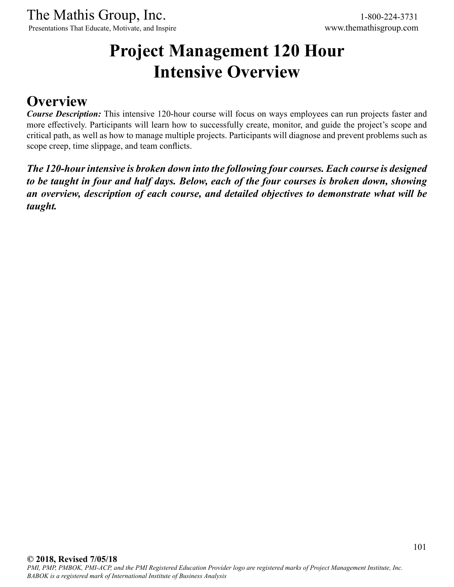Presentations That Educate, Motivate, and Inspire www.themathisgroup.com

# **Project Management 120 Hour Intensive Overview**

## **Overview**

*Course Description:* This intensive 120-hour course will focus on ways employees can run projects faster and more effectively. Participants will learn how to successfully create, monitor, and guide the project's scope and critical path, as well as how to manage multiple projects. Participants will diagnose and prevent problems such as scope creep, time slippage, and team conflicts.

*The 120-hour intensive is broken down into the following four courses. Each course is designed to be taught in four and half days. Below, each of the four courses is broken down, showing an overview, description of each course, and detailed objectives to demonstrate what will be taught.*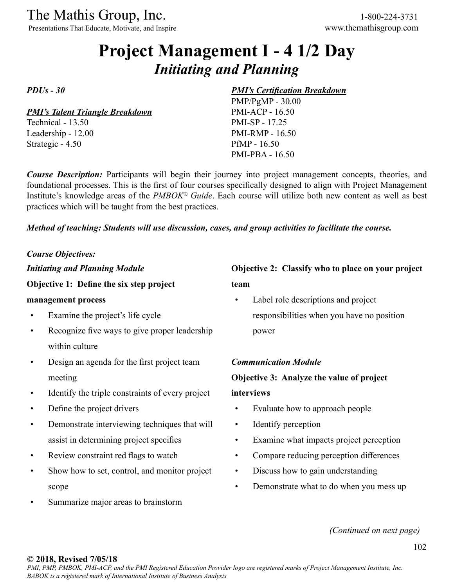Presentations That Educate, Motivate, and Inspire www.themathisgroup.com

# **Project Management I - 4 1/2 Day** *Initiating and Planning*

*PDUs - 30*

*PMI's Talent Triangle Breakdown* Technical - 13.50

Leadership - 12.00 Strategic - 4.50

#### *PMI's Certification Breakdown*

PMP/PgMP - 30.00 PMI-ACP - 16.50 PMI-SP - 17.25 PMI-RMP - 16.50 PfMP - 16.50 PMI-PBA - 16.50

*Course Description:* Participants will begin their journey into project management concepts, theories, and foundational processes. This is the first of four courses specifically designed to align with Project Management Institute's knowledge areas of the *PMBOK® Guide*. Each course will utilize both new content as well as best practices which will be taught from the best practices.

*Method of teaching: Students will use discussion, cases, and group activities to facilitate the course.*

#### *Course Objectives:*

*Initiating and Planning Module*

#### **Objective 1: Define the six step project**

#### **management process**

- Examine the project's life cycle
- Recognize five ways to give proper leadership within culture
- Design an agenda for the first project team meeting
- Identify the triple constraints of every project
- Define the project drivers
- Demonstrate interviewing techniques that will assist in determining project specifics
- Review constraint red flags to watch
- Show how to set, control, and monitor project scope
- Summarize major areas to brainstorm

## **Objective 2: Classify who to place on your project team**

Label role descriptions and project responsibilities when you have no position power

#### *Communication Module*

#### **Objective 3: Analyze the value of project**

#### **interviews**

- Evaluate how to approach people
- Identify perception
- Examine what impacts project perception
- Compare reducing perception differences
- Discuss how to gain understanding
- Demonstrate what to do when you mess up

*(Continued on next page)*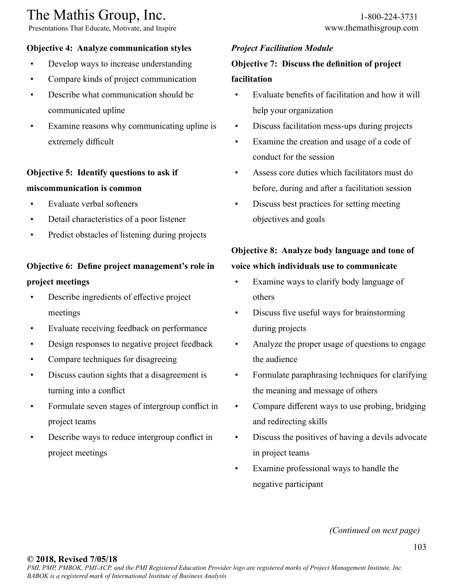Presentations That Educate, Motivate, and Inspire www.themathisgroup.com

## **Objective 4: Analyze communication styles**

- Develop ways to increase understanding
- Compare kinds of project communication
- Describe what communication should be communicated upline
- Examine reasons why communicating upline is extremely difficult

## **Objective 5: Identify questions to ask if miscommunication is common**

- Evaluate verbal softeners
- Detail characteristics of a poor listener
- Predict obstacles of listening during projects

## **Objective 6: Define project management's role in project meetings**

- Describe ingredients of effective project meetings
- Evaluate receiving feedback on performance
- Design responses to negative project feedback
- Compare techniques for disagreeing
- Discuss caution sights that a disagreement is turning into a conflict
- Formulate seven stages of intergroup conflict in project teams
- Describe ways to reduce intergroup conflict in project meetings

## *Project Facilitation Module*

## **Objective 7: Discuss the definition of project facilitation**

- Evaluate benefits of facilitation and how it will help your organization
- Discuss facilitation mess-ups during projects
- Examine the creation and usage of a code of conduct for the session
- Assess core duties which facilitators must do before, during and after a facilitation session
- Discuss best practices for setting meeting objectives and goals

## **Objective 8: Analyze body language and tone of voice which individuals use to communicate**

- Examine ways to clarify body language of others
- Discuss five useful ways for brainstorming during projects
- Analyze the proper usage of questions to engage the audience
- Formulate paraphrasing techniques for clarifying the meaning and message of others
- Compare different ways to use probing, bridging and redirecting skills
- Discuss the positives of having a devils advocate in project teams
- Examine professional ways to handle the negative participant

*(Continued on next page)*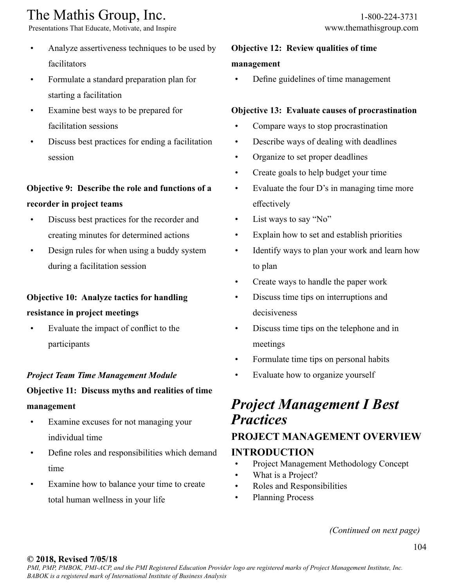Presentations That Educate, Motivate, and Inspire www.themathisgroup.com

- Analyze assertiveness techniques to be used by facilitators
- Formulate a standard preparation plan for starting a facilitation
- Examine best ways to be prepared for facilitation sessions
- Discuss best practices for ending a facilitation session

## **Objective 9: Describe the role and functions of a recorder in project teams**

- Discuss best practices for the recorder and creating minutes for determined actions
- Design rules for when using a buddy system during a facilitation session

## **Objective 10: Analyze tactics for handling resistance in project meetings**

• Evaluate the impact of conflict to the participants

## *Project Team Time Management Module*

## **Objective 11: Discuss myths and realities of time management**

- Examine excuses for not managing your individual time
- Define roles and responsibilities which demand time
- Examine how to balance your time to create total human wellness in your life

## **Objective 12: Review qualities of time management**

• Define guidelines of time management

## **Objective 13: Evaluate causes of procrastination**

- Compare ways to stop procrastination
- Describe ways of dealing with deadlines
- Organize to set proper deadlines
- Create goals to help budget your time
- Evaluate the four D's in managing time more effectively
- List ways to say "No"
- Explain how to set and establish priorities
- Identify ways to plan your work and learn how to plan
- Create ways to handle the paper work
- Discuss time tips on interruptions and decisiveness
- Discuss time tips on the telephone and in meetings
- Formulate time tips on personal habits
- Evaluate how to organize yourself

## *Project Management I Best Practices* **PROJECT MANAGEMENT OVERVIEW INTRODUCTION**

- Project Management Methodology Concept
- What is a Project?
- Roles and Responsibilities
- Planning Process

*(Continued on next page)*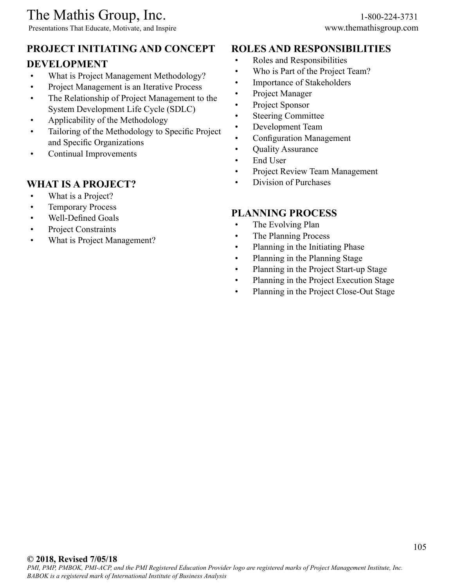Presentations That Educate, Motivate, and Inspire www.themathisgroup.com

## **PROJECT INITIATING AND CONCEPT**

## **DEVELOPMENT**

- What is Project Management Methodology?
- Project Management is an Iterative Process
- The Relationship of Project Management to the System Development Life Cycle (SDLC)
- Applicability of the Methodology
- Tailoring of the Methodology to Specific Project and Specific Organizations
- Continual Improvements

## **WHAT IS A PROJECT?**

- What is a Project?
- Temporary Process
- Well-Defined Goals
- Project Constraints
- What is Project Management?

## **ROLES AND RESPONSIBILITIES**

- Roles and Responsibilities
- Who is Part of the Project Team?
- Importance of Stakeholders
- Project Manager
- Project Sponsor
- Steering Committee
- Development Team
- Configuration Management
- Quality Assurance
- End User
- Project Review Team Management
- Division of Purchases

### **PLANNING PROCESS**

- The Evolving Plan
- The Planning Process
- Planning in the Initiating Phase
- Planning in the Planning Stage
- Planning in the Project Start-up Stage
- Planning in the Project Execution Stage
- Planning in the Project Close-Out Stage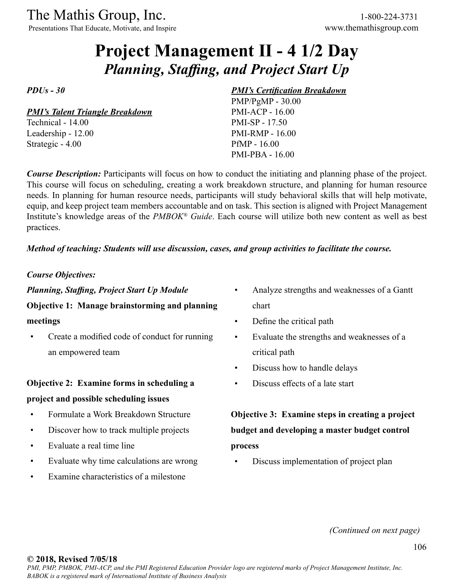Presentations That Educate, Motivate, and Inspire www.themathisgroup.com

# **Project Management II - 4 1/2 Day** *Planning, Staffing, and Project Start Up*

*PDUs - 30*

*PMI's Talent Triangle Breakdown* Technical - 14.00

Leadership - 12.00 Strategic - 4.00

#### *PMI's Certification Breakdown*

PMP/PgMP - 30.00 PMI-ACP - 16.00 PMI-SP - 17.50 PMI-RMP - 16.00 PfMP - 16.00 PMI-PBA - 16.00

*Course Description:* Participants will focus on how to conduct the initiating and planning phase of the project. This course will focus on scheduling, creating a work breakdown structure, and planning for human resource needs. In planning for human resource needs, participants will study behavioral skills that will help motivate, equip, and keep project team members accountable and on task. This section is aligned with Project Management Institute's knowledge areas of the *PMBOK® Guide*. Each course will utilize both new content as well as best practices.

#### *Method of teaching: Students will use discussion, cases, and group activities to facilitate the course.*

*Course Objectives:*

*Planning, Staffing, Project Start Up Module*

## **Objective 1: Manage brainstorming and planning**

#### **meetings**

• Create a modified code of conduct for running an empowered team

## **Objective 2: Examine forms in scheduling a project and possible scheduling issues**

- Formulate a Work Breakdown Structure
- Discover how to track multiple projects
- Evaluate a real time line
- Evaluate why time calculations are wrong
- Examine characteristics of a milestone
- Analyze strengths and weaknesses of a Gantt chart
- Define the critical path
- Evaluate the strengths and weaknesses of a critical path
- Discuss how to handle delays
- Discuss effects of a late start

**Objective 3: Examine steps in creating a project budget and developing a master budget control process**

• Discuss implementation of project plan

*(Continued on next page)*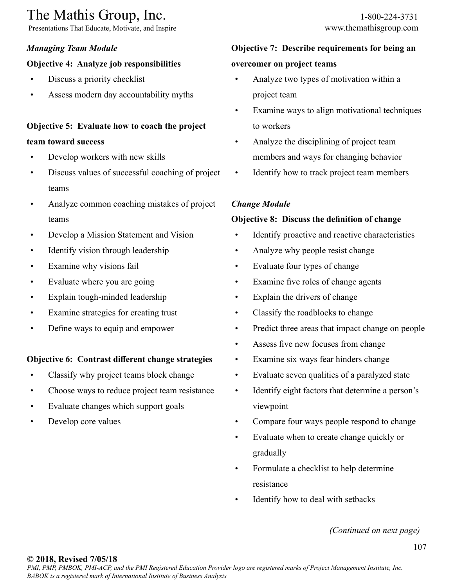Presentations That Educate, Motivate, and Inspire www.themathisgroup.com

## *Managing Team Module*

## **Objective 4: Analyze job responsibilities**

- Discuss a priority checklist
- Assess modern day accountability myths

## **Objective 5: Evaluate how to coach the project**

### **team toward success**

- Develop workers with new skills
- Discuss values of successful coaching of project teams
- Analyze common coaching mistakes of project teams
- Develop a Mission Statement and Vision
- Identify vision through leadership
- Examine why visions fail
- Evaluate where you are going
- Explain tough-minded leadership
- Examine strategies for creating trust
- Define ways to equip and empower

## **Objective 6: Contrast different change strategies**

- Classify why project teams block change
- Choose ways to reduce project team resistance
- Evaluate changes which support goals
- Develop core values

## **Objective 7: Describe requirements for being an**

## **overcomer on project teams**

- Analyze two types of motivation within a project team
- Examine ways to align motivational techniques to workers
- Analyze the disciplining of project team members and ways for changing behavior
- Identify how to track project team members

### *Change Module*

### **Objective 8: Discuss the definition of change**

- Identify proactive and reactive characteristics
- Analyze why people resist change
- Evaluate four types of change
- Examine five roles of change agents
- Explain the drivers of change
- Classify the roadblocks to change
- Predict three areas that impact change on people
- Assess five new focuses from change
- Examine six ways fear hinders change
- Evaluate seven qualities of a paralyzed state
- Identify eight factors that determine a person's viewpoint
- Compare four ways people respond to change
- Evaluate when to create change quickly or gradually
- Formulate a checklist to help determine resistance
- Identify how to deal with setbacks

*(Continued on next page)*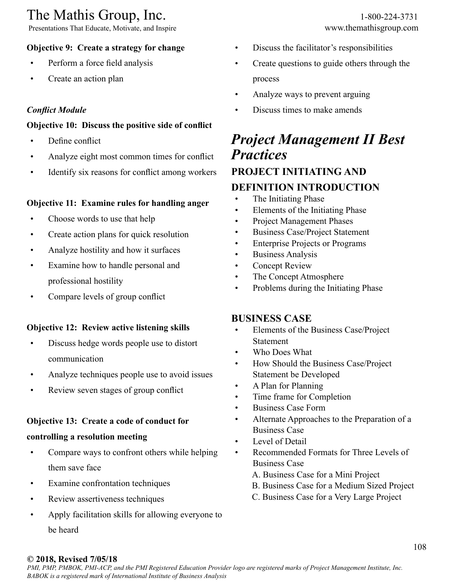Presentations That Educate, Motivate, and Inspire www.themathisgroup.com

## **Objective 9: Create a strategy for change**

- Perform a force field analysis
- Create an action plan

### *Conflict Module*

### **Objective 10: Discuss the positive side of conflict**

- Define conflict
- Analyze eight most common times for conflict
- Identify six reasons for conflict among workers

### **Objective 11: Examine rules for handling anger**

- Choose words to use that help
- Create action plans for quick resolution
- Analyze hostility and how it surfaces
- Examine how to handle personal and professional hostility
- Compare levels of group conflict

### **Objective 12: Review active listening skills**

- Discuss hedge words people use to distort communication
- Analyze techniques people use to avoid issues
- Review seven stages of group conflict

### **Objective 13: Create a code of conduct for**

#### **controlling a resolution meeting**

- Compare ways to confront others while helping them save face
- Examine confrontation techniques
- Review assertiveness techniques
- Apply facilitation skills for allowing everyone to be heard
- Discuss the facilitator's responsibilities
- Create questions to guide others through the process
- Analyze ways to prevent arguing
- Discuss times to make amends

## *Project Management II Best Practices* **PROJECT INITIATING AND**

## **DEFINITION INTRODUCTION**

- The Initiating Phase
- Elements of the Initiating Phase
- Project Management Phases
- Business Case/Project Statement
- Enterprise Projects or Programs
- Business Analysis
- **Concept Review**
- The Concept Atmosphere
- Problems during the Initiating Phase

### **BUSINESS CASE**

- Elements of the Business Case/Project **Statement**
- Who Does What
- How Should the Business Case/Project Statement be Developed
- A Plan for Planning
- Time frame for Completion
- Business Case Form
- Alternate Approaches to the Preparation of a Business Case
- Level of Detail
- Recommended Formats for Three Levels of Business Case
	- A. Business Case for a Mini Project
	- B. Business Case for a Medium Sized Project
	- C. Business Case for a Very Large Project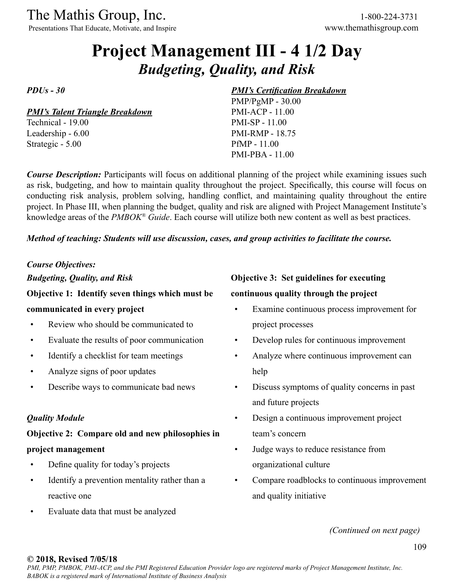Presentations That Educate, Motivate, and Inspire www.themathisgroup.com

# **Project Management III - 4 1/2 Day** *Budgeting, Quality, and Risk*

*PDUs - 30*

*PMI's Talent Triangle Breakdown*

Technical - 19.00 Leadership - 6.00 Strategic - 5.00

### *PMI's Certification Breakdown*

PMP/PgMP - 30.00 PMI-ACP - 11.00 PMI-SP - 11.00 PMI-RMP - 18.75 PfMP - 11.00 PMI-PBA - 11.00

*Course Description:* Participants will focus on additional planning of the project while examining issues such as risk, budgeting, and how to maintain quality throughout the project. Specifically, this course will focus on conducting risk analysis, problem solving, handling conflict, and maintaining quality throughout the entire project. In Phase III, when planning the budget, quality and risk are aligned with Project Management Institute's knowledge areas of the *PMBOK® Guide*. Each course will utilize both new content as well as best practices.

*Method of teaching: Students will use discussion, cases, and group activities to facilitate the course.*

### *Course Objectives: Budgeting, Quality, and Risk*

# **Objective 1: Identify seven things which must be**

### **communicated in every project**

- Review who should be communicated to
- Evaluate the results of poor communication
- Identify a checklist for team meetings
- Analyze signs of poor updates
- Describe ways to communicate bad news

### *Quality Module*

### **Objective 2: Compare old and new philosophies in project management**

- Define quality for today's projects
- Identify a prevention mentality rather than a reactive one
- Evaluate data that must be analyzed

### **Objective 3: Set guidelines for executing**

### **continuous quality through the project**

- Examine continuous process improvement for project processes
- Develop rules for continuous improvement
- Analyze where continuous improvement can help
- Discuss symptoms of quality concerns in past and future projects
- Design a continuous improvement project team's concern
- Judge ways to reduce resistance from organizational culture
- Compare roadblocks to continuous improvement and quality initiative

*(Continued on next page)*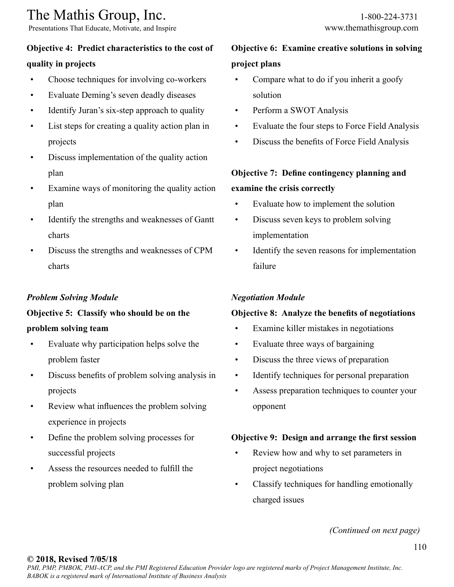Presentations That Educate, Motivate, and Inspire www.themathisgroup.com

# **Objective 4: Predict characteristics to the cost of**

### **quality in projects**

- Choose techniques for involving co-workers
- Evaluate Deming's seven deadly diseases
- Identify Juran's six-step approach to quality
- List steps for creating a quality action plan in projects
- Discuss implementation of the quality action plan
- Examine ways of monitoring the quality action plan
- Identify the strengths and weaknesses of Gantt charts
- Discuss the strengths and weaknesses of CPM charts

### *Problem Solving Module*

## **Objective 5: Classify who should be on the problem solving team**

- Evaluate why participation helps solve the problem faster
- Discuss benefits of problem solving analysis in projects
- Review what influences the problem solving experience in projects
- Define the problem solving processes for successful projects
- Assess the resources needed to fulfill the problem solving plan
- Compare what to do if you inherit a goofy solution
- Perform a SWOT Analysis
- Evaluate the four steps to Force Field Analysis
- Discuss the benefits of Force Field Analysis

# **Objective 7: Define contingency planning and examine the crisis correctly**

- Evaluate how to implement the solution
- Discuss seven keys to problem solving implementation
- Identify the seven reasons for implementation failure

### *Negotiation Module*

### **Objective 8: Analyze the benefits of negotiations**

- Examine killer mistakes in negotiations
- Evaluate three ways of bargaining
- Discuss the three views of preparation
- Identify techniques for personal preparation
- Assess preparation techniques to counter your opponent

### **Objective 9: Design and arrange the first session**

- Review how and why to set parameters in project negotiations
- Classify techniques for handling emotionally charged issues

*(Continued on next page)*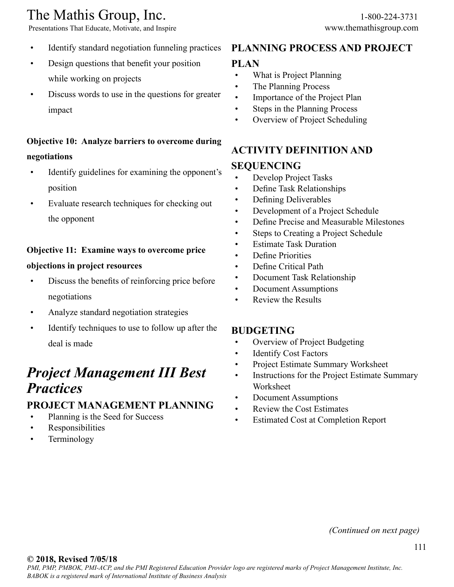Presentations That Educate, Motivate, and Inspire www.themathisgroup.com

- Identify standard negotiation funneling practices
- Design questions that benefit your position while working on projects
- Discuss words to use in the questions for greater impact

# **Objective 10: Analyze barriers to overcome during negotiations**

- Identify guidelines for examining the opponent's position
- Evaluate research techniques for checking out the opponent

### **Objective 11: Examine ways to overcome price**

### **objections in project resources**

- Discuss the benefits of reinforcing price before negotiations
- Analyze standard negotiation strategies
- Identify techniques to use to follow up after the deal is made

# *Project Management III Best Practices*

### **PROJECT MANAGEMENT PLANNING**

- Planning is the Seed for Success
- Responsibilities
- **Terminology**

## **PLANNING PROCESS AND PROJECT**

### **PLAN**

- What is Project Planning
- The Planning Process
- Importance of the Project Plan
- Steps in the Planning Process
- Overview of Project Scheduling

# **ACTIVITY DEFINITION AND**

### **SEQUENCING**

- Develop Project Tasks
- Define Task Relationships
- Defining Deliverables
- Development of a Project Schedule
- Define Precise and Measurable Milestones
- Steps to Creating a Project Schedule
- Estimate Task Duration
- Define Priorities
- Define Critical Path
- Document Task Relationship
- Document Assumptions
- Review the Results

### **BUDGETING**

- Overview of Project Budgeting
- Identify Cost Factors
- Project Estimate Summary Worksheet
- Instructions for the Project Estimate Summary Worksheet
- Document Assumptions
- Review the Cost Estimates
- Estimated Cost at Completion Report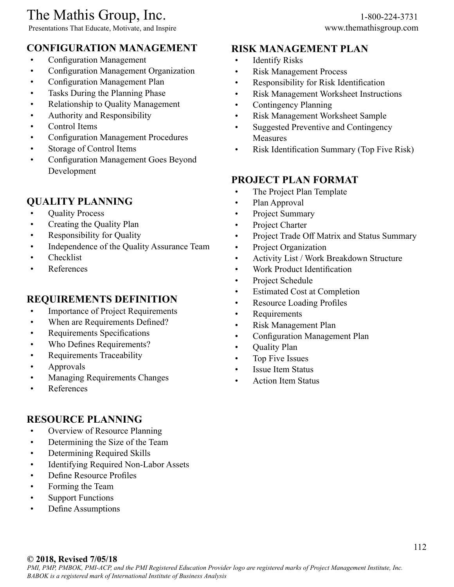Presentations That Educate, Motivate, and Inspire www.themathisgroup.com

### **CONFIGURATION MANAGEMENT**

- Configuration Management
- Configuration Management Organization
- Configuration Management Plan
- Tasks During the Planning Phase
- Relationship to Quality Management
- Authority and Responsibility
- Control Items
- Configuration Management Procedures
- Storage of Control Items
- Configuration Management Goes Beyond Development

### **QUALITY PLANNING**

- Quality Process
- Creating the Quality Plan
- Responsibility for Quality
- Independence of the Quality Assurance Team
- Checklist
- References

### **REQUIREMENTS DEFINITION**

- Importance of Project Requirements
- When are Requirements Defined?
- Requirements Specifications
- Who Defines Requirements?
- Requirements Traceability
- Approvals
- Managing Requirements Changes
- References

### **RESOURCE PLANNING**

- Overview of Resource Planning
- Determining the Size of the Team
- Determining Required Skills
- Identifying Required Non-Labor Assets
- Define Resource Profiles
- Forming the Team
- Support Functions
- Define Assumptions

### **RISK MANAGEMENT PLAN**

- Identify Risks
- Risk Management Process
- Responsibility for Risk Identification
- Risk Management Worksheet Instructions
- Contingency Planning
- Risk Management Worksheet Sample
- Suggested Preventive and Contingency Measures
- Risk Identification Summary (Top Five Risk)

### **PROJECT PLAN FORMAT**

- The Project Plan Template
- Plan Approval
- Project Summary
- Project Charter
- Project Trade Off Matrix and Status Summary
- Project Organization
- Activity List / Work Breakdown Structure
- Work Product Identification
- Project Schedule
- Estimated Cost at Completion
- Resource Loading Profiles
- Requirements
- Risk Management Plan
- Configuration Management Plan
- Quality Plan
- Top Five Issues
- Issue Item Status
- Action Item Status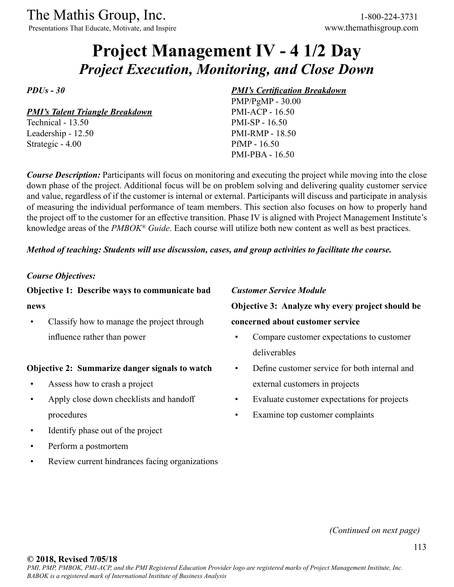Presentations That Educate, Motivate, and Inspire www.themathisgroup.com

# **Project Management IV - 4 1/2 Day** *Project Execution, Monitoring, and Close Down*

*PDUs - 30*

*PMI's Talent Triangle Breakdown*

Technical - 13.50 Leadership - 12.50 Strategic - 4.00

### *PMI's Certification Breakdown*

PMP/PgMP - 30.00 PMI-ACP - 16.50 PMI-SP - 16.50 PMI-RMP - 18.50 PfMP - 16.50 PMI-PBA - 16.50

*Course Description:* Participants will focus on monitoring and executing the project while moving into the close down phase of the project. Additional focus will be on problem solving and delivering quality customer service and value, regardless of if the customer is internal or external. Participants will discuss and participate in analysis of measuring the individual performance of team members. This section also focuses on how to properly hand the project off to the customer for an effective transition. Phase IV is aligned with Project Management Institute's knowledge areas of the *PMBOK® Guide*. Each course will utilize both new content as well as best practices.

### *Method of teaching: Students will use discussion, cases, and group activities to facilitate the course.*

### *Course Objectives:*

### **Objective 1: Describe ways to communicate bad**

#### **news**

• Classify how to manage the project through influence rather than power

#### **Objective 2: Summarize danger signals to watch**

- Assess how to crash a project
- Apply close down checklists and handoff procedures
- Identify phase out of the project
- Perform a postmortem
- Review current hindrances facing organizations

#### *Customer Service Module*

**Objective 3: Analyze why every project should be concerned about customer service**

- Compare customer expectations to customer deliverables
- Define customer service for both internal and external customers in projects
- Evaluate customer expectations for projects
- Examine top customer complaints

*(Continued on next page)*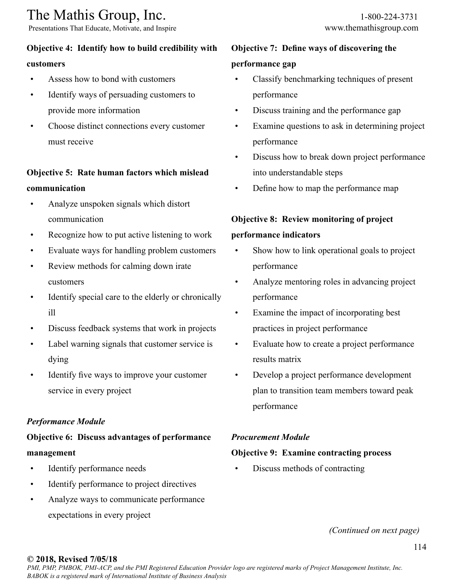Presentations That Educate, Motivate, and Inspire www.themathisgroup.com

### **Objective 4: Identify how to build credibility with**

#### **customers**

- Assess how to bond with customers
- Identify ways of persuading customers to provide more information
- Choose distinct connections every customer must receive

# **Objective 5: Rate human factors which mislead communication**

- Analyze unspoken signals which distort communication
- Recognize how to put active listening to work
- Evaluate ways for handling problem customers
- Review methods for calming down irate customers
- Identify special care to the elderly or chronically ill
- Discuss feedback systems that work in projects
- Label warning signals that customer service is dying
- Identify five ways to improve your customer service in every project

### *Performance Module*

# **Objective 6: Discuss advantages of performance management**

- Identify performance needs
- Identify performance to project directives
- Analyze ways to communicate performance expectations in every project

# **Objective 7: Define ways of discovering the performance gap**

- Classify benchmarking techniques of present performance
- Discuss training and the performance gap
- Examine questions to ask in determining project performance
- Discuss how to break down project performance into understandable steps
- Define how to map the performance map

# **Objective 8: Review monitoring of project**

### **performance indicators**

- Show how to link operational goals to project performance
- Analyze mentoring roles in advancing project performance
- Examine the impact of incorporating best practices in project performance
- Evaluate how to create a project performance results matrix
- Develop a project performance development plan to transition team members toward peak performance

### *Procurement Module*

### **Objective 9: Examine contracting process**

• Discuss methods of contracting

*(Continued on next page)*

### **© 2018, Revised 7/05/18**

*PMI, PMP, PMBOK, PMI-ACP, and the PMI Registered Education Provider logo are registered marks of Project Management Institute, Inc. BABOK is a registered mark of International Institute of Business Analysis*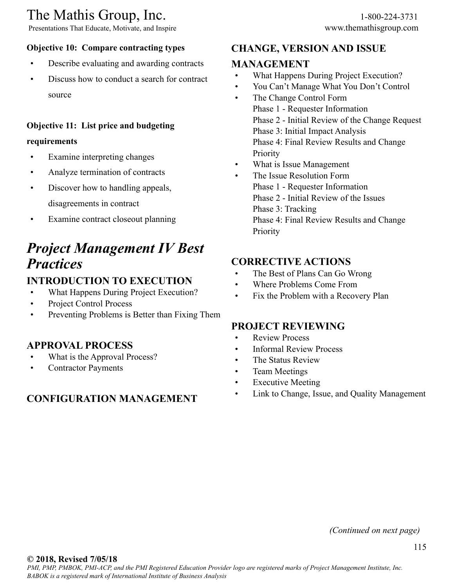Presentations That Educate, Motivate, and Inspire www.themathisgroup.com

- Describe evaluating and awarding contracts
- Discuss how to conduct a search for contract source

### **Objective 11: List price and budgeting**

### **requirements**

- Examine interpreting changes
- Analyze termination of contracts
- Discover how to handling appeals, disagreements in contract
- Examine contract closeout planning

# *Project Management IV Best Practices*

# **INTRODUCTION TO EXECUTION**

- What Happens During Project Execution?
- Project Control Process
- Preventing Problems is Better than Fixing Them

# **APPROVAL PROCESS**

- What is the Approval Process?
- Contractor Payments

# **CONFIGURATION MANAGEMENT**

# **CHANGE, VERSION AND ISSUE**

# **MANAGEMENT**

- What Happens During Project Execution?
- You Can't Manage What You Don't Control
- The Change Control Form Phase 1 - Requester Information Phase 2 - Initial Review of the Change Request Phase 3: Initial Impact Analysis Phase 4: Final Review Results and Change **Priority**
- What is Issue Management
- The Issue Resolution Form Phase 1 - Requester Information Phase 2 - Initial Review of the Issues Phase 3: Tracking Phase 4: Final Review Results and Change **Priority**

# **CORRECTIVE ACTIONS**

- The Best of Plans Can Go Wrong
- Where Problems Come From
- Fix the Problem with a Recovery Plan

# **PROJECT REVIEWING**

- **Review Process**
- Informal Review Process
- The Status Review
- Team Meetings
- Executive Meeting
- Link to Change, Issue, and Quality Management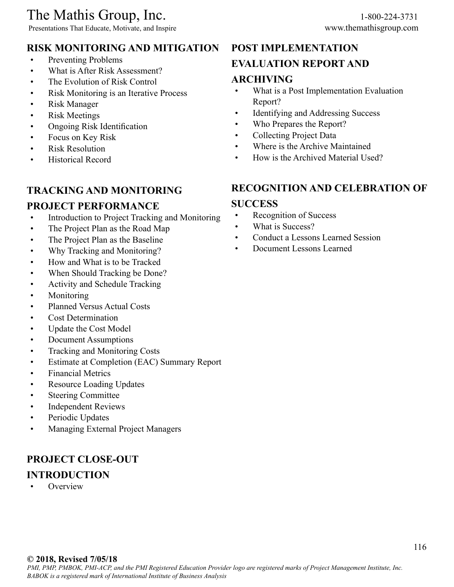Presentations That Educate, Motivate, and Inspire www.themathisgroup.com

# **RISK MONITORING AND MITIGATION**

- Preventing Problems
- What is After Risk Assessment?
- The Evolution of Risk Control
- Risk Monitoring is an Iterative Process
- Risk Manager
- Risk Meetings
- Ongoing Risk Identification
- Focus on Key Risk
- **Risk Resolution**
- Historical Record

# **TRACKING AND MONITORING**

# **PROJECT PERFORMANCE**

- Introduction to Project Tracking and Monitoring
- The Project Plan as the Road Map
- The Project Plan as the Baseline
- Why Tracking and Monitoring?
- How and What is to be Tracked
- When Should Tracking be Done?
- Activity and Schedule Tracking
- Monitoring
- Planned Versus Actual Costs
- Cost Determination
- Update the Cost Model
- Document Assumptions
- Tracking and Monitoring Costs
- Estimate at Completion (EAC) Summary Report
- Financial Metrics
- Resource Loading Updates
- Steering Committee
- Independent Reviews
- Periodic Updates
- Managing External Project Managers

# **PROJECT CLOSE-OUT INTRODUCTION**

**Overview** 

# **POST IMPLEMENTATION**

### **EVALUATION REPORT AND**

### **ARCHIVING**

- What is a Post Implementation Evaluation Report?
- Identifying and Addressing Success
- Who Prepares the Report?
- Collecting Project Data
- Where is the Archive Maintained
- How is the Archived Material Used?

# **RECOGNITION AND CELEBRATION OF**

### **SUCCESS**

- Recognition of Success
- What is Success?
- Conduct a Lessons Learned Session
- Document Lessons Learned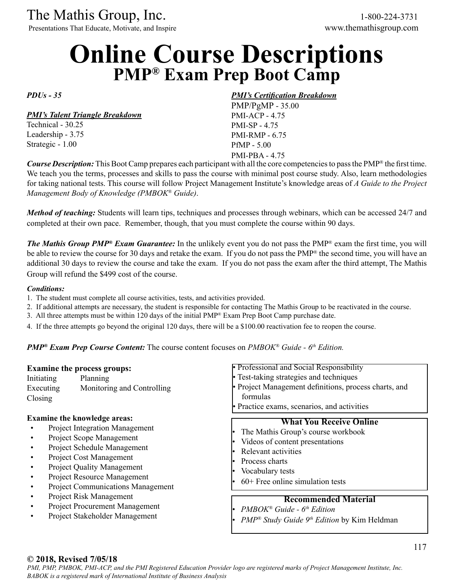Presentations That Educate, Motivate, and Inspire www.themathisgroup.com

# **Online Course Descriptions PMP® Exam Prep Boot Camp**

*PDUs - 35* 

#### *PMI's Talent Triangle Breakdown*

Technical - 30.25 Leadership - 3.75 Strategic - 1.00

### *PMI's Certification Breakdown*

PMP/PgMP - 35.00 PMI-ACP - 4.75 PMI-SP - 4.75 PMI-RMP - 6.75 PfMP - 5.00 PMI-PBA - 4.75

*Course Description:* This Boot Camp prepares each participant with all the core competencies to pass the PMP<sup>®</sup> the first time. We teach you the terms, processes and skills to pass the course with minimal post course study. Also, learn methodologies for taking national tests. This course will follow Project Management Institute's knowledge areas of *A Guide to the Project Management Body of Knowledge (PMBOK® Guide)*.

*Method of teaching:* Students will learn tips, techniques and processes through webinars, which can be accessed 24/7 and completed at their own pace. Remember, though, that you must complete the course within 90 days.

*The Mathis Group PMP® Exam Guarantee:* In the unlikely event you do not pass the PMP® exam the first time, you will be able to review the course for 30 days and retake the exam. If you do not pass the PMP<sup>®</sup> the second time, you will have an additional 30 days to review the course and take the exam. If you do not pass the exam after the third attempt, The Mathis Group will refund the \$499 cost of the course.

#### *Conditions:*

- 1. The student must complete all course activities, tests, and activities provided.
- 2. If additional attempts are necessary, the student is responsible for contacting The Mathis Group to be reactivated in the course.
- 3. All three attempts must be within 120 days of the initial PMP® Exam Prep Boot Camp purchase date.
- 4. If the three attempts go beyond the original 120 days, there will be a \$100.00 reactivation fee to reopen the course.

*PMP<sup>®</sup> Exam Prep Course Content:* The course content focuses on *PMBOK<sup>®</sup> Guide - 6<sup>th</sup> Edition.* 

| Initiating<br>Executing<br>$\frac{1}{2}$                                                                                                                                                                                                                                                                                                                                                 | <b>Examine the process groups:</b><br>Planning<br>Monitoring and Controlling                                                                                                                               | • Professional and Social Responsibility<br>• Test-taking strategies and techniques<br>• Project Management definitions, process charts, and<br>formulas<br>• Practice exams, scenarios, and activities |
|------------------------------------------------------------------------------------------------------------------------------------------------------------------------------------------------------------------------------------------------------------------------------------------------------------------------------------------------------------------------------------------|------------------------------------------------------------------------------------------------------------------------------------------------------------------------------------------------------------|---------------------------------------------------------------------------------------------------------------------------------------------------------------------------------------------------------|
| <b>Examine the knowledge areas:</b><br><b>Project Integration Management</b><br>Project Scope Management<br>Project Schedule Management<br>Project Cost Management<br><b>Project Quality Management</b><br>Project Resource Management<br><b>Project Communications Management</b><br>Project Risk Management<br><b>Project Procurement Management</b><br>Project Stakeholder Management | <b>What You Receive Online</b><br>The Mathis Group's course workbook<br>Videos of content presentations<br>Relevant activities<br>Process charts<br>Vocabulary tests<br>$60+$ Free online simulation tests |                                                                                                                                                                                                         |
|                                                                                                                                                                                                                                                                                                                                                                                          | <b>Recommended Material</b><br>$PMBOK^{\otimes} Guide - 6th Edition$<br>$PMP^{\otimes}$ Study Guide 9 <sup>th</sup> Edition by Kim Heldman                                                                 |                                                                                                                                                                                                         |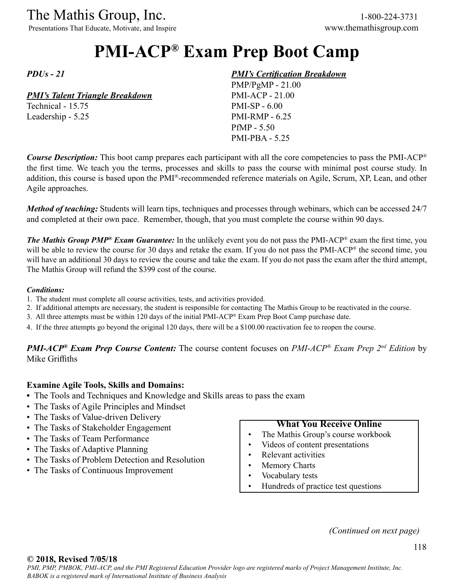Presentations That Educate, Motivate, and Inspire www.themathisgroup.com

# **PMI-ACP® Exam Prep Boot Camp**

*PDUs - 21* 

### *PMI's Talent Triangle Breakdown*

Technical - 15.75 Leadership - 5.25

### *PMI's Certification Breakdown*

PMP/PgMP - 21.00 PMI-ACP - 21.00 PMI-SP - 6.00 PMI-RMP - 6.25 PfMP - 5.50 PMI-PBA - 5.25

*Course Description:* This boot camp prepares each participant with all the core competencies to pass the PMI-ACP<sup>®</sup> the first time. We teach you the terms, processes and skills to pass the course with minimal post course study. In addition, this course is based upon the PMI®-recommended reference materials on Agile, Scrum, XP, Lean, and other Agile approaches.

*Method of teaching:* Students will learn tips, techniques and processes through webinars, which can be accessed 24/7 and completed at their own pace. Remember, though, that you must complete the course within 90 days.

*The Mathis Group PMP® Exam Guarantee:* In the unlikely event you do not pass the PMI-ACP® exam the first time, you will be able to review the course for 30 days and retake the exam. If you do not pass the PMI-ACP® the second time, you will have an additional 30 days to review the course and take the exam. If you do not pass the exam after the third attempt, The Mathis Group will refund the \$399 cost of the course.

#### *Conditions:*

- 1. The student must complete all course activities, tests, and activities provided.
- 2. If additional attempts are necessary, the student is responsible for contacting The Mathis Group to be reactivated in the course.
- 3. All three attempts must be within 120 days of the initial PMI-ACP® Exam Prep Boot Camp purchase date.
- 4. If the three attempts go beyond the original 120 days, there will be a \$100.00 reactivation fee to reopen the course.

*PMI-ACP® Exam Prep Course Content:* The course content focuses on *PMI-ACP® Exam Prep 2nd Edition* by Mike Griffiths

#### **Examine Agile Tools, Skills and Domains:**

- The Tools and Techniques and Knowledge and Skills areas to pass the exam
- The Tasks of Agile Principles and Mindset
- The Tasks of Value-driven Delivery
- The Tasks of Stakeholder Engagement
- The Tasks of Team Performance
- The Tasks of Adaptive Planning
- The Tasks of Problem Detection and Resolution
- The Tasks of Continuous Improvement

#### **What You Receive Online**

- The Mathis Group's course workbook
- Videos of content presentations
- Relevant activities
- **Memory Charts**
- Vocabulary tests
- Hundreds of practice test questions

*(Continued on next page)*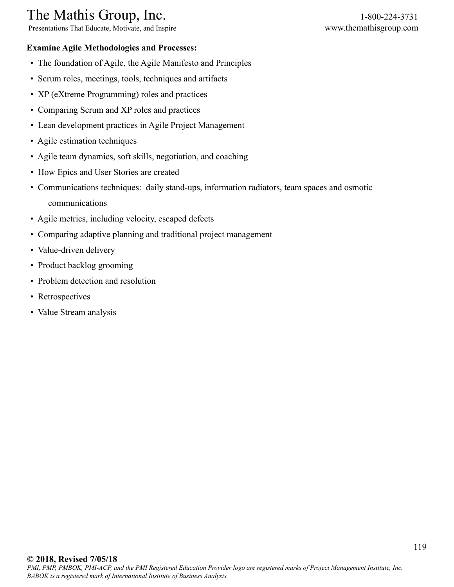Presentations That Educate, Motivate, and Inspire www.themathisgroup.com

### **Examine Agile Methodologies and Processes:**

- The foundation of Agile, the Agile Manifesto and Principles
- Scrum roles, meetings, tools, techniques and artifacts
- XP (eXtreme Programming) roles and practices
- Comparing Scrum and XP roles and practices
- Lean development practices in Agile Project Management
- Agile estimation techniques
- Agile team dynamics, soft skills, negotiation, and coaching
- How Epics and User Stories are created
- Communications techniques: daily stand-ups, information radiators, team spaces and osmotic communications
- Agile metrics, including velocity, escaped defects
- Comparing adaptive planning and traditional project management
- Value-driven delivery
- Product backlog grooming
- Problem detection and resolution
- Retrospectives
- Value Stream analysis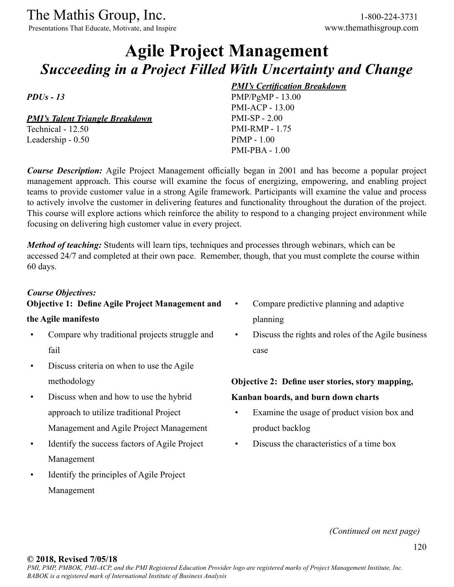Presentations That Educate, Motivate, and Inspire www.themathisgroup.com

# **Agile Project Management** *Succeeding in a Project Filled With Uncertainty and Change*

*PDUs - 13*

*PMI's Talent Triangle Breakdown* Technical - 12.50

Leadership - 0.50

### *PMI's Certification Breakdown*

PMP/PgMP - 13.00 PMI-ACP - 13.00 PMI-SP - 2.00 PMI-RMP - 1.75 PfMP - 1.00 PMI-PBA - 1.00

*Course Description:* Agile Project Management officially began in 2001 and has become a popular project management approach. This course will examine the focus of energizing, empowering, and enabling project teams to provide customer value in a strong Agile framework. Participants will examine the value and process to actively involve the customer in delivering features and functionality throughout the duration of the project. This course will explore actions which reinforce the ability to respond to a changing project environment while focusing on delivering high customer value in every project.

*Method of teaching:* Students will learn tips, techniques and processes through webinars, which can be accessed 24/7 and completed at their own pace. Remember, though, that you must complete the course within 60 days.

### *Course Objectives:*

### **Objective 1: Define Agile Project Management and**

#### **the Agile manifesto**

- Compare why traditional projects struggle and fail
- Discuss criteria on when to use the Agile methodology
- Discuss when and how to use the hybrid approach to utilize traditional Project Management and Agile Project Management
- Identify the success factors of Agile Project Management
- Identify the principles of Agile Project Management
- Compare predictive planning and adaptive planning
- Discuss the rights and roles of the Agile business case

# **Objective 2: Define user stories, story mapping, Kanban boards, and burn down charts**

- Examine the usage of product vision box and product backlog
- Discuss the characteristics of a time box

*(Continued on next page)*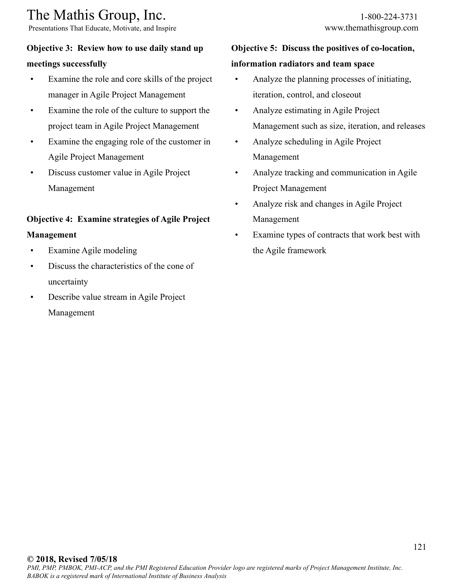Presentations That Educate, Motivate, and Inspire www.themathisgroup.com

### **Objective 3: Review how to use daily stand up meetings successfully**

- Examine the role and core skills of the project manager in Agile Project Management
- Examine the role of the culture to support the project team in Agile Project Management
- Examine the engaging role of the customer in Agile Project Management
- Discuss customer value in Agile Project Management

### **Objective 4: Examine strategies of Agile Project**

### **Management**

- Examine Agile modeling
- Discuss the characteristics of the cone of uncertainty
- Describe value stream in Agile Project Management

# **Objective 5: Discuss the positives of co-location,**

### **information radiators and team space**

- Analyze the planning processes of initiating, iteration, control, and closeout
- Analyze estimating in Agile Project Management such as size, iteration, and releases
- Analyze scheduling in Agile Project Management
- Analyze tracking and communication in Agile Project Management
- Analyze risk and changes in Agile Project Management
- Examine types of contracts that work best with the Agile framework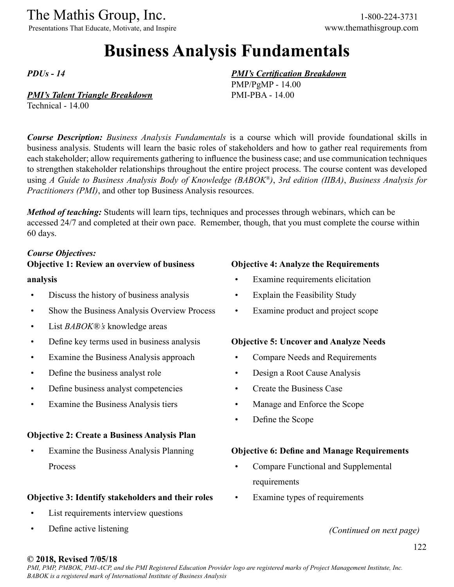Presentations That Educate, Motivate, and Inspire www.themathisgroup.com

# **Business Analysis Fundamentals**

*PDUs - 14*

#### *PMI's Talent Triangle Breakdown*

Technical - 14.00

*Course Description: Business Analysis Fundamentals* is a course which will provide foundational skills in business analysis. Students will learn the basic roles of stakeholders and how to gather real requirements from each stakeholder; allow requirements gathering to influence the business case; and use communication techniques to strengthen stakeholder relationships throughout the entire project process. The course content was developed using *A Guide to Business Analysis Body of Knowledge (BABOK®)*, *3rd edition (IIBA)*, *Business Analysis for Practitioners (PMI)*, and other top Business Analysis resources.

*Method of teaching:* Students will learn tips, techniques and processes through webinars, which can be accessed 24/7 and completed at their own pace. Remember, though, that you must complete the course within 60 days.

### *Course Objectives:*

### **Objective 1: Review an overview of business**

#### **analysis**

- Discuss the history of business analysis
- Show the Business Analysis Overview Process
- List *BABOK®'s* knowledge areas
- Define key terms used in business analysis
- Examine the Business Analysis approach
- Define the business analyst role
- Define business analyst competencies
- Examine the Business Analysis tiers

### **Objective 2: Create a Business Analysis Plan**

• Examine the Business Analysis Planning Process

### **Objective 3: Identify stakeholders and their roles**

- List requirements interview questions
- Define active listening

#### **Objective 4: Analyze the Requirements**

- Examine requirements elicitation
- Explain the Feasibility Study

*PMI's Certification Breakdown*

PMP/PgMP - 14.00 PMI-PBA - 14.00

• Examine product and project scope

#### **Objective 5: Uncover and Analyze Needs**

- Compare Needs and Requirements
- Design a Root Cause Analysis
- Create the Business Case
- Manage and Enforce the Scope
- Define the Scope

#### **Objective 6: Define and Manage Requirements**

- Compare Functional and Supplemental requirements
- Examine types of requirements

*(Continued on next page)*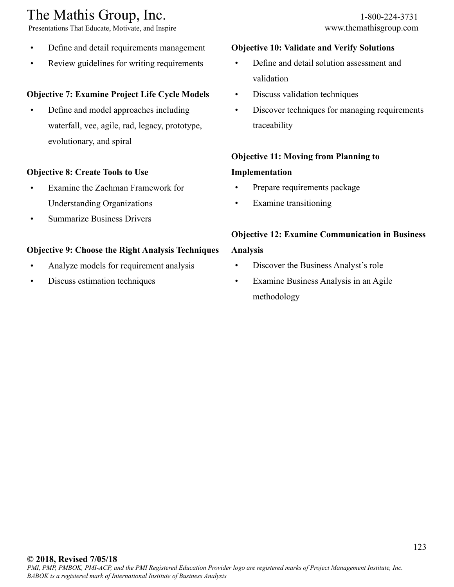Presentations That Educate, Motivate, and Inspire www.themathisgroup.com

- Define and detail requirements management
- Review guidelines for writing requirements

### **Objective 7: Examine Project Life Cycle Models**

• Define and model approaches including waterfall, vee, agile, rad, legacy, prototype, evolutionary, and spiral

### **Objective 8: Create Tools to Use**

- Examine the Zachman Framework for Understanding Organizations
- Summarize Business Drivers

### **Objective 9: Choose the Right Analysis Techniques**

- Analyze models for requirement analysis
- Discuss estimation techniques

### **Objective 10: Validate and Verify Solutions**

- Define and detail solution assessment and validation
- Discuss validation techniques
- Discover techniques for managing requirements traceability

### **Objective 11: Moving from Planning to**

### **Implementation**

- Prepare requirements package
- Examine transitioning

# **Objective 12: Examine Communication in Business**

### **Analysis**

- Discover the Business Analyst's role
- Examine Business Analysis in an Agile methodology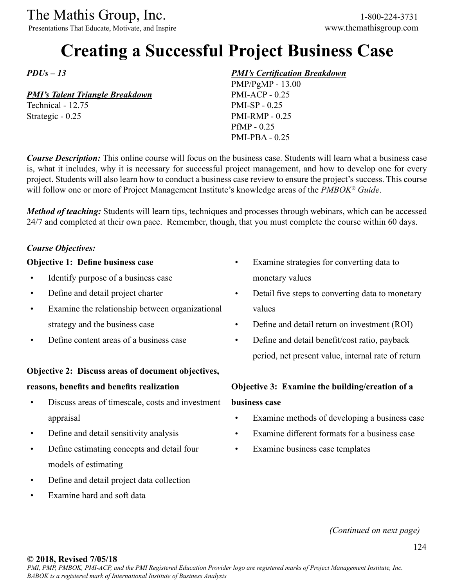Presentations That Educate, Motivate, and Inspire www.themathisgroup.com

# **Creating a Successful Project Business Case**

*PDUs – 13*

### *PMI's Talent Triangle Breakdown*

Technical - 12.75 Strategic - 0.25

### *PMI's Certification Breakdown*

PMP/PgMP - 13.00 PMI-ACP - 0.25 PMI-SP - 0.25 PMI-RMP - 0.25 PfMP - 0.25 PMI-PBA - 0.25

*Course Description:* This online course will focus on the business case. Students will learn what a business case is, what it includes, why it is necessary for successful project management, and how to develop one for every project. Students will also learn how to conduct a business case review to ensure the project's success. This course will follow one or more of Project Management Institute's knowledge areas of the *PMBOK® Guide*.

*Method of teaching:* Students will learn tips, techniques and processes through webinars, which can be accessed 24/7 and completed at their own pace. Remember, though, that you must complete the course within 60 days.

### *Course Objectives:*

### **Objective 1: Define business case**

- Identify purpose of a business case
- Define and detail project charter
- Examine the relationship between organizational strategy and the business case
- Define content areas of a business case

### **Objective 2: Discuss areas of document objectives,**

#### **reasons, benefits and benefits realization**

- Discuss areas of timescale, costs and investment appraisal
- Define and detail sensitivity analysis
- Define estimating concepts and detail four models of estimating
- Define and detail project data collection
- Examine hard and soft data
- Examine strategies for converting data to monetary values
- Detail five steps to converting data to monetary values
- Define and detail return on investment (ROI)
- Define and detail benefit/cost ratio, payback period, net present value, internal rate of return

# **Objective 3: Examine the building/creation of a business case**

- Examine methods of developing a business case
- Examine different formats for a business case
- Examine business case templates

*(Continued on next page)*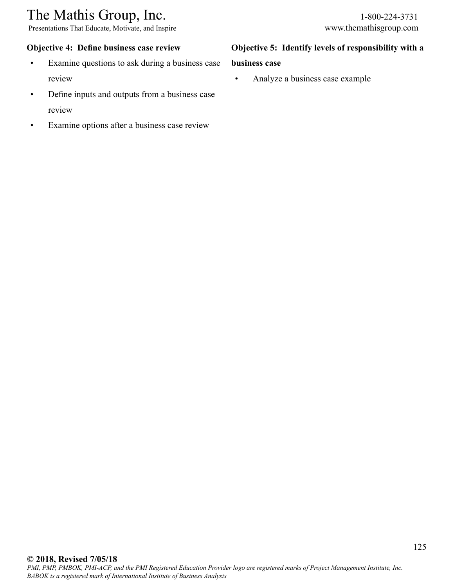Presentations That Educate, Motivate, and Inspire www.themathisgroup.com

### **Objective 4: Define business case review**

- Examine questions to ask during a business case review
- Define inputs and outputs from a business case review
- Examine options after a business case review

### **Objective 5: Identify levels of responsibility with a**

#### **business case**

• Analyze a business case example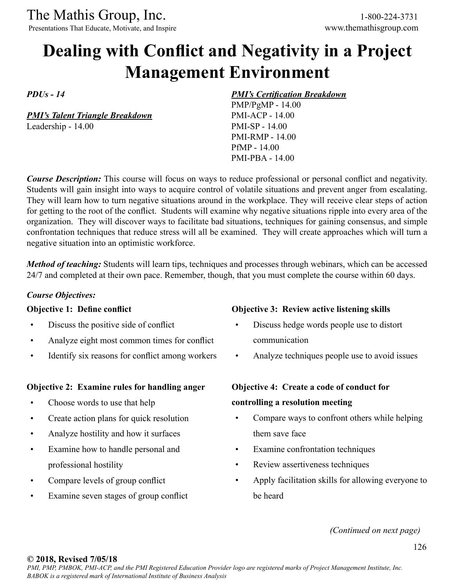Presentations That Educate, Motivate, and Inspire

# **Dealing with Conflict and Negativity in a Project Management Environment**

*PDUs - 14*

*PMI's Talent Triangle Breakdown* Leadership - 14.00

### *PMI's Certification Breakdown*

PMP/PgMP - 14.00 PMI-ACP - 14.00 PMI-SP - 14.00 PMI-RMP - 14.00 PfMP - 14.00 PMI-PBA - 14.00

*Course Description:* This course will focus on ways to reduce professional or personal conflict and negativity. Students will gain insight into ways to acquire control of volatile situations and prevent anger from escalating. They will learn how to turn negative situations around in the workplace. They will receive clear steps of action for getting to the root of the conflict. Students will examine why negative situations ripple into every area of the organization. They will discover ways to facilitate bad situations, techniques for gaining consensus, and simple confrontation techniques that reduce stress will all be examined. They will create approaches which will turn a negative situation into an optimistic workforce.

*Method of teaching:* Students will learn tips, techniques and processes through webinars, which can be accessed 24/7 and completed at their own pace. Remember, though, that you must complete the course within 60 days.

### *Course Objectives:*

### **Objective 1: Define conflict**

- Discuss the positive side of conflict
- Analyze eight most common times for conflict
- Identify six reasons for conflict among workers

### **Objective 2: Examine rules for handling anger**

- Choose words to use that help
- Create action plans for quick resolution
- Analyze hostility and how it surfaces
- Examine how to handle personal and professional hostility
- Compare levels of group conflict
- Examine seven stages of group conflict

### **Objective 3: Review active listening skills**

- Discuss hedge words people use to distort communication
- Analyze techniques people use to avoid issues

### **Objective 4: Create a code of conduct for**

### **controlling a resolution meeting**

- Compare ways to confront others while helping them save face
- Examine confrontation techniques
- Review assertiveness techniques
- Apply facilitation skills for allowing everyone to be heard

*(Continued on next page)*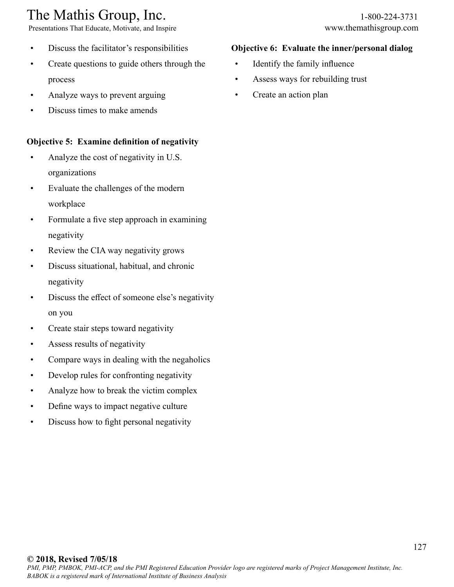Presentations That Educate, Motivate, and Inspire www.themathisgroup.com

- Discuss the facilitator's responsibilities
- Create questions to guide others through the process
- Analyze ways to prevent arguing
- Discuss times to make amends

### **Objective 5: Examine definition of negativity**

- Analyze the cost of negativity in U.S. organizations
- Evaluate the challenges of the modern workplace
- Formulate a five step approach in examining negativity
- Review the CIA way negativity grows
- Discuss situational, habitual, and chronic negativity
- Discuss the effect of someone else's negativity on you
- Create stair steps toward negativity
- Assess results of negativity
- Compare ways in dealing with the negaholics
- Develop rules for confronting negativity
- Analyze how to break the victim complex
- Define ways to impact negative culture
- Discuss how to fight personal negativity

### **Objective 6: Evaluate the inner/personal dialog**

- Identify the family influence
- Assess ways for rebuilding trust
- Create an action plan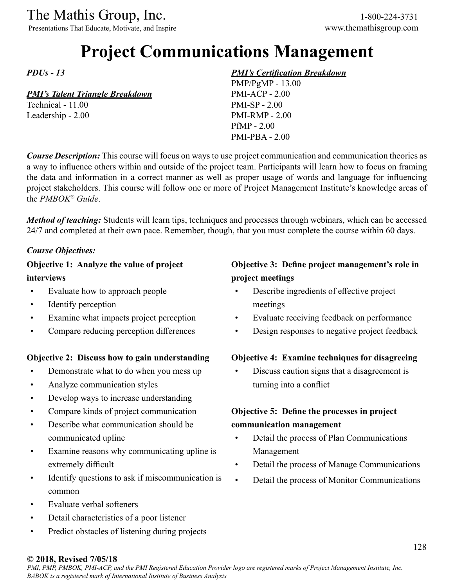Presentations That Educate, Motivate, and Inspire www.themathisgroup.com

# **Project Communications Management**

*PDUs - 13*

### *PMI's Talent Triangle Breakdown*

Technical - 11.00 Leadership - 2.00

### *PMI's Certification Breakdown*

PMP/PgMP - 13.00 PMI-ACP - 2.00 PMI-SP - 2.00 PMI-RMP - 2.00 PfMP - 2.00 PMI-PBA - 2.00

*Course Description:* This course will focus on ways to use project communication and communication theories as a way to influence others within and outside of the project team. Participants will learn how to focus on framing the data and information in a correct manner as well as proper usage of words and language for influencing project stakeholders. This course will follow one or more of Project Management Institute's knowledge areas of the *PMBOK® Guide*.

*Method of teaching:* Students will learn tips, techniques and processes through webinars, which can be accessed 24/7 and completed at their own pace. Remember, though, that you must complete the course within 60 days.

### *Course Objectives:*

### **Objective 1: Analyze the value of project interviews**

- Evaluate how to approach people
- Identify perception
- Examine what impacts project perception
- Compare reducing perception differences

### **Objective 2: Discuss how to gain understanding**

- Demonstrate what to do when you mess up
- Analyze communication styles
- Develop ways to increase understanding
- Compare kinds of project communication
- Describe what communication should be communicated upline
- Examine reasons why communicating upline is extremely difficult
- Identify questions to ask if miscommunication is common
- Evaluate verbal softeners
- Detail characteristics of a poor listener
- Predict obstacles of listening during projects

### **Objective 3: Define project management's role in project meetings**

- Describe ingredients of effective project meetings
- Evaluate receiving feedback on performance
- Design responses to negative project feedback

### **Objective 4: Examine techniques for disagreeing**

• Discuss caution signs that a disagreement is turning into a conflict

### **Objective 5: Define the processes in project communication management**

- Detail the process of Plan Communications Management
- Detail the process of Manage Communications
- Detail the process of Monitor Communications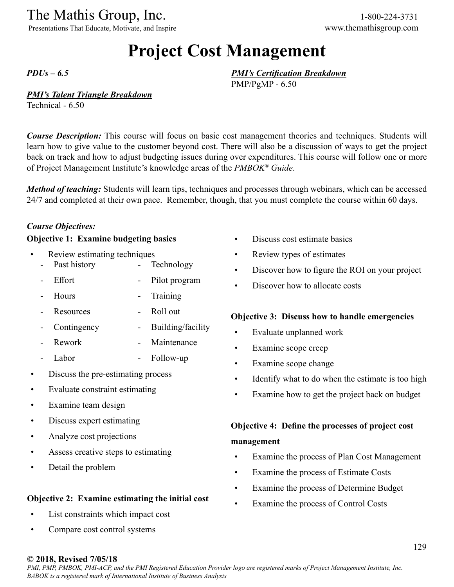Presentations That Educate, Motivate, and Inspire www.themathisgroup.com

# **Project Cost Management**

*PDUs – 6.5*

#### *PMI's Talent Triangle Breakdown*

Technical - 6.50

*Course Description:* This course will focus on basic cost management theories and techniques. Students will learn how to give value to the customer beyond cost. There will also be a discussion of ways to get the project back on track and how to adjust budgeting issues during over expenditures. This course will follow one or more of Project Management Institute's knowledge areas of the *PMBOK® Guide*.

*Method of teaching:* Students will learn tips, techniques and processes through webinars, which can be accessed 24/7 and completed at their own pace. Remember, though, that you must complete the course within 60 days.

### *Course Objectives:*

### **Objective 1: Examine budgeting basics**

- Review estimating techniques
	- Past history **Technology**
	- Effort Pilot program
	- Hours **Training**
	- Resources - Roll out
	- Contingency - Building/facility
	- Rework **Maintenance**
	- Labor - Follow-up
- Discuss the pre-estimating process
- Evaluate constraint estimating
- Examine team design
- Discuss expert estimating
- Analyze cost projections
- Assess creative steps to estimating
- Detail the problem

#### **Objective 2: Examine estimating the initial cost**

- List constraints which impact cost
- Compare cost control systems
- Discuss cost estimate basics
- Review types of estimates

*PMI's Certification Breakdown*

PMP/PgMP - 6.50

- Discover how to figure the ROI on your project
- Discover how to allocate costs

#### **Objective 3: Discuss how to handle emergencies**

- Evaluate unplanned work
- Examine scope creep
- Examine scope change
- Identify what to do when the estimate is too high
- Examine how to get the project back on budget

## **Objective 4: Define the processes of project cost management**

- Examine the process of Plan Cost Management
- Examine the process of Estimate Costs
- Examine the process of Determine Budget
- Examine the process of Control Costs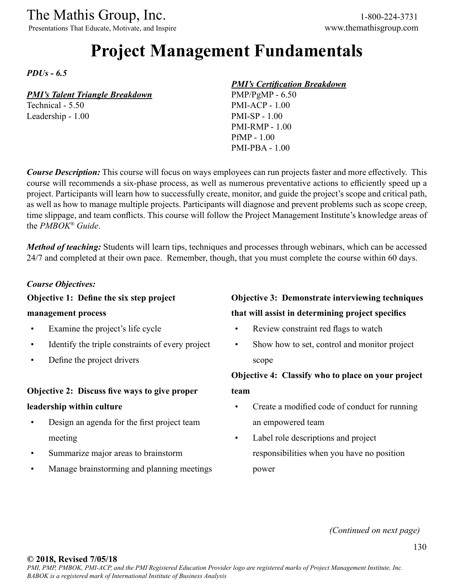Presentations That Educate, Motivate, and Inspire www.themathisgroup.com

# **Project Management Fundamentals**

*PDUs - 6.5*

### *PMI's Talent Triangle Breakdown*

Technical - 5.50 Leadership - 1.00

### *PMI's Certification Breakdown*

PMP/PgMP - 6.50 PMI-ACP - 1.00 PMI-SP - 1.00 PMI-RMP - 1.00 PfMP - 1.00 PMI-PBA - 1.00

*Course Description:* This course will focus on ways employees can run projects faster and more effectively. This course will recommends a six-phase process, as well as numerous preventative actions to efficiently speed up a project. Participants will learn how to successfully create, monitor, and guide the project's scope and critical path, as well as how to manage multiple projects. Participants will diagnose and prevent problems such as scope creep, time slippage, and team conflicts. This course will follow the Project Management Institute's knowledge areas of the *PMBOK® Guide*.

*Method of teaching:* Students will learn tips, techniques and processes through webinars, which can be accessed 24/7 and completed at their own pace. Remember, though, that you must complete the course within 60 days.

### *Course Objectives:*

### **Objective 1: Define the six step project**

#### **management process**

- Examine the project's life cycle
- Identify the triple constraints of every project
- Define the project drivers

### **Objective 2: Discuss five ways to give proper**

### **leadership within culture**

- Design an agenda for the first project team meeting
- Summarize major areas to brainstorm
- Manage brainstorming and planning meetings

### **Objective 3: Demonstrate interviewing techniques that will assist in determining project specifics**

- 
- Review constraint red flags to watch
- Show how to set, control and monitor project scope

### **Objective 4: Classify who to place on your project**

**team**

- Create a modified code of conduct for running an empowered team
- Label role descriptions and project responsibilities when you have no position power

*(Continued on next page)*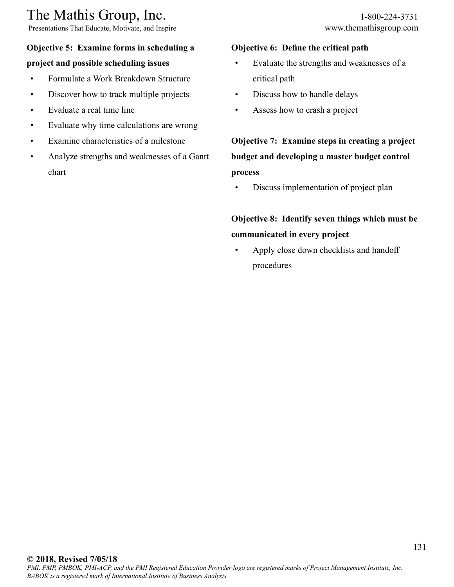# The Mathis Group, Inc. 1-800-224-3731<br>
Presentations That Educate, Motivate, and Inspire www.themathisgroup.com

Presentations That Educate, Motivate, and Inspire

### **Objective 5: Examine forms in scheduling a**

### **project and possible scheduling issues**

- Formulate a Work Breakdown Structure
- Discover how to track multiple projects
- Evaluate a real time line
- Evaluate why time calculations are wrong
- Examine characteristics of a milestone
- Analyze strengths and weaknesses of a Gantt chart

### **Objective 6: Define the critical path**

- Evaluate the strengths and weaknesses of a critical path
- Discuss how to handle delays
- Assess how to crash a project

**Objective 7: Examine steps in creating a project budget and developing a master budget control process**

• Discuss implementation of project plan

# **Objective 8: Identify seven things which must be communicated in every project**

• Apply close down checklists and handoff procedures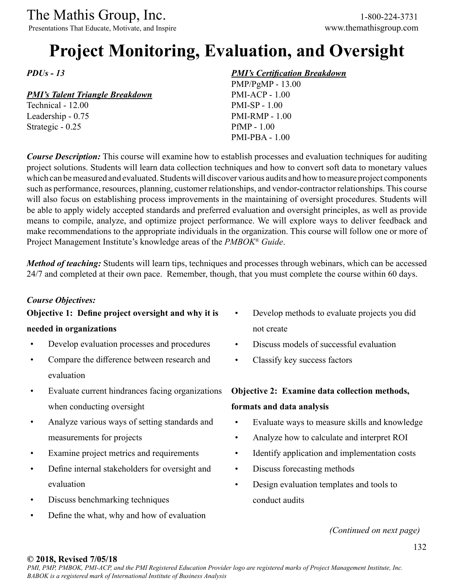Presentations That Educate, Motivate, and Inspire www.themathisgroup.com

# **Project Monitoring, Evaluation, and Oversight**

*PDUs - 13*

### *PMI's Talent Triangle Breakdown*

Technical - 12.00 Leadership - 0.75 Strategic - 0.25

### *PMI's Certification Breakdown*

PMP/PgMP - 13.00 PMI-ACP - 1.00 PMI-SP - 1.00 PMI-RMP - 1.00 PfMP - 1.00 PMI-PBA - 1.00

*Course Description:* This course will examine how to establish processes and evaluation techniques for auditing project solutions. Students will learn data collection techniques and how to convert soft data to monetary values which can be measured and evaluated. Students will discover various audits and how to measure project components such as performance, resources, planning, customer relationships, and vendor-contractor relationships. This course will also focus on establishing process improvements in the maintaining of oversight procedures. Students will be able to apply widely accepted standards and preferred evaluation and oversight principles, as well as provide means to compile, analyze, and optimize project performance. We will explore ways to deliver feedback and make recommendations to the appropriate individuals in the organization. This course will follow one or more of Project Management Institute's knowledge areas of the *PMBOK® Guide*.

*Method of teaching:* Students will learn tips, techniques and processes through webinars, which can be accessed 24/7 and completed at their own pace. Remember, though, that you must complete the course within 60 days.

### *Course Objectives:*

# **Objective 1: Define project oversight and why it is**

### **needed in organizations**

- Develop evaluation processes and procedures
- Compare the difference between research and evaluation
- Evaluate current hindrances facing organizations when conducting oversight
- Analyze various ways of setting standards and measurements for projects
- Examine project metrics and requirements
- Define internal stakeholders for oversight and evaluation
- Discuss benchmarking techniques
- Define the what, why and how of evaluation
- Develop methods to evaluate projects you did not create
- Discuss models of successful evaluation
- Classify key success factors

# **Objective 2: Examine data collection methods, formats and data analysis**

- Evaluate ways to measure skills and knowledge
- Analyze how to calculate and interpret ROI
- Identify application and implementation costs
- Discuss forecasting methods
- Design evaluation templates and tools to conduct audits

*(Continued on next page)*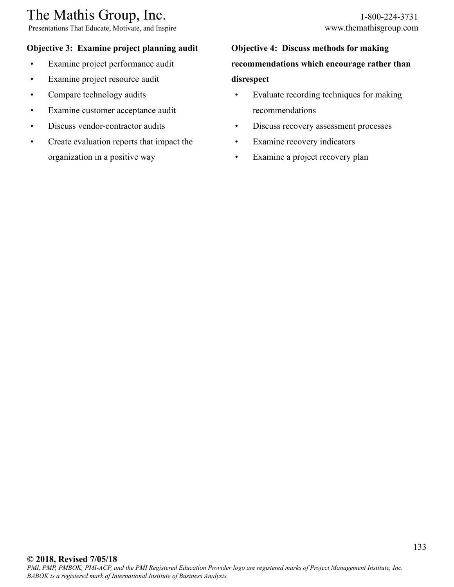Presentations That Educate, Motivate, and Inspire www.themathisgroup.com

### **Objective 3: Examine project planning audit**

- Examine project performance audit
- Examine project resource audit
- Compare technology audits
- Examine customer acceptance audit
- Discuss vendor-contractor audits
- Create evaluation reports that impact the organization in a positive way

# **Objective 4: Discuss methods for making recommendations which encourage rather than disrespect**

- Evaluate recording techniques for making recommendations
- Discuss recovery assessment processes
- Examine recovery indicators
- Examine a project recovery plan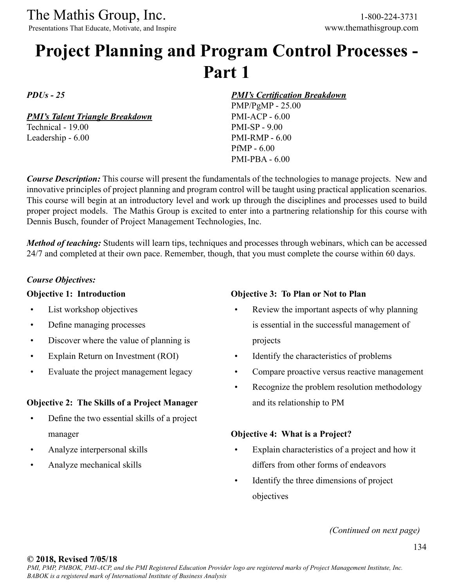Presentations That Educate, Motivate, and Inspire www.themathisgroup.com

# **Project Planning and Program Control Processes - Part 1**

*PDUs - 25*

*PMI's Talent Triangle Breakdown*

Technical - 19.00 Leadership - 6.00 *PMI's Certification Breakdown*

PMP/PgMP - 25.00 PMI-ACP - 6.00 PMI-SP - 9.00 PMI-RMP - 6.00 PfMP - 6.00 PMI-PBA - 6.00

*Course Description:* This course will present the fundamentals of the technologies to manage projects. New and innovative principles of project planning and program control will be taught using practical application scenarios. This course will begin at an introductory level and work up through the disciplines and processes used to build proper project models. The Mathis Group is excited to enter into a partnering relationship for this course with Dennis Busch, founder of Project Management Technologies, Inc.

*Method of teaching:* Students will learn tips, techniques and processes through webinars, which can be accessed 24/7 and completed at their own pace. Remember, though, that you must complete the course within 60 days.

### *Course Objectives:*

#### **Objective 1: Introduction**

- List workshop objectives
- Define managing processes
- Discover where the value of planning is
- Explain Return on Investment (ROI)
- Evaluate the project management legacy

### **Objective 2: The Skills of a Project Manager**

- Define the two essential skills of a project manager
- Analyze interpersonal skills
- Analyze mechanical skills

#### **Objective 3: To Plan or Not to Plan**

- Review the important aspects of why planning is essential in the successful management of projects
- Identify the characteristics of problems
- Compare proactive versus reactive management
- Recognize the problem resolution methodology and its relationship to PM

#### **Objective 4: What is a Project?**

- Explain characteristics of a project and how it differs from other forms of endeavors
- Identify the three dimensions of project objectives

*(Continued on next page)*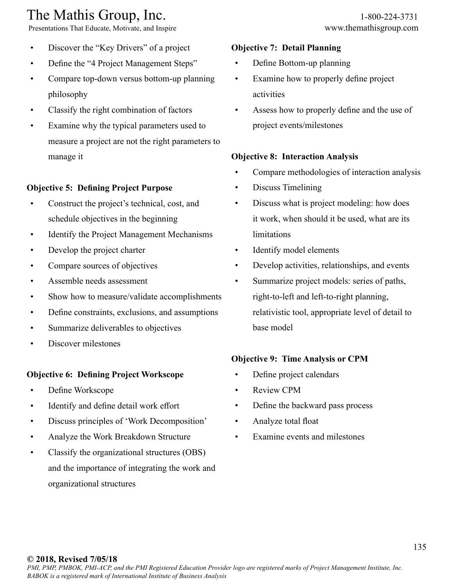Presentations That Educate, Motivate, and Inspire www.themathisgroup.com

- Discover the "Key Drivers" of a project
- Define the "4 Project Management Steps"
- Compare top-down versus bottom-up planning philosophy
- Classify the right combination of factors
- Examine why the typical parameters used to measure a project are not the right parameters to manage it

### **Objective 5: Defining Project Purpose**

- Construct the project's technical, cost, and schedule objectives in the beginning
- Identify the Project Management Mechanisms
- Develop the project charter
- Compare sources of objectives
- Assemble needs assessment
- Show how to measure/validate accomplishments
- Define constraints, exclusions, and assumptions
- Summarize deliverables to objectives
- Discover milestones

### **Objective 6: Defining Project Workscope**

- Define Workscope
- Identify and define detail work effort
- Discuss principles of 'Work Decomposition'
- Analyze the Work Breakdown Structure
- Classify the organizational structures (OBS) and the importance of integrating the work and organizational structures

### **Objective 7: Detail Planning**

- Define Bottom-up planning
- Examine how to properly define project activities
- Assess how to properly define and the use of project events/milestones

### **Objective 8: Interaction Analysis**

- Compare methodologies of interaction analysis
- Discuss Timelining
- Discuss what is project modeling: how does it work, when should it be used, what are its limitations
- Identify model elements
- Develop activities, relationships, and events
- Summarize project models: series of paths, right-to-left and left-to-right planning, relativistic tool, appropriate level of detail to base model

### **Objective 9: Time Analysis or CPM**

- Define project calendars
- Review CPM
- Define the backward pass process
- Analyze total float
- Examine events and milestones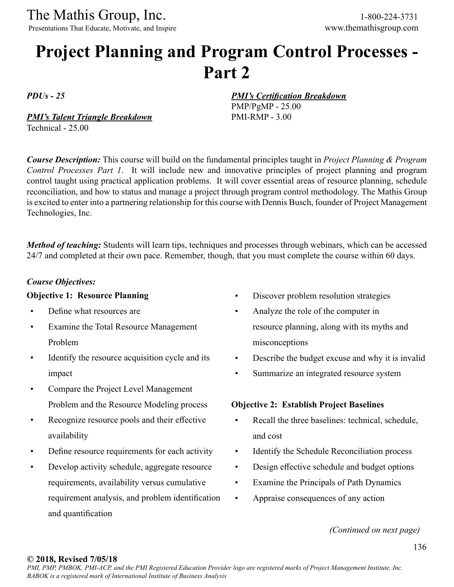The Mathis Group, Inc. 1-800-224-3731<br>
Presentations That Educate, Motivate, and Inspire www.themathisgroup.com

Presentations That Educate, Motivate, and Inspire

# **Project Planning and Program Control Processes - Part 2**

*PDUs - 25*

*PMI's Talent Triangle Breakdown* Technical - 25.00

*PMI's Certification Breakdown*

PMP/PgMP - 25.00 PMI-RMP - 3.00

*Course Description:* This course will build on the fundamental principles taught in *Project Planning & Program Control Processes Part 1*. It will include new and innovative principles of project planning and program control taught using practical application problems. It will cover essential areas of resource planning, schedule reconciliation, and how to status and manage a project through program control methodology. The Mathis Group is excited to enter into a partnering relationship for this course with Dennis Busch, founder of Project Management Technologies, Inc.

*Method of teaching:* Students will learn tips, techniques and processes through webinars, which can be accessed 24/7 and completed at their own pace. Remember, though, that you must complete the course within 60 days.

### *Course Objectives:*

### **Objective 1: Resource Planning**

- Define what resources are
- Examine the Total Resource Management Problem
- Identify the resource acquisition cycle and its impact
- Compare the Project Level Management Problem and the Resource Modeling process
- Recognize resource pools and their effective availability
- Define resource requirements for each activity
- Develop activity schedule, aggregate resource requirements, availability versus cumulative requirement analysis, and problem identification and quantification
- Discover problem resolution strategies
- Analyze the role of the computer in resource planning, along with its myths and misconceptions
- Describe the budget excuse and why it is invalid
- Summarize an integrated resource system

### **Objective 2: Establish Project Baselines**

- Recall the three baselines: technical, schedule, and cost
- Identify the Schedule Reconciliation process
- Design effective schedule and budget options
- Examine the Principals of Path Dynamics
- Appraise consequences of any action

*(Continued on next page)*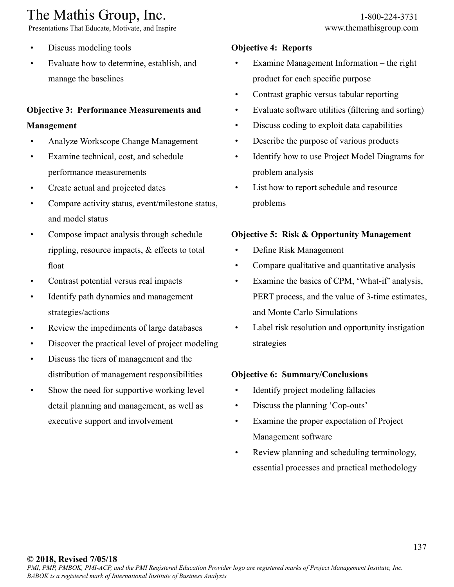Presentations That Educate, Motivate, and Inspire www.themathisgroup.com

- Discuss modeling tools
- Evaluate how to determine, establish, and manage the baselines

### **Objective 3: Performance Measurements and**

### **Management**

- Analyze Workscope Change Management
- Examine technical, cost, and schedule performance measurements
- Create actual and projected dates
- Compare activity status, event/milestone status, and model status
- Compose impact analysis through schedule rippling, resource impacts, & effects to total float
- Contrast potential versus real impacts
- Identify path dynamics and management strategies/actions
- Review the impediments of large databases
- Discover the practical level of project modeling
- Discuss the tiers of management and the distribution of management responsibilities
- Show the need for supportive working level detail planning and management, as well as executive support and involvement

### **Objective 4: Reports**

- Examine Management Information the right product for each specific purpose
- Contrast graphic versus tabular reporting
- Evaluate software utilities (filtering and sorting)
- Discuss coding to exploit data capabilities
- Describe the purpose of various products
- Identify how to use Project Model Diagrams for problem analysis
- List how to report schedule and resource problems

### **Objective 5: Risk & Opportunity Management**

- Define Risk Management
- Compare qualitative and quantitative analysis
- Examine the basics of CPM, 'What-if' analysis, PERT process, and the value of 3-time estimates, and Monte Carlo Simulations
- Label risk resolution and opportunity instigation strategies

### **Objective 6: Summary/Conclusions**

- Identify project modeling fallacies
- Discuss the planning 'Cop-outs'
- Examine the proper expectation of Project Management software
- Review planning and scheduling terminology, essential processes and practical methodology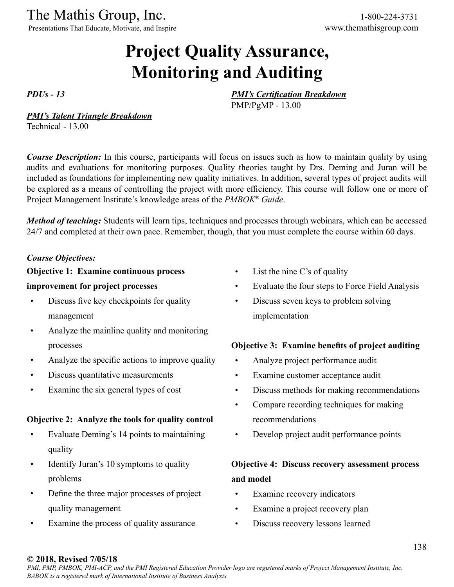Presentations That Educate, Motivate, and Inspire www.themathisgroup.com

# **Project Quality Assurance, Monitoring and Auditing**

*PDUs - 13*

*PMI's Certification Breakdown*

PMP/PgMP - 13.00

#### *PMI's Talent Triangle Breakdown*

Technical - 13.00

*Course Description:* In this course, participants will focus on issues such as how to maintain quality by using audits and evaluations for monitoring purposes. Quality theories taught by Drs. Deming and Juran will be included as foundations for implementing new quality initiatives. In addition, several types of project audits will be explored as a means of controlling the project with more efficiency. This course will follow one or more of Project Management Institute's knowledge areas of the *PMBOK® Guide*.

*Method of teaching:* Students will learn tips, techniques and processes through webinars, which can be accessed 24/7 and completed at their own pace. Remember, though, that you must complete the course within 60 days.

### *Course Objectives:*

### **Objective 1: Examine continuous process**

### **improvement for project processes**

- Discuss five key checkpoints for quality management
- Analyze the mainline quality and monitoring processes
- Analyze the specific actions to improve quality
- Discuss quantitative measurements
- Examine the six general types of cost

### **Objective 2: Analyze the tools for quality control**

- Evaluate Deming's 14 points to maintaining quality
- Identify Juran's 10 symptoms to quality problems
- Define the three major processes of project quality management
- Examine the process of quality assurance
- List the nine C's of quality
- Evaluate the four steps to Force Field Analysis
- Discuss seven keys to problem solving implementation

### **Objective 3: Examine benefits of project auditing**

- Analyze project performance audit
- Examine customer acceptance audit
- Discuss methods for making recommendations
- Compare recording techniques for making recommendations
- Develop project audit performance points

### **Objective 4: Discuss recovery assessment process and model**

- Examine recovery indicators
- Examine a project recovery plan
- Discuss recovery lessons learned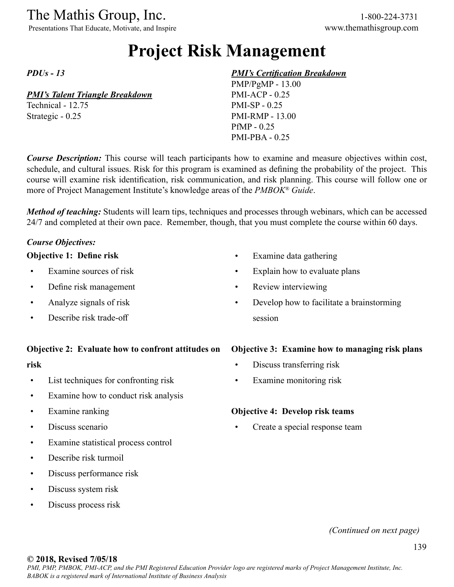Presentations That Educate, Motivate, and Inspire www.themathisgroup.com

# **Project Risk Management**

*PDUs - 13*

### *PMI's Talent Triangle Breakdown*

Technical - 12.75 Strategic - 0.25

### *PMI's Certification Breakdown*

PMP/PgMP - 13.00 PMI-ACP - 0.25 PMI-SP - 0.25 PMI-RMP - 13.00 PfMP - 0.25 PMI-PBA - 0.25

*Course Description:* This course will teach participants how to examine and measure objectives within cost, schedule, and cultural issues. Risk for this program is examined as defining the probability of the project. This course will examine risk identification, risk communication, and risk planning. This course will follow one or more of Project Management Institute's knowledge areas of the *PMBOK® Guide*.

*Method of teaching:* Students will learn tips, techniques and processes through webinars, which can be accessed 24/7 and completed at their own pace. Remember, though, that you must complete the course within 60 days.

### *Course Objectives:*

#### **Objective 1: Define risk**

- Examine sources of risk
- Define risk management
- Analyze signals of risk
- Describe risk trade-off

#### **Objective 2: Evaluate how to confront attitudes on**

#### **risk**

- List techniques for confronting risk
- Examine how to conduct risk analysis
- Examine ranking
- Discuss scenario
- Examine statistical process control
- Describe risk turmoil
- Discuss performance risk
- Discuss system risk
- Discuss process risk

**Objective 3: Examine how to managing risk plans**

• Develop how to facilitate a brainstorming

- Discuss transferring risk
- Examine monitoring risk

• Examine data gathering

• Review interviewing

session

• Explain how to evaluate plans

#### **Objective 4: Develop risk teams**

Create a special response team

### *(Continued on next page)*

*PMI, PMP, PMBOK, PMI-ACP, and the PMI Registered Education Provider logo are registered marks of Project Management Institute, Inc. BABOK is a registered mark of International Institute of Business Analysis*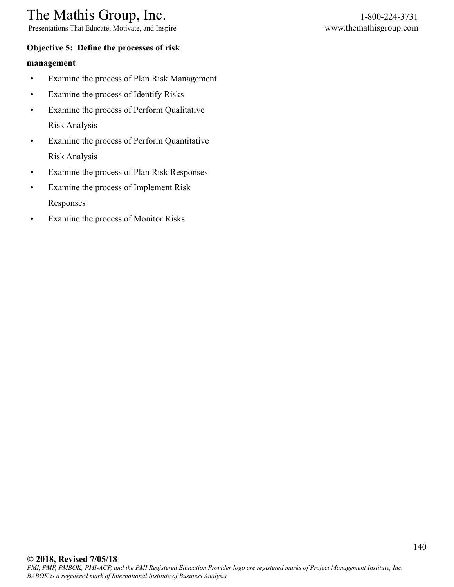Presentations That Educate, Motivate, and Inspire www.themathisgroup.com

### **Objective 5: Define the processes of risk**

### **management**

- Examine the process of Plan Risk Management
- Examine the process of Identify Risks
- Examine the process of Perform Qualitative Risk Analysis
- Examine the process of Perform Quantitative Risk Analysis
- Examine the process of Plan Risk Responses
- Examine the process of Implement Risk Responses
- Examine the process of Monitor Risks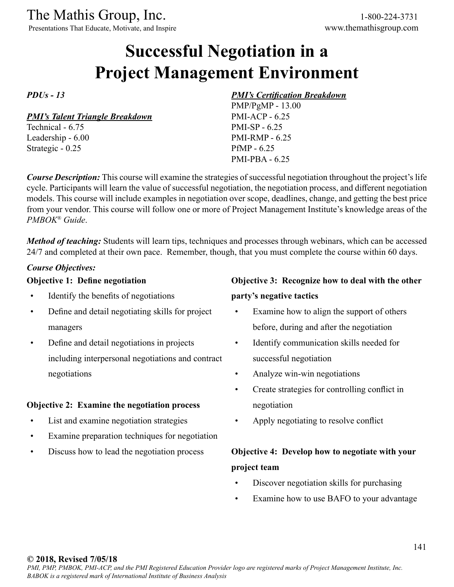Presentations That Educate, Motivate, and Inspire www.themathisgroup.com

# **Successful Negotiation in a Project Management Environment**

*PDUs - 13*

*PMI's Talent Triangle Breakdown*

Technical - 6.75 Leadership - 6.00 Strategic - 0.25

### *PMI's Certification Breakdown*

PMP/PgMP - 13.00 PMI-ACP - 6.25 PMI-SP - 6.25 PMI-RMP - 6.25 PfMP - 6.25 PMI-PBA - 6.25

*Course Description:* This course will examine the strategies of successful negotiation throughout the project's life cycle. Participants will learn the value of successful negotiation, the negotiation process, and different negotiation models. This course will include examples in negotiation over scope, deadlines, change, and getting the best price from your vendor. This course will follow one or more of Project Management Institute's knowledge areas of the *PMBOK® Guide*.

*Method of teaching:* Students will learn tips, techniques and processes through webinars, which can be accessed 24/7 and completed at their own pace. Remember, though, that you must complete the course within 60 days.

### *Course Objectives:*

### **Objective 1: Define negotiation**

- Identify the benefits of negotiations
- Define and detail negotiating skills for project managers
- Define and detail negotiations in projects including interpersonal negotiations and contract negotiations

#### **Objective 2: Examine the negotiation process**

- List and examine negotiation strategies
- Examine preparation techniques for negotiation
- Discuss how to lead the negotiation process

### **Objective 3: Recognize how to deal with the other**

#### **party's negative tactics**

- Examine how to align the support of others before, during and after the negotiation
- Identify communication skills needed for successful negotiation
- Analyze win-win negotiations
- Create strategies for controlling conflict in negotiation
- Apply negotiating to resolve conflict

### **Objective 4: Develop how to negotiate with your project team**

- Discover negotiation skills for purchasing
- Examine how to use BAFO to your advantage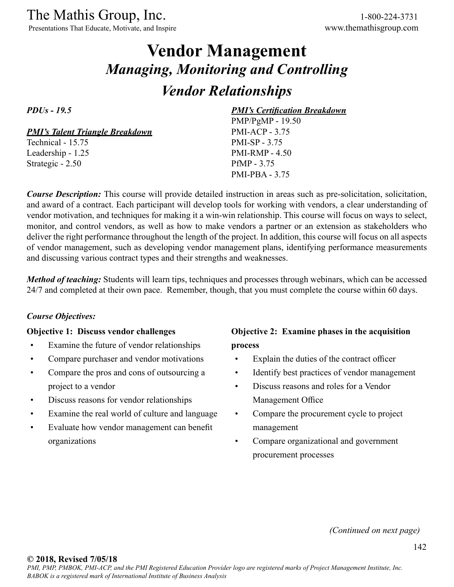Presentations That Educate, Motivate, and Inspire www.themathisgroup.com

# **Vendor Management** *Managing, Monitoring and Controlling Vendor Relationships*

*PDUs - 19.5*

*PMI's Talent Triangle Breakdown*

Technical - 15.75 Leadership - 1.25 Strategic - 2.50

*PMI's Certification Breakdown* PMP/PgMP - 19.50

PMI-ACP - 3.75 PMI-SP - 3.75 PMI-RMP - 4.50 PfMP - 3.75 PMI-PBA - 3.75

*Course Description:* This course will provide detailed instruction in areas such as pre-solicitation, solicitation, and award of a contract. Each participant will develop tools for working with vendors, a clear understanding of vendor motivation, and techniques for making it a win-win relationship. This course will focus on ways to select, monitor, and control vendors, as well as how to make vendors a partner or an extension as stakeholders who deliver the right performance throughout the length of the project. In addition, this course will focus on all aspects of vendor management, such as developing vendor management plans, identifying performance measurements and discussing various contract types and their strengths and weaknesses.

*Method of teaching:* Students will learn tips, techniques and processes through webinars, which can be accessed 24/7 and completed at their own pace. Remember, though, that you must complete the course within 60 days.

### *Course Objectives:*

#### **Objective 1: Discuss vendor challenges**

- Examine the future of vendor relationships
- Compare purchaser and vendor motivations
- Compare the pros and cons of outsourcing a project to a vendor
- Discuss reasons for vendor relationships
- Examine the real world of culture and language
- Evaluate how vendor management can benefit organizations

### **Objective 2: Examine phases in the acquisition process**

- Explain the duties of the contract officer
- Identify best practices of vendor management
- Discuss reasons and roles for a Vendor Management Office
- Compare the procurement cycle to project management
- Compare organizational and government procurement processes

*(Continued on next page)*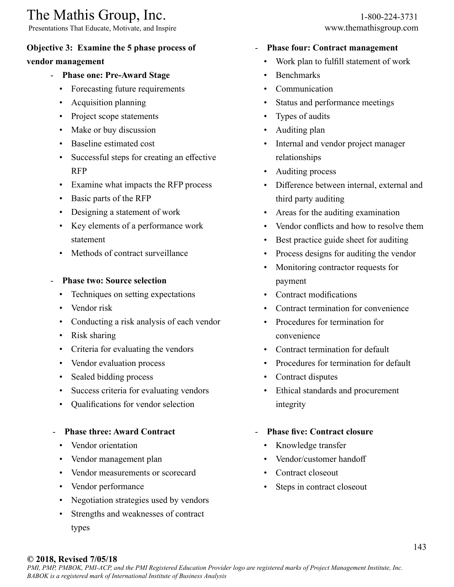Presentations That Educate, Motivate, and Inspire www.themathisgroup.com

### **Objective 3: Examine the 5 phase process of**

### **vendor management**

- **Phase one: Pre-Award Stage**
	- Forecasting future requirements
	- Acquisition planning
	- Project scope statements
	- Make or buy discussion
	- Baseline estimated cost
	- Successful steps for creating an effective RFP
	- Examine what impacts the RFP process
	- Basic parts of the RFP
	- Designing a statement of work
	- Key elements of a performance work statement
	- Methods of contract surveillance
- **Phase two: Source selection**
	- Techniques on setting expectations
	- Vendor risk
	- Conducting a risk analysis of each vendor
	- Risk sharing
	- Criteria for evaluating the vendors
	- Vendor evaluation process
	- Sealed bidding process
	- Success criteria for evaluating vendors
	- Qualifications for vendor selection

### - **Phase three: Award Contract**

- Vendor orientation
- Vendor management plan
- Vendor measurements or scorecard
- Vendor performance
- Negotiation strategies used by vendors
- Strengths and weaknesses of contract types

### - **Phase four: Contract management**

- Work plan to fulfill statement of work
- Benchmarks
- Communication
- Status and performance meetings
- Types of audits
- Auditing plan
- Internal and vendor project manager relationships
- Auditing process
- Difference between internal, external and third party auditing
- Areas for the auditing examination
- Vendor conflicts and how to resolve them
- Best practice guide sheet for auditing
- Process designs for auditing the vendor
- Monitoring contractor requests for payment
- Contract modifications
- Contract termination for convenience
- Procedures for termination for convenience
- Contract termination for default
- Procedures for termination for default
- Contract disputes
- Ethical standards and procurement integrity

### - **Phase five: Contract closure**

- Knowledge transfer
- Vendor/customer handoff
- Contract closeout
- Steps in contract closeout